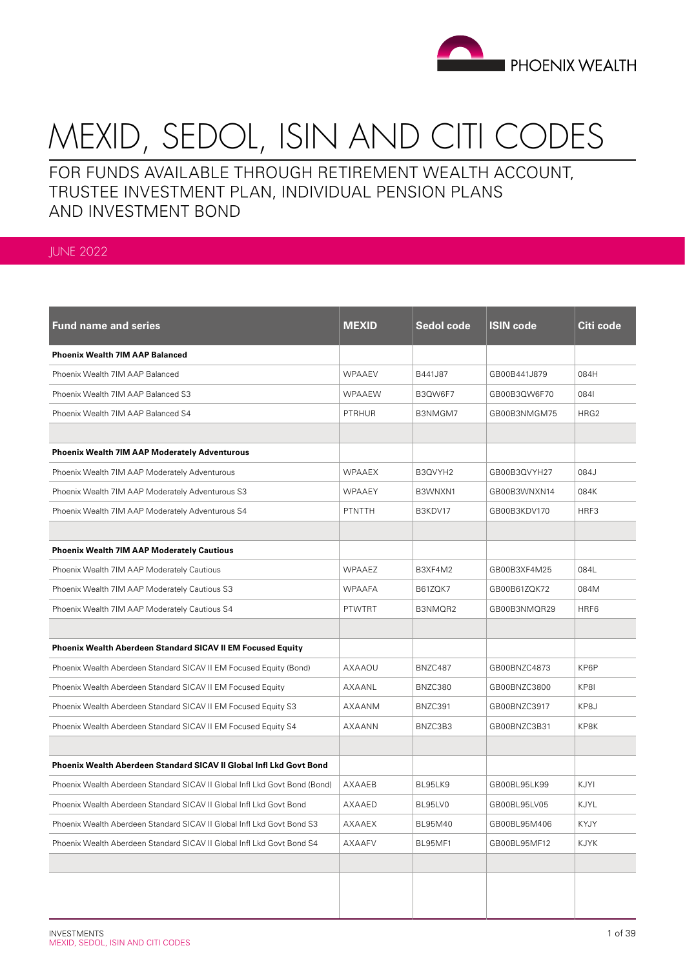

# MEXID, SEDOL, ISIN AND CITI CODES

FOR FUNDS AVAILABLE THROUGH RETIREMENT WEALTH ACCOUNT, TRUSTEE INVESTMENT PLAN, INDIVIDUAL PENSION PLANS AND INVESTMENT BOND

## JUNE 2022

| <b>Fund name and series</b>                                                | <b>MEXID</b>  | Sedol code | <b>ISIN code</b> | Citi code   |
|----------------------------------------------------------------------------|---------------|------------|------------------|-------------|
| <b>Phoenix Wealth 7IM AAP Balanced</b>                                     |               |            |                  |             |
| Phoenix Wealth 7IM AAP Balanced                                            | WPAAEV        | B441J87    | GB00B441J879     | 084H        |
| Phoenix Wealth 7IM AAP Balanced S3                                         | <b>WPAAEW</b> | B3QW6F7    | GB00B3QW6F70     | 0841        |
| Phoenix Wealth 7IM AAP Balanced S4                                         | <b>PTRHUR</b> | B3NMGM7    | GB00B3NMGM75     | HRG2        |
|                                                                            |               |            |                  |             |
| <b>Phoenix Wealth 7IM AAP Moderately Adventurous</b>                       |               |            |                  |             |
| Phoenix Wealth 7IM AAP Moderately Adventurous                              | <b>WPAAEX</b> | B3QVYH2    | GB00B3QVYH27     | 084J        |
| Phoenix Wealth 7IM AAP Moderately Adventurous S3                           | <b>WPAAEY</b> | B3WNXN1    | GB00B3WNXN14     | 084K        |
| Phoenix Wealth 7IM AAP Moderately Adventurous S4                           | PTNTTH        | B3KDV17    | GB00B3KDV170     | HRF3        |
|                                                                            |               |            |                  |             |
| <b>Phoenix Wealth 7IM AAP Moderately Cautious</b>                          |               |            |                  |             |
| Phoenix Wealth 7IM AAP Moderately Cautious                                 | WPAAEZ        | B3XF4M2    | GB00B3XF4M25     | 084L        |
| Phoenix Wealth 7IM AAP Moderately Cautious S3                              | <b>WPAAFA</b> | B61ZQK7    | GB00B61ZQK72     | 084M        |
| Phoenix Wealth 7IM AAP Moderately Cautious S4                              | <b>PTWTRT</b> | B3NMQR2    | GB00B3NMQR29     | HRF6        |
|                                                                            |               |            |                  |             |
| <b>Phoenix Wealth Aberdeen Standard SICAV II EM Focused Equity</b>         |               |            |                  |             |
| Phoenix Wealth Aberdeen Standard SICAV II EM Focused Equity (Bond)         | AXAAOU        | BNZC487    | GB00BNZC4873     | KP6P        |
| Phoenix Wealth Aberdeen Standard SICAV II EM Focused Equity                | AXAANL        | BNZC380    | GB00BNZC3800     | KP8I        |
| Phoenix Wealth Aberdeen Standard SICAV II EM Focused Equity S3             | AXAANM        | BNZC391    | GB00BNZC3917     | KP8J        |
| Phoenix Wealth Aberdeen Standard SICAV II EM Focused Equity S4             | AXAANN        | BNZC3B3    | GB00BNZC3B31     | KP8K        |
|                                                                            |               |            |                  |             |
| Phoenix Wealth Aberdeen Standard SICAV II Global Infl Lkd Govt Bond        |               |            |                  |             |
| Phoenix Wealth Aberdeen Standard SICAV II Global Infl Lkd Govt Bond (Bond) | AXAAEB        | BL95LK9    | GB00BL95LK99     | KJYI        |
| Phoenix Wealth Aberdeen Standard SICAV II Global Infl Lkd Govt Bond        | AXAAED        | BL95LV0    | GB00BL95LV05     | KJYL        |
| Phoenix Wealth Aberdeen Standard SICAV II Global Infl Lkd Govt Bond S3     | AXAAEX        | BL95M40    | GB00BL95M406     | <b>KYJY</b> |
| Phoenix Wealth Aberdeen Standard SICAV II Global Infl Lkd Govt Bond S4     | <b>AXAAFV</b> | BL95MF1    | GB00BL95MF12     | KJYK        |
|                                                                            |               |            |                  |             |
|                                                                            |               |            |                  |             |
|                                                                            |               |            |                  |             |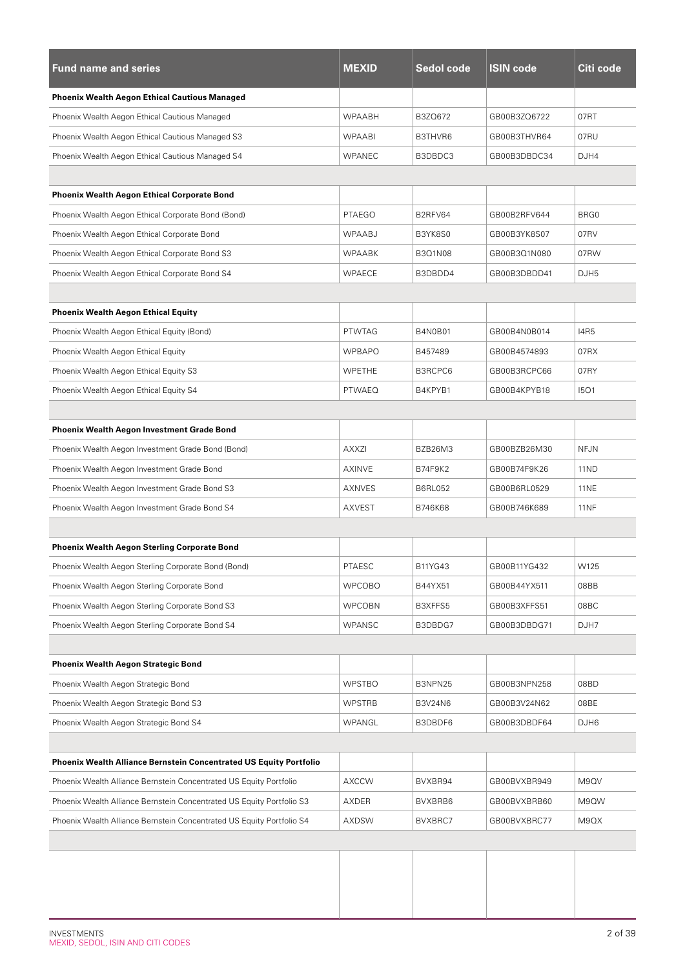| <b>Fund name and series</b>                                           | <b>MEXID</b>  | <b>Sedol code</b> | <b>ISIN code</b> | Citi code   |
|-----------------------------------------------------------------------|---------------|-------------------|------------------|-------------|
| <b>Phoenix Wealth Aegon Ethical Cautious Managed</b>                  |               |                   |                  |             |
| Phoenix Wealth Aegon Ethical Cautious Managed                         | <b>WPAABH</b> | B3ZQ672           | GB00B3ZQ6722     | 07RT        |
| Phoenix Wealth Aegon Ethical Cautious Managed S3                      | <b>WPAABI</b> | B3THVR6           | GB00B3THVR64     | 07RU        |
| Phoenix Wealth Aegon Ethical Cautious Managed S4                      | <b>WPANEC</b> | B3DBDC3           | GB00B3DBDC34     | DJH4        |
|                                                                       |               |                   |                  |             |
| <b>Phoenix Wealth Aegon Ethical Corporate Bond</b>                    |               |                   |                  |             |
| Phoenix Wealth Aegon Ethical Corporate Bond (Bond)                    | <b>PTAEGO</b> | B2RFV64           | GB00B2RFV644     | BRG0        |
| Phoenix Wealth Aegon Ethical Corporate Bond                           | WPAABJ        | B3YK8S0           | GB00B3YK8S07     | 07RV        |
| Phoenix Wealth Aegon Ethical Corporate Bond S3                        | <b>WPAABK</b> | B3Q1N08           | GB00B3Q1N080     | 07RW        |
| Phoenix Wealth Aegon Ethical Corporate Bond S4                        | <b>WPAECE</b> | B3DBDD4           | GB00B3DBDD41     | DJH5        |
|                                                                       |               |                   |                  |             |
| <b>Phoenix Wealth Aegon Ethical Equity</b>                            |               |                   |                  |             |
| Phoenix Wealth Aegon Ethical Equity (Bond)                            | <b>PTWTAG</b> | <b>B4N0B01</b>    | GB00B4N0B014     | <b>I4R5</b> |
| Phoenix Wealth Aegon Ethical Equity                                   | <b>WPBAPO</b> | B457489           | GB00B4574893     | 07RX        |
| Phoenix Wealth Aegon Ethical Equity S3                                | <b>WPETHE</b> | B3RCPC6           | GB00B3RCPC66     | 07RY        |
| Phoenix Wealth Aegon Ethical Equity S4                                | <b>PTWAEQ</b> | B4KPYB1           | GB00B4KPYB18     | 1501        |
|                                                                       |               |                   |                  |             |
| <b>Phoenix Wealth Aegon Investment Grade Bond</b>                     |               |                   |                  |             |
| Phoenix Wealth Aegon Investment Grade Bond (Bond)                     | AXXZI         | BZB26M3           | GB00BZB26M30     | <b>NFJN</b> |
| Phoenix Wealth Aegon Investment Grade Bond                            | AXINVE        | B74F9K2           | GB00B74F9K26     | 11ND        |
| Phoenix Wealth Aegon Investment Grade Bond S3                         | AXNVES        | <b>B6RL052</b>    | GB00B6RL0529     | <b>11NE</b> |
| Phoenix Wealth Aegon Investment Grade Bond S4                         | <b>AXVEST</b> | B746K68           | GB00B746K689     | <b>11NF</b> |
|                                                                       |               |                   |                  |             |
| <b>Phoenix Wealth Aegon Sterling Corporate Bond</b>                   |               |                   |                  |             |
| Phoenix Wealth Aegon Sterling Corporate Bond (Bond)                   | PTAESC        | B11YG43           | GB00B11YG432     | W125        |
| Phoenix Wealth Aegon Sterling Corporate Bond                          | <b>WPCOBO</b> | B44YX51           | GB00B44YX511     | 08BB        |
| Phoenix Wealth Aegon Sterling Corporate Bond S3                       | <b>WPCOBN</b> | B3XFFS5           | GB00B3XFFS51     | 08BC        |
| Phoenix Wealth Aegon Sterling Corporate Bond S4                       | <b>WPANSC</b> | B3DBDG7           | GB00B3DBDG71     | DJH7        |
|                                                                       |               |                   |                  |             |
| <b>Phoenix Wealth Aegon Strategic Bond</b>                            |               |                   |                  |             |
| Phoenix Wealth Aegon Strategic Bond                                   | <b>WPSTBO</b> | B3NPN25           | GB00B3NPN258     | 08BD        |
| Phoenix Wealth Aegon Strategic Bond S3                                | <b>WPSTRB</b> | B3V24N6           | GB00B3V24N62     | 08BE        |
| Phoenix Wealth Aegon Strategic Bond S4                                | WPANGL        | B3DBDF6           | GB00B3DBDF64     | DJH6        |
|                                                                       |               |                   |                  |             |
| Phoenix Wealth Alliance Bernstein Concentrated US Equity Portfolio    |               |                   |                  |             |
| Phoenix Wealth Alliance Bernstein Concentrated US Equity Portfolio    | <b>AXCCW</b>  | BVXBR94           | GB00BVXBR949     | M9QV        |
| Phoenix Wealth Alliance Bernstein Concentrated US Equity Portfolio S3 | AXDER         | BVXBRB6           | GB00BVXBRB60     | M9QW        |
| Phoenix Wealth Alliance Bernstein Concentrated US Equity Portfolio S4 | AXDSW         | BVXBRC7           | GB00BVXBRC77     | M9QX        |
|                                                                       |               |                   |                  |             |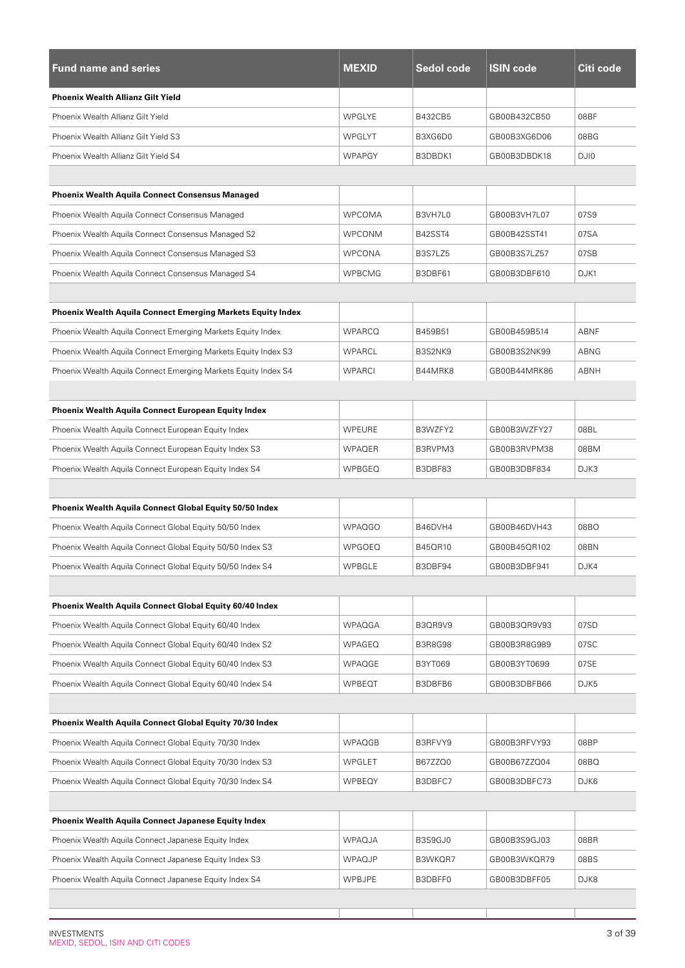| <b>Fund name and series</b>                                        | <b>MEXID</b>  | Sedol code     | <b>ISIN code</b> | Citi code |
|--------------------------------------------------------------------|---------------|----------------|------------------|-----------|
| <b>Phoenix Wealth Allianz Gilt Yield</b>                           |               |                |                  |           |
| Phoenix Wealth Allianz Gilt Yield                                  | <b>WPGLYE</b> | B432CB5        | GB00B432CB50     | 08BF      |
| Phoenix Wealth Allianz Gilt Yield S3                               | WPGLYT        | B3XG6D0        | GB00B3XG6D06     | 08BG      |
| Phoenix Wealth Allianz Gilt Yield S4                               | <b>WPAPGY</b> | B3DBDK1        | GB00B3DBDK18     | DJI0      |
|                                                                    |               |                |                  |           |
| <b>Phoenix Wealth Aquila Connect Consensus Managed</b>             |               |                |                  |           |
| Phoenix Wealth Aquila Connect Consensus Managed                    | <b>WPCOMA</b> | B3VH7L0        | GB00B3VH7L07     | 07S9      |
| Phoenix Wealth Aquila Connect Consensus Managed S2                 | <b>WPCONM</b> | <b>B42SST4</b> | GB00B42SST41     | 07SA      |
| Phoenix Wealth Aquila Connect Consensus Managed S3                 | <b>WPCONA</b> | B3S7LZ5        | GB00B3S7LZ57     | 07SB      |
| Phoenix Wealth Aquila Connect Consensus Managed S4                 | <b>WPBCMG</b> | B3DBF61        | GB00B3DBF610     | DJK1      |
|                                                                    |               |                |                  |           |
| <b>Phoenix Wealth Aquila Connect Emerging Markets Equity Index</b> |               |                |                  |           |
| Phoenix Wealth Aquila Connect Emerging Markets Equity Index        | <b>WPARCQ</b> | B459B51        | GB00B459B514     | ABNF      |
| Phoenix Wealth Aquila Connect Emerging Markets Equity Index S3     | <b>WPARCL</b> | B3S2NK9        | GB00B3S2NK99     | ABNG      |
| Phoenix Wealth Aguila Connect Emerging Markets Equity Index S4     | <b>WPARCI</b> | B44MRK8        | GB00B44MRK86     | ABNH      |
|                                                                    |               |                |                  |           |
| Phoenix Wealth Aquila Connect European Equity Index                |               |                |                  |           |
| Phoenix Wealth Aquila Connect European Equity Index                | <b>WPEURE</b> | B3WZFY2        | GB00B3WZFY27     | 08BL      |
| Phoenix Wealth Aquila Connect European Equity Index S3             | <b>WPAQER</b> | B3RVPM3        | GB00B3RVPM38     | 08BM      |
| Phoenix Wealth Aquila Connect European Equity Index S4             | <b>WPBGEQ</b> | B3DBF83        | GB00B3DBF834     | DJK3      |
|                                                                    |               |                |                  |           |
| Phoenix Wealth Aquila Connect Global Equity 50/50 Index            |               |                |                  |           |
| Phoenix Wealth Aquila Connect Global Equity 50/50 Index            | <b>WPAQGO</b> | B46DVH4        | GB00B46DVH43     | 08BO      |
| Phoenix Wealth Aguila Connect Global Equity 50/50 Index S3         | <b>WPGOEQ</b> | B45QR10        | GB00B45QR102     | 08BN      |
| Phoenix Wealth Aquila Connect Global Equity 50/50 Index S4         | WPBGLE        | B3DBF94        | GB00B3DBF941     | DJK4      |
|                                                                    |               |                |                  |           |
| Phoenix Wealth Aquila Connect Global Equity 60/40 Index            |               |                |                  |           |
| Phoenix Wealth Aquila Connect Global Equity 60/40 Index            | WPAQGA        | B3QR9V9        | GB00B3QR9V93     | 07SD      |
| Phoenix Wealth Aquila Connect Global Equity 60/40 Index S2         | <b>WPAGEQ</b> | <b>B3R8G98</b> | GB00B3R8G989     | 07SC      |
| Phoenix Wealth Aquila Connect Global Equity 60/40 Index S3         | WPAQGE        | B3YT069        | GB00B3YT0699     | 07SE      |
| Phoenix Wealth Aquila Connect Global Equity 60/40 Index S4         | <b>WPBEQT</b> | B3DBFB6        | GB00B3DBFB66     | DJK5      |
|                                                                    |               |                |                  |           |
| Phoenix Wealth Aquila Connect Global Equity 70/30 Index            |               |                |                  |           |
| Phoenix Wealth Aquila Connect Global Equity 70/30 Index            | <b>WPAQGB</b> | B3RFVY9        | GB00B3RFVY93     | 08BP      |
| Phoenix Wealth Aquila Connect Global Equity 70/30 Index S3         | WPGLET        | B67ZZQ0        | GB00B67ZZQ04     | 08BQ      |
| Phoenix Wealth Aquila Connect Global Equity 70/30 Index S4         | WPBEQY        | B3DBFC7        | GB00B3DBFC73     | DJK6      |
|                                                                    |               |                |                  |           |
| Phoenix Wealth Aquila Connect Japanese Equity Index                |               |                |                  |           |
| Phoenix Wealth Aquila Connect Japanese Equity Index                | <b>WPAQJA</b> | B3S9GJ0        | GB00B3S9GJ03     | 08BR      |
| Phoenix Wealth Aquila Connect Japanese Equity Index S3             | <b>WPAQJP</b> | B3WKQR7        | GB00B3WKQR79     | 08BS      |
| Phoenix Wealth Aquila Connect Japanese Equity Index S4             | <b>WPBJPE</b> | B3DBFF0        | GB00B3DBFF05     | DJK8      |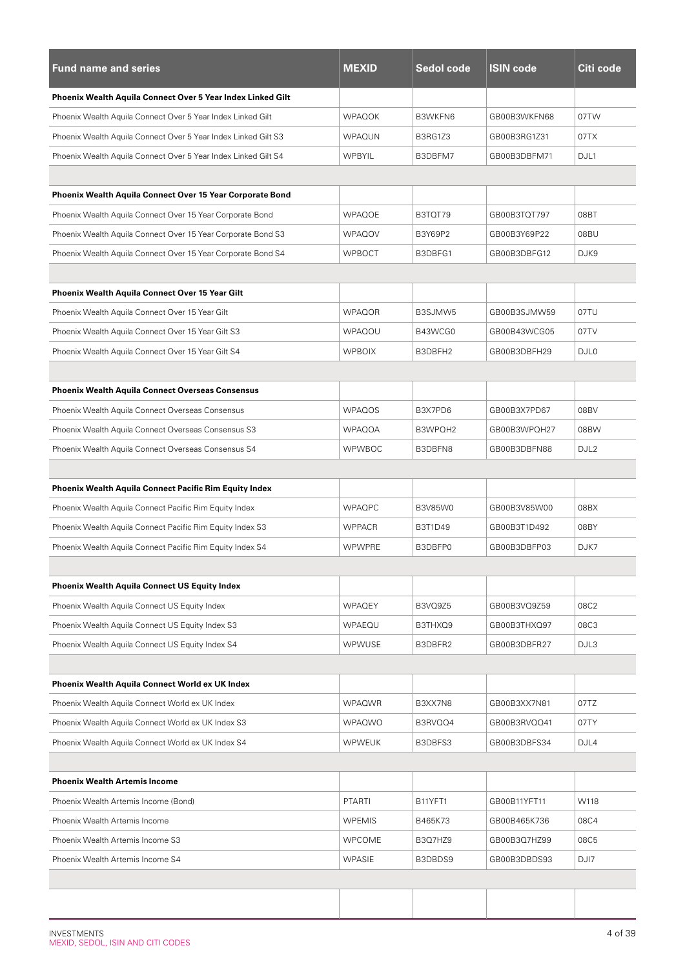| <b>Fund name and series</b>                                    | <b>MEXID</b>  | <b>Sedol code</b> | <b>ISIN code</b> | Citi code        |  |
|----------------------------------------------------------------|---------------|-------------------|------------------|------------------|--|
| Phoenix Wealth Aquila Connect Over 5 Year Index Linked Gilt    |               |                   |                  |                  |  |
| Phoenix Wealth Aquila Connect Over 5 Year Index Linked Gilt    | <b>WPAQOK</b> | B3WKFN6           | GB00B3WKFN68     | 07TW             |  |
| Phoenix Wealth Aquila Connect Over 5 Year Index Linked Gilt S3 | <b>WPAQUN</b> | B3RG1Z3           | GB00B3RG1Z31     | 07TX             |  |
| Phoenix Wealth Aquila Connect Over 5 Year Index Linked Gilt S4 | <b>WPBYIL</b> | B3DBFM7           | GB00B3DBFM71     | DJL1             |  |
|                                                                |               |                   |                  |                  |  |
| Phoenix Wealth Aquila Connect Over 15 Year Corporate Bond      |               |                   |                  |                  |  |
| Phoenix Wealth Aquila Connect Over 15 Year Corporate Bond      | <b>WPAQOE</b> | B3TQT79           | GB00B3TQT797     | 08BT             |  |
| Phoenix Wealth Aquila Connect Over 15 Year Corporate Bond S3   | <b>WPAQOV</b> | B3Y69P2           | GB00B3Y69P22     | 08BU             |  |
| Phoenix Wealth Aquila Connect Over 15 Year Corporate Bond S4   | <b>WPBOCT</b> | B3DBFG1           | GB00B3DBFG12     | DJK9             |  |
|                                                                |               |                   |                  |                  |  |
| <b>Phoenix Wealth Aquila Connect Over 15 Year Gilt</b>         |               |                   |                  |                  |  |
| Phoenix Wealth Aquila Connect Over 15 Year Gilt                | <b>WPAQOR</b> | B3SJMW5           | GB00B3SJMW59     | 07TU             |  |
| Phoenix Wealth Aquila Connect Over 15 Year Gilt S3             | <b>WPAQOU</b> | B43WCG0           | GB00B43WCG05     | 07TV             |  |
| Phoenix Wealth Aquila Connect Over 15 Year Gilt S4             | <b>WPBOIX</b> | B3DBFH2           | GB00B3DBFH29     | DJL <sub>0</sub> |  |
|                                                                |               |                   |                  |                  |  |
| <b>Phoenix Wealth Aquila Connect Overseas Consensus</b>        |               |                   |                  |                  |  |
| Phoenix Wealth Aquila Connect Overseas Consensus               | <b>WPAQOS</b> | B3X7PD6           | GB00B3X7PD67     | 08BV             |  |
| Phoenix Wealth Aquila Connect Overseas Consensus S3            | <b>WPAQOA</b> | B3WPQH2           | GB00B3WPQH27     | 08BW             |  |
| Phoenix Wealth Aquila Connect Overseas Consensus S4            | <b>WPWBOC</b> | B3DBFN8           | GB00B3DBFN88     | DJL <sub>2</sub> |  |
|                                                                |               |                   |                  |                  |  |
| <b>Phoenix Wealth Aquila Connect Pacific Rim Equity Index</b>  |               |                   |                  |                  |  |
| Phoenix Wealth Aquila Connect Pacific Rim Equity Index         | <b>WPAQPC</b> | B3V85W0           | GB00B3V85W00     | 08BX             |  |
| Phoenix Wealth Aquila Connect Pacific Rim Equity Index S3      | <b>WPPACR</b> | B3T1D49           | GB00B3T1D492     | 08BY             |  |
| Phoenix Wealth Aquila Connect Pacific Rim Equity Index S4      | <b>WPWPRE</b> | B3DBFP0           | GB00B3DBFP03     | DJK7             |  |
|                                                                |               |                   |                  |                  |  |
| <b>Phoenix Wealth Aquila Connect US Equity Index</b>           |               |                   |                  |                  |  |
| Phoenix Wealth Aquila Connect US Equity Index                  | <b>WPAQEY</b> | B3VQ9Z5           | GB00B3VQ9Z59     | 08C2             |  |
| Phoenix Wealth Aquila Connect US Equity Index S3               | WPAEQU        | B3THXQ9           | GB00B3THXQ97     | 08C3             |  |
| Phoenix Wealth Aquila Connect US Equity Index S4               | <b>WPWUSE</b> | B3DBFR2           | GB00B3DBFR27     | DJL3             |  |
|                                                                |               |                   |                  |                  |  |
| Phoenix Wealth Aquila Connect World ex UK Index                |               |                   |                  |                  |  |
| Phoenix Wealth Aquila Connect World ex UK Index                | <b>WPAQWR</b> | B3XX7N8           | GB00B3XX7N81     | 07TZ             |  |
| Phoenix Wealth Aquila Connect World ex UK Index S3             | <b>WPAQWO</b> | B3RVQQ4           | GB00B3RVQQ41     | 07TY             |  |
| Phoenix Wealth Aquila Connect World ex UK Index S4             | <b>WPWEUK</b> | B3DBFS3           | GB00B3DBFS34     | DJL4             |  |
|                                                                |               |                   |                  |                  |  |
| <b>Phoenix Wealth Artemis Income</b>                           |               |                   |                  |                  |  |
| Phoenix Wealth Artemis Income (Bond)                           | <b>PTARTI</b> | B11YFT1           | GB00B11YFT11     | W118             |  |
| Phoenix Wealth Artemis Income                                  | <b>WPEMIS</b> | B465K73           | GB00B465K736     | 08C4             |  |
| Phoenix Wealth Artemis Income S3                               | <b>WPCOME</b> | B3Q7HZ9           | GB00B3Q7HZ99     | 08C5             |  |
| Phoenix Wealth Artemis Income S4                               | <b>WPASIE</b> | B3DBDS9           | GB00B3DBDS93     | DJ17             |  |
|                                                                |               |                   |                  |                  |  |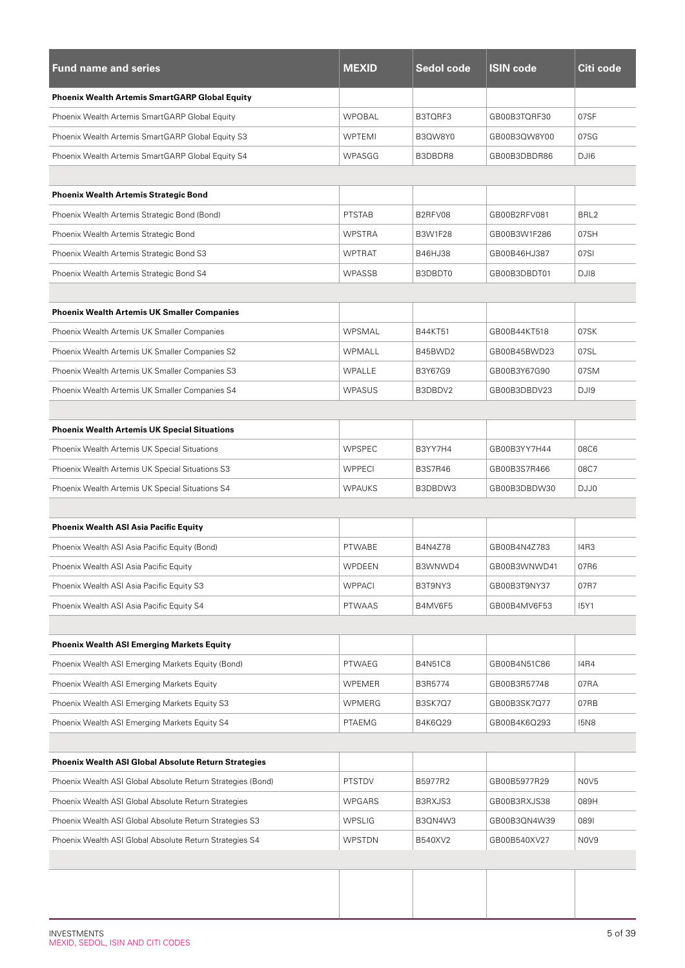| <b>Fund name and series</b>                                 | <b>MEXID</b>  | Sedol code     | <b>ISIN code</b> | Citi code                     |
|-------------------------------------------------------------|---------------|----------------|------------------|-------------------------------|
| <b>Phoenix Wealth Artemis SmartGARP Global Equity</b>       |               |                |                  |                               |
| Phoenix Wealth Artemis SmartGARP Global Equity              | <b>WPOBAL</b> | B3TQRF3        | GB00B3TQRF30     | 07SF                          |
| Phoenix Wealth Artemis SmartGARP Global Equity S3           | WPTEMI        | B3QW8Y0        | GB00B3QW8Y00     | 07SG                          |
| Phoenix Wealth Artemis SmartGARP Global Equity S4           | WPASGG        | B3DBDR8        | GB00B3DBDR86     | DJI6                          |
|                                                             |               |                |                  |                               |
| <b>Phoenix Wealth Artemis Strategic Bond</b>                |               |                |                  |                               |
| Phoenix Wealth Artemis Strategic Bond (Bond)                | <b>PTSTAB</b> | B2RFV08        | GB00B2RFV081     | BRL <sub>2</sub>              |
| Phoenix Wealth Artemis Strategic Bond                       | <b>WPSTRA</b> | <b>B3W1F28</b> | GB00B3W1F286     | 07SH                          |
| Phoenix Wealth Artemis Strategic Bond S3                    | <b>WPTRAT</b> | B46HJ38        | GB00B46HJ387     | 07SI                          |
| Phoenix Wealth Artemis Strategic Bond S4                    | <b>WPASSB</b> | B3DBDT0        | GB00B3DBDT01     | DJ18                          |
|                                                             |               |                |                  |                               |
| <b>Phoenix Wealth Artemis UK Smaller Companies</b>          |               |                |                  |                               |
| Phoenix Wealth Artemis UK Smaller Companies                 | WPSMAL        | <b>B44KT51</b> | GB00B44KT518     | 07SK                          |
| Phoenix Wealth Artemis UK Smaller Companies S2              | WPMALL        | B45BWD2        | GB00B45BWD23     | 07SL                          |
| Phoenix Wealth Artemis UK Smaller Companies S3              | WPALLE        | B3Y67G9        | GB00B3Y67G90     | 07SM                          |
| Phoenix Wealth Artemis UK Smaller Companies S4              | <b>WPASUS</b> | B3DBDV2        | GB00B3DBDV23     | DJI9                          |
|                                                             |               |                |                  |                               |
| <b>Phoenix Wealth Artemis UK Special Situations</b>         |               |                |                  |                               |
| Phoenix Wealth Artemis UK Special Situations                | <b>WPSPEC</b> | B3YY7H4        | GB00B3YY7H44     | 08C6                          |
| Phoenix Wealth Artemis UK Special Situations S3             | <b>WPPECI</b> | <b>B3S7R46</b> | GB00B3S7R466     | 08C7                          |
| Phoenix Wealth Artemis UK Special Situations S4             | <b>WPAUKS</b> | B3DBDW3        | GB00B3DBDW30     | DJJ0                          |
|                                                             |               |                |                  |                               |
| <b>Phoenix Wealth ASI Asia Pacific Equity</b>               |               |                |                  |                               |
| Phoenix Wealth ASI Asia Pacific Equity (Bond)               | PTWABE        | B4N4Z78        | GB00B4N4Z783     | 14R3                          |
| Phoenix Wealth ASI Asia Pacific Equity                      | WPDEEN        | B3WNWD4        | GB00B3WNWD41     | 07R6                          |
| Phoenix Wealth ASI Asia Pacific Equity S3                   | <b>WPPACI</b> | B3T9NY3        | GB00B3T9NY37     | 07R7                          |
| Phoenix Wealth ASI Asia Pacific Equity S4                   | <b>PTWAAS</b> | B4MV6F5        | GB00B4MV6F53     | <b>I5Y1</b>                   |
|                                                             |               |                |                  |                               |
| <b>Phoenix Wealth ASI Emerging Markets Equity</b>           |               |                |                  |                               |
| Phoenix Wealth ASI Emerging Markets Equity (Bond)           | <b>PTWAEG</b> | <b>B4N51C8</b> | GB00B4N51C86     | <b>I4R4</b>                   |
| Phoenix Wealth ASI Emerging Markets Equity                  | WPEMER        | B3R5774        | GB00B3R57748     | 07RA                          |
| Phoenix Wealth ASI Emerging Markets Equity S3               | WPMERG        | <b>B3SK7Q7</b> | GB00B3SK7Q77     | 07RB                          |
| Phoenix Wealth ASI Emerging Markets Equity S4               | PTAEMG        | B4K6Q29        | GB00B4K6Q293     | <b>I5N8</b>                   |
|                                                             |               |                |                  |                               |
| <b>Phoenix Wealth ASI Global Absolute Return Strategies</b> |               |                |                  |                               |
| Phoenix Wealth ASI Global Absolute Return Strategies (Bond) | <b>PTSTDV</b> | B5977R2        | GB00B5977R29     | NOV5                          |
| Phoenix Wealth ASI Global Absolute Return Strategies        | WPGARS        | B3RXJS3        | GB00B3RXJS38     | 089H                          |
| Phoenix Wealth ASI Global Absolute Return Strategies S3     | <b>WPSLIG</b> | B3QN4W3        | GB00B3QN4W39     | 0891                          |
| Phoenix Wealth ASI Global Absolute Return Strategies S4     | WPSTDN        | B540XV2        | GB00B540XV27     | N <sub>0</sub> V <sub>9</sub> |
|                                                             |               |                |                  |                               |
|                                                             |               |                |                  |                               |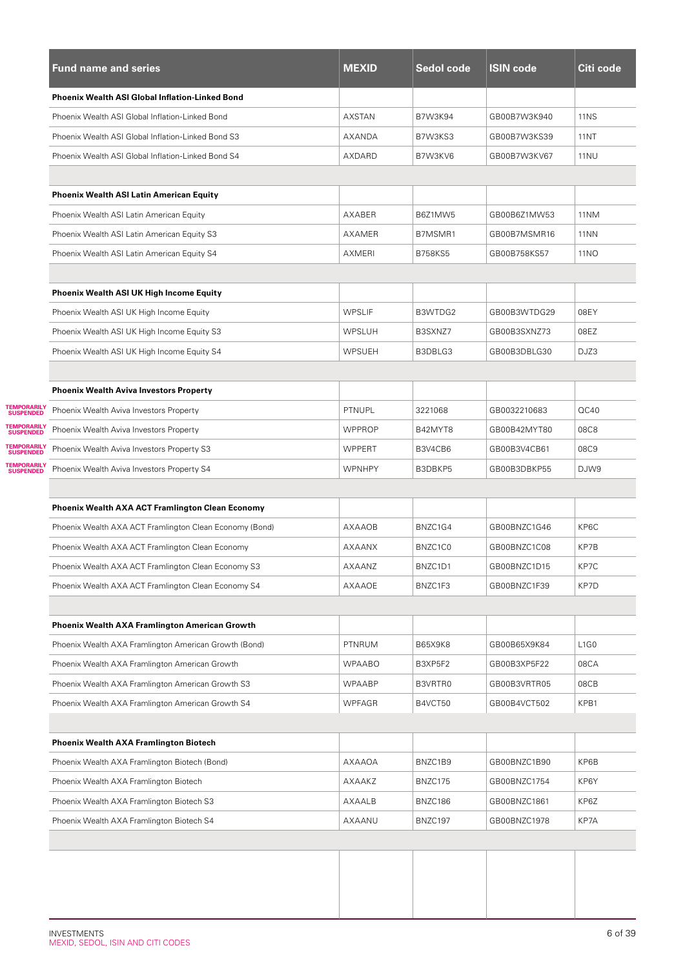|                                               | <b>Fund name and series</b>                             | <b>MEXID</b>  | Sedol code     | <b>ISIN code</b> | Citi code                     |
|-----------------------------------------------|---------------------------------------------------------|---------------|----------------|------------------|-------------------------------|
|                                               | <b>Phoenix Wealth ASI Global Inflation-Linked Bond</b>  |               |                |                  |                               |
|                                               | Phoenix Wealth ASI Global Inflation-Linked Bond         | AXSTAN        | <b>B7W3K94</b> | GB00B7W3K940     | <b>11NS</b>                   |
|                                               | Phoenix Wealth ASI Global Inflation-Linked Bond S3      | AXANDA        | B7W3KS3        | GB00B7W3KS39     | <b>11NT</b>                   |
|                                               | Phoenix Wealth ASI Global Inflation-Linked Bond S4      | AXDARD        | B7W3KV6        | GB00B7W3KV67     | <b>11NU</b>                   |
|                                               |                                                         |               |                |                  |                               |
|                                               | <b>Phoenix Wealth ASI Latin American Equity</b>         |               |                |                  |                               |
|                                               | Phoenix Wealth ASI Latin American Equity                | AXABER        | B6Z1MW5        | GB00B6Z1MW53     | 11NM                          |
|                                               | Phoenix Wealth ASI Latin American Equity S3             | AXAMER        | B7MSMR1        | GB00B7MSMR16     | 11NN                          |
|                                               | Phoenix Wealth ASI Latin American Equity S4             | AXMERI        | <b>B758KS5</b> | GB00B758KS57     | <b>11NO</b>                   |
|                                               |                                                         |               |                |                  |                               |
|                                               | <b>Phoenix Wealth ASI UK High Income Equity</b>         |               |                |                  |                               |
|                                               | Phoenix Wealth ASI UK High Income Equity                | <b>WPSLIF</b> | B3WTDG2        | GB00B3WTDG29     | 08EY                          |
|                                               | Phoenix Wealth ASI UK High Income Equity S3             | <b>WPSLUH</b> | B3SXNZ7        | GB00B3SXNZ73     | 08EZ                          |
|                                               | Phoenix Wealth ASI UK High Income Equity S4             | WPSUEH        | B3DBLG3        | GB00B3DBLG30     | DJZ3                          |
|                                               |                                                         |               |                |                  |                               |
|                                               | <b>Phoenix Wealth Aviva Investors Property</b>          |               |                |                  |                               |
| <b>TEMPORARILY<br/>SUSPENDED</b>              | Phoenix Wealth Aviva Investors Property                 | PTNUPL        | 3221068        | GB0032210683     | QC40                          |
| <b>TEMPORARILY<br/>SUSPENDED</b>              | Phoenix Wealth Aviva Investors Property                 | <b>WPPROP</b> | B42MYT8        | GB00B42MYT80     | 08C8                          |
| <b>TEMPORARILY<br/>SUSPENDED</b>              | Phoenix Wealth Aviva Investors Property S3              | <b>WPPERT</b> | B3V4CB6        | GB00B3V4CB61     | 08C9                          |
| <b><i>TEMPORARILY</i></b><br><b>SUSPENDED</b> | Phoenix Wealth Aviva Investors Property S4              | <b>WPNHPY</b> | B3DBKP5        | GB00B3DBKP55     | DJW9                          |
|                                               |                                                         |               |                |                  |                               |
|                                               | <b>Phoenix Wealth AXA ACT Framlington Clean Economy</b> |               |                |                  |                               |
|                                               | Phoenix Wealth AXA ACT Framlington Clean Economy (Bond) | <b>AXAAOB</b> | BNZC1G4        | GB00BNZC1G46     | KP6C                          |
|                                               | Phoenix Wealth AXA ACT Framlington Clean Economy        | <b>AXAANX</b> | BNZC1C0        | GB00BNZC1C08     | KP7B                          |
|                                               | Phoenix Wealth AXA ACT Framlington Clean Economy S3     | AXAANZ        | BNZC1D1        | GB00BNZC1D15     | KP7C                          |
|                                               | Phoenix Wealth AXA ACT Framlington Clean Economy S4     | AXAAOE        | BNZC1F3        | GB00BNZC1F39     | KP7D                          |
|                                               |                                                         |               |                |                  |                               |
|                                               | Phoenix Wealth AXA Framlington American Growth          |               |                |                  |                               |
|                                               | Phoenix Wealth AXA Framlington American Growth (Bond)   | PTNRUM        | <b>B65X9K8</b> | GB00B65X9K84     | L <sub>1</sub> G <sub>0</sub> |
|                                               | Phoenix Wealth AXA Framlington American Growth          | <b>WPAABO</b> | B3XP5F2        | GB00B3XP5F22     | 08CA                          |
|                                               | Phoenix Wealth AXA Framlington American Growth S3       | WPAABP        | B3VRTR0        | GB00B3VRTR05     | 08CB                          |
|                                               | Phoenix Wealth AXA Framlington American Growth S4       | <b>WPFAGR</b> | B4VCT50        | GB00B4VCT502     | KPB1                          |
|                                               |                                                         |               |                |                  |                               |
|                                               | <b>Phoenix Wealth AXA Framlington Biotech</b>           |               |                |                  |                               |
|                                               | Phoenix Wealth AXA Framlington Biotech (Bond)           | AXAAOA        | BNZC1B9        | GB00BNZC1B90     | KP6B                          |
|                                               | Phoenix Wealth AXA Framlington Biotech                  | AXAAKZ        | BNZC175        | GB00BNZC1754     | KP6Y                          |
|                                               | Phoenix Wealth AXA Framlington Biotech S3               | AXAALB        | BNZC186        | GB00BNZC1861     | KP6Z                          |
|                                               | Phoenix Wealth AXA Framlington Biotech S4               | AXAANU        | BNZC197        | GB00BNZC1978     | KP7A                          |
|                                               |                                                         |               |                |                  |                               |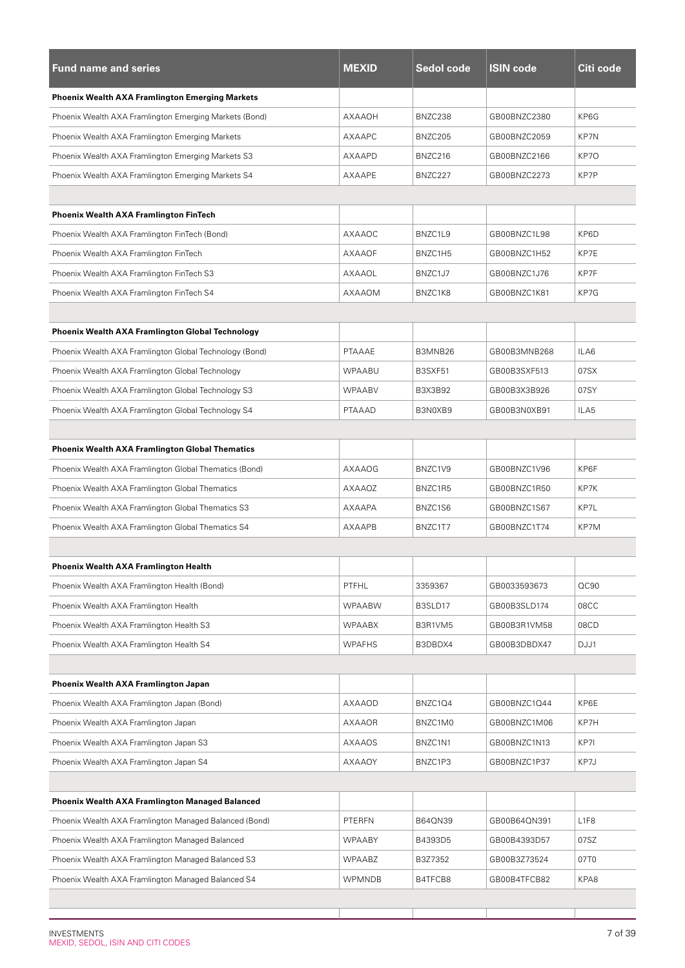| <b>Fund name and series</b>                             | <b>MEXID</b>  | Sedol code | <b>ISIN code</b> | Citi code |  |  |
|---------------------------------------------------------|---------------|------------|------------------|-----------|--|--|
| <b>Phoenix Wealth AXA Framlington Emerging Markets</b>  |               |            |                  |           |  |  |
| Phoenix Wealth AXA Framlington Emerging Markets (Bond)  | <b>AXAAOH</b> | BNZC238    | GB00BNZC2380     | KP6G      |  |  |
| Phoenix Wealth AXA Framlington Emerging Markets         | AXAAPC        | BNZC205    | GB00BNZC2059     | KP7N      |  |  |
| Phoenix Wealth AXA Framlington Emerging Markets S3      | AXAAPD        | BNZC216    | GB00BNZC2166     | KP7O      |  |  |
| Phoenix Wealth AXA Framlington Emerging Markets S4      | AXAAPE        | BNZC227    | GB00BNZC2273     | KP7P      |  |  |
|                                                         |               |            |                  |           |  |  |
| <b>Phoenix Wealth AXA Framlington FinTech</b>           |               |            |                  |           |  |  |
| Phoenix Wealth AXA Framlington FinTech (Bond)           | AXAAOC        | BNZC1L9    | GB00BNZC1L98     | KP6D      |  |  |
| Phoenix Wealth AXA Framlington FinTech                  | <b>AXAAOF</b> | BNZC1H5    | GB00BNZC1H52     | KP7E      |  |  |
| Phoenix Wealth AXA Framlington FinTech S3               | <b>AXAAOL</b> | BNZC1J7    | GB00BNZC1J76     | KP7F      |  |  |
| Phoenix Wealth AXA Framlington FinTech S4               | <b>AXAAOM</b> | BNZC1K8    | GB00BNZC1K81     | KP7G      |  |  |
|                                                         |               |            |                  |           |  |  |
| <b>Phoenix Wealth AXA Framlington Global Technology</b> |               |            |                  |           |  |  |
| Phoenix Wealth AXA Framlington Global Technology (Bond) | PTAAAE        | B3MNB26    | GB00B3MNB268     | ILA6      |  |  |
| Phoenix Wealth AXA Framlington Global Technology        | <b>WPAABU</b> | B3SXF51    | GB00B3SXF513     | 07SX      |  |  |
| Phoenix Wealth AXA Framlington Global Technology S3     | <b>WPAABV</b> | B3X3B92    | GB00B3X3B926     | 07SY      |  |  |
| Phoenix Wealth AXA Framlington Global Technology S4     | PTAAAD        | B3N0XB9    | GB00B3N0XB91     | ILA5      |  |  |
|                                                         |               |            |                  |           |  |  |
| <b>Phoenix Wealth AXA Framlington Global Thematics</b>  |               |            |                  |           |  |  |
| Phoenix Wealth AXA Framlington Global Thematics (Bond)  | AXAAOG        | BNZC1V9    | GB00BNZC1V96     | KP6F      |  |  |
| Phoenix Wealth AXA Framlington Global Thematics         | AXAAOZ        | BNZC1R5    | GB00BNZC1R50     | KP7K      |  |  |
| Phoenix Wealth AXA Framlington Global Thematics S3      | AXAAPA        | BNZC1S6    | GB00BNZC1S67     | KP7L      |  |  |
| Phoenix Wealth AXA Framlington Global Thematics S4      | <b>AXAAPB</b> | BNZC1T7    | GB00BNZC1T74     | KP7M      |  |  |
|                                                         |               |            |                  |           |  |  |
| <b>Phoenix Wealth AXA Framlington Health</b>            |               |            |                  |           |  |  |
| Phoenix Wealth AXA Framlington Health (Bond)            | <b>PTFHL</b>  | 3359367    | GB0033593673     | OC90      |  |  |
| Phoenix Wealth AXA Framlington Health                   | <b>WPAABW</b> | B3SLD17    | GB00B3SLD174     | 08CC      |  |  |
| Phoenix Wealth AXA Framlington Health S3                | <b>WPAABX</b> | B3R1VM5    | GB00B3R1VM58     | 08CD      |  |  |
| Phoenix Wealth AXA Framlington Health S4                | <b>WPAFHS</b> | B3DBDX4    | GB00B3DBDX47     | DJJ1      |  |  |
|                                                         |               |            |                  |           |  |  |
| Phoenix Wealth AXA Framlington Japan                    |               |            |                  |           |  |  |
| Phoenix Wealth AXA Framlington Japan (Bond)             | AXAAOD        | BNZC1Q4    | GB00BNZC1Q44     | KP6E      |  |  |
| Phoenix Wealth AXA Framlington Japan                    | AXAAOR        | BNZC1M0    | GB00BNZC1M06     | KP7H      |  |  |
| Phoenix Wealth AXA Framlington Japan S3                 | AXAAOS        | BNZC1N1    | GB00BNZC1N13     | KP7I      |  |  |
| Phoenix Wealth AXA Framlington Japan S4                 | AXAAOY        | BNZC1P3    | GB00BNZC1P37     | KP7J      |  |  |
|                                                         |               |            |                  |           |  |  |
| <b>Phoenix Wealth AXA Framlington Managed Balanced</b>  |               |            |                  |           |  |  |
| Phoenix Wealth AXA Framlington Managed Balanced (Bond)  | PTERFN        | B64QN39    | GB00B64QN391     | L1F8      |  |  |
| Phoenix Wealth AXA Framlington Managed Balanced         | <b>WPAABY</b> | B4393D5    | GB00B4393D57     | 07SZ      |  |  |
| Phoenix Wealth AXA Framlington Managed Balanced S3      | <b>WPAABZ</b> | B3Z7352    | GB00B3Z73524     | 07T0      |  |  |
| Phoenix Wealth AXA Framlington Managed Balanced S4      | <b>WPMNDB</b> | B4TFCB8    | GB00B4TFCB82     | KPA8      |  |  |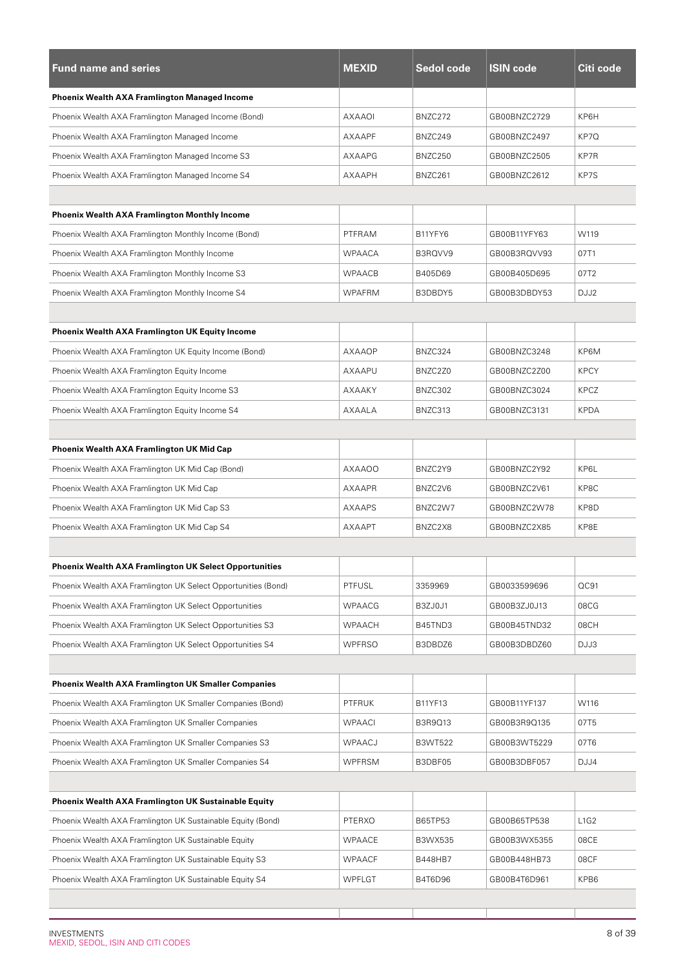| <b>Fund name and series</b>                                   | <b>MEXID</b>  | Sedol code     | <b>ISIN code</b> | Citi code   |
|---------------------------------------------------------------|---------------|----------------|------------------|-------------|
| <b>Phoenix Wealth AXA Framlington Managed Income</b>          |               |                |                  |             |
| Phoenix Wealth AXA Framlington Managed Income (Bond)          | AXAAOI        | BNZC272        | GB00BNZC2729     | KP6H        |
| Phoenix Wealth AXA Framlington Managed Income                 | AXAAPF        | BNZC249        | GB00BNZC2497     | KP7Q        |
| Phoenix Wealth AXA Framlington Managed Income S3              | AXAAPG        | BNZC250        | GB00BNZC2505     | KP7R        |
| Phoenix Wealth AXA Framlington Managed Income S4              | AXAAPH        | BNZC261        | GB00BNZC2612     | KP7S        |
|                                                               |               |                |                  |             |
| <b>Phoenix Wealth AXA Framlington Monthly Income</b>          |               |                |                  |             |
| Phoenix Wealth AXA Framlington Monthly Income (Bond)          | PTFRAM        | B11YFY6        | GB00B11YFY63     | W119        |
| Phoenix Wealth AXA Framlington Monthly Income                 | <b>WPAACA</b> | B3RQVV9        | GB00B3RQVV93     | 07T1        |
| Phoenix Wealth AXA Framlington Monthly Income S3              | <b>WPAACB</b> | B405D69        | GB00B405D695     | 07T2        |
| Phoenix Wealth AXA Framlington Monthly Income S4              | <b>WPAFRM</b> | B3DBDY5        | GB00B3DBDY53     | DJJ2        |
|                                                               |               |                |                  |             |
| <b>Phoenix Wealth AXA Framlington UK Equity Income</b>        |               |                |                  |             |
| Phoenix Wealth AXA Framlington UK Equity Income (Bond)        | AXAAOP        | BNZC324        | GB00BNZC3248     | KP6M        |
| Phoenix Wealth AXA Framlington Equity Income                  | AXAAPU        | BNZC2Z0        | GB00BNZC2Z00     | <b>KPCY</b> |
| Phoenix Wealth AXA Framlington Equity Income S3               | AXAAKY        | BNZC302        | GB00BNZC3024     | <b>KPCZ</b> |
| Phoenix Wealth AXA Framlington Equity Income S4               | AXAALA        | BNZC313        | GB00BNZC3131     | <b>KPDA</b> |
|                                                               |               |                |                  |             |
| <b>Phoenix Wealth AXA Framlington UK Mid Cap</b>              |               |                |                  |             |
| Phoenix Wealth AXA Framlington UK Mid Cap (Bond)              | AXAAOO        | BNZC2Y9        | GB00BNZC2Y92     | KP6L        |
| Phoenix Wealth AXA Framlington UK Mid Cap                     | AXAAPR        | BNZC2V6        | GB00BNZC2V61     | KP8C        |
| Phoenix Wealth AXA Framlington UK Mid Cap S3                  | AXAAPS        | BNZC2W7        | GB00BNZC2W78     | KP8D        |
| Phoenix Wealth AXA Framlington UK Mid Cap S4                  | AXAAPT        | BNZC2X8        | GB00BNZC2X85     | KP8E        |
|                                                               |               |                |                  |             |
| Phoenix Wealth AXA Framlington UK Select Opportunities        |               |                |                  |             |
| Phoenix Wealth AXA Framlington UK Select Opportunities (Bond) | <b>PTFUSL</b> | 3359969        | GB0033599696     | QC91        |
| Phoenix Wealth AXA Framlington UK Select Opportunities        | <b>WPAACG</b> | B3ZJ0J1        | GB00B3ZJ0J13     | 08CG        |
| Phoenix Wealth AXA Framlington UK Select Opportunities S3     | <b>WPAACH</b> | B45TND3        | GB00B45TND32     | 08CH        |
| Phoenix Wealth AXA Framlington UK Select Opportunities S4     | <b>WPFRSO</b> | B3DBDZ6        | GB00B3DBDZ60     | DJJ3        |
|                                                               |               |                |                  |             |
| <b>Phoenix Wealth AXA Framlington UK Smaller Companies</b>    |               |                |                  |             |
| Phoenix Wealth AXA Framlington UK Smaller Companies (Bond)    | <b>PTFRUK</b> | B11YF13        | GB00B11YF137     | W116        |
| Phoenix Wealth AXA Framlington UK Smaller Companies           | <b>WPAACI</b> | B3R9Q13        | GB00B3R9Q135     | 07T5        |
| Phoenix Wealth AXA Framlington UK Smaller Companies S3        | WPAACJ        | <b>B3WT522</b> | GB00B3WT5229     | 07T6        |
| Phoenix Wealth AXA Framlington UK Smaller Companies S4        | <b>WPFRSM</b> | B3DBF05        | GB00B3DBF057     | DJJ4        |
|                                                               |               |                |                  |             |
| <b>Phoenix Wealth AXA Framlington UK Sustainable Equity</b>   |               |                |                  |             |
| Phoenix Wealth AXA Framlington UK Sustainable Equity (Bond)   | PTERXO        | B65TP53        | GB00B65TP538     | L1G2        |
| Phoenix Wealth AXA Framlington UK Sustainable Equity          | <b>WPAACE</b> | B3WX535        | GB00B3WX5355     | 08CE        |
| Phoenix Wealth AXA Framlington UK Sustainable Equity S3       | <b>WPAACF</b> | B448HB7        | GB00B448HB73     | 08CF        |
| Phoenix Wealth AXA Framlington UK Sustainable Equity S4       | <b>WPFLGT</b> | B4T6D96        | GB00B4T6D961     | KPB6        |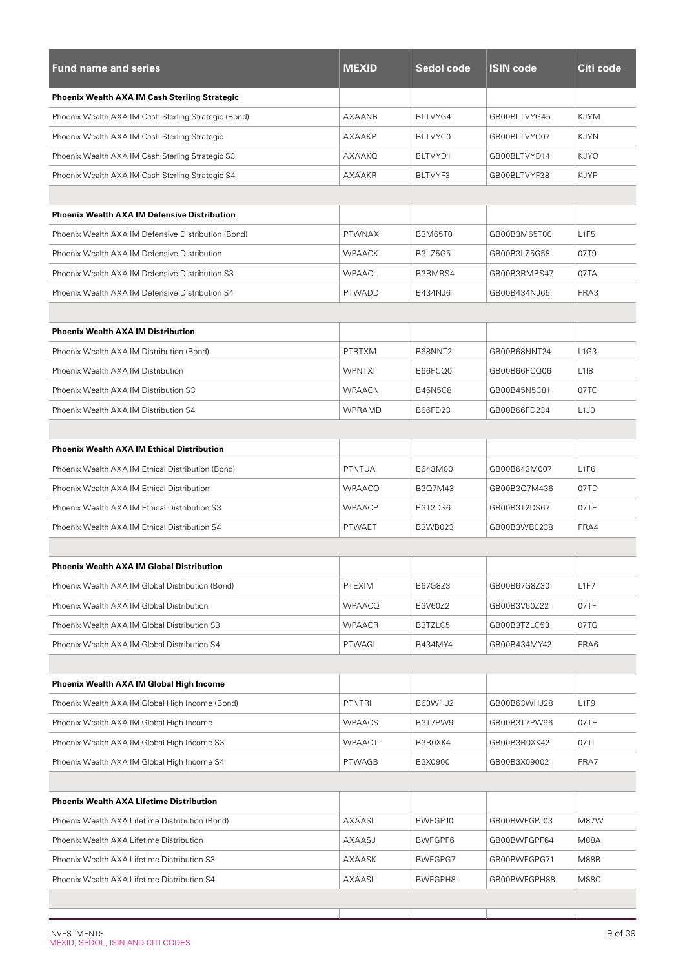| <b>Fund name and series</b>                          | <b>MEXID</b>  | Sedol code     | <b>ISIN code</b> | Citi code                     |
|------------------------------------------------------|---------------|----------------|------------------|-------------------------------|
| Phoenix Wealth AXA IM Cash Sterling Strategic        |               |                |                  |                               |
| Phoenix Wealth AXA IM Cash Sterling Strategic (Bond) | AXAANB        | BLTVYG4        | GB00BLTVYG45     | KJYM                          |
| Phoenix Wealth AXA IM Cash Sterling Strategic        | AXAAKP        | BLTVYC0        | GB00BLTVYC07     | KJYN                          |
| Phoenix Wealth AXA IM Cash Sterling Strategic S3     | AXAAKQ        | BLTVYD1        | GB00BLTVYD14     | <b>KJYO</b>                   |
| Phoenix Wealth AXA IM Cash Sterling Strategic S4     | AXAAKR        | BLTVYF3        | GB00BLTVYF38     | KJYP                          |
|                                                      |               |                |                  |                               |
| <b>Phoenix Wealth AXA IM Defensive Distribution</b>  |               |                |                  |                               |
| Phoenix Wealth AXA IM Defensive Distribution (Bond)  | <b>PTWNAX</b> | <b>B3M65T0</b> | GB00B3M65T00     | L <sub>1F5</sub>              |
| Phoenix Wealth AXA IM Defensive Distribution         | <b>WPAACK</b> | B3LZ5G5        | GB00B3LZ5G58     | 07T9                          |
| Phoenix Wealth AXA IM Defensive Distribution S3      | <b>WPAACL</b> | B3RMBS4        | GB00B3RMBS47     | 07TA                          |
| Phoenix Wealth AXA IM Defensive Distribution S4      | PTWADD        | B434NJ6        | GB00B434NJ65     | FRA3                          |
|                                                      |               |                |                  |                               |
| <b>Phoenix Wealth AXA IM Distribution</b>            |               |                |                  |                               |
| Phoenix Wealth AXA IM Distribution (Bond)            | PTRTXM        | B68NNT2        | GB00B68NNT24     | L <sub>1</sub> G <sub>3</sub> |
| Phoenix Wealth AXA IM Distribution                   | <b>WPNTXI</b> | B66FCQ0        | GB00B66FCQ06     | L <sub>118</sub>              |
| Phoenix Wealth AXA IM Distribution S3                | <b>WPAACN</b> | <b>B45N5C8</b> | GB00B45N5C81     | 07TC                          |
| Phoenix Wealth AXA IM Distribution S4                | WPRAMD        | B66FD23        | GB00B66FD234     | L <sub>1</sub> J <sub>0</sub> |
|                                                      |               |                |                  |                               |
| <b>Phoenix Wealth AXA IM Ethical Distribution</b>    |               |                |                  |                               |
| Phoenix Wealth AXA IM Ethical Distribution (Bond)    | <b>PTNTUA</b> | B643M00        | GB00B643M007     | L <sub>1F6</sub>              |
| Phoenix Wealth AXA IM Ethical Distribution           | <b>WPAACO</b> | B3Q7M43        | GB00B3Q7M436     | 07TD                          |
| Phoenix Wealth AXA IM Ethical Distribution S3        | <b>WPAACP</b> | B3T2DS6        | GB00B3T2DS67     | 07TE                          |
| Phoenix Wealth AXA IM Ethical Distribution S4        | <b>PTWAET</b> | B3WB023        | GB00B3WB0238     | FRA4                          |
|                                                      |               |                |                  |                               |
| Phoenix Wealth AXA IM Global Distribution            |               |                |                  |                               |
| Phoenix Wealth AXA IM Global Distribution (Bond)     | PTEXIM        | B67G8Z3        | GB00B67G8Z30     | L1F7                          |
| Phoenix Wealth AXA IM Global Distribution            | <b>WPAACQ</b> | B3V60Z2        | GB00B3V60Z22     | 07TF                          |
| Phoenix Wealth AXA IM Global Distribution S3         | <b>WPAACR</b> | B3TZLC5        | GB00B3TZLC53     | 07TG                          |
| Phoenix Wealth AXA IM Global Distribution S4         | PTWAGL        | B434MY4        | GB00B434MY42     | FRA6                          |
|                                                      |               |                |                  |                               |
| Phoenix Wealth AXA IM Global High Income             |               |                |                  |                               |
| Phoenix Wealth AXA IM Global High Income (Bond)      | <b>PTNTRI</b> | B63WHJ2        | GB00B63WHJ28     | L <sub>1F9</sub>              |
| Phoenix Wealth AXA IM Global High Income             | <b>WPAACS</b> | B3T7PW9        | GB00B3T7PW96     | 07TH                          |
| Phoenix Wealth AXA IM Global High Income S3          | <b>WPAACT</b> | B3R0XK4        | GB00B3R0XK42     | 07TI                          |
| Phoenix Wealth AXA IM Global High Income S4          | <b>PTWAGB</b> | B3X0900        | GB00B3X09002     | FRA7                          |
|                                                      |               |                |                  |                               |
| <b>Phoenix Wealth AXA Lifetime Distribution</b>      |               |                |                  |                               |
| Phoenix Wealth AXA Lifetime Distribution (Bond)      | <b>AXAASI</b> | <b>BWFGPJ0</b> | GB00BWFGPJ03     | M87W                          |
| Phoenix Wealth AXA Lifetime Distribution             | AXAASJ        | BWFGPF6        | GB00BWFGPF64     | <b>M88A</b>                   |
| Phoenix Wealth AXA Lifetime Distribution S3          | AXAASK        | BWFGPG7        | GB00BWFGPG71     | M88B                          |
| Phoenix Wealth AXA Lifetime Distribution S4          | AXAASL        | BWFGPH8        | GB00BWFGPH88     | <b>M88C</b>                   |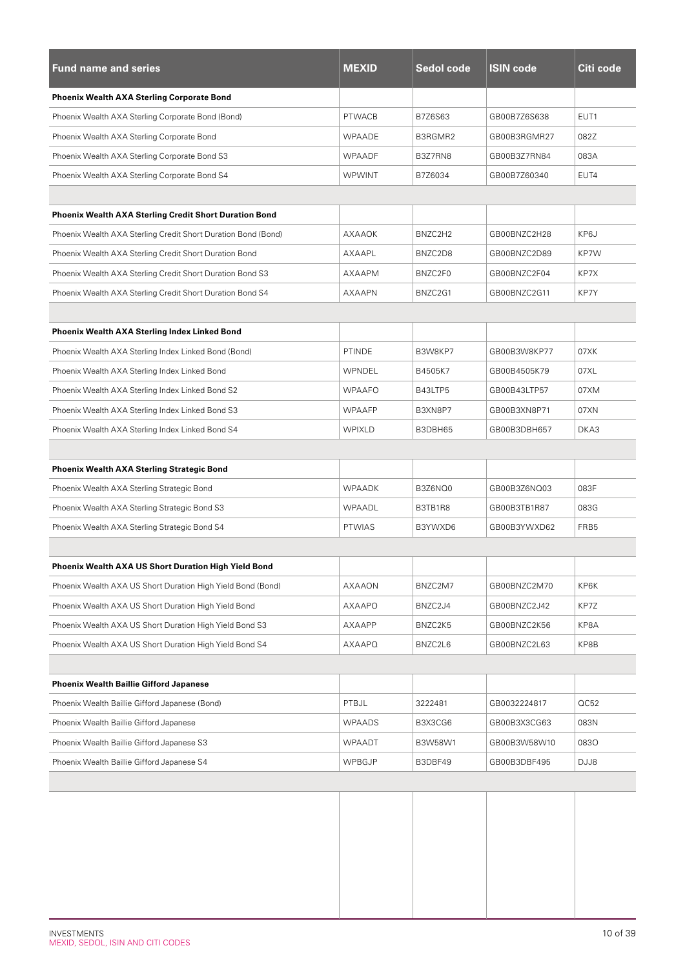| <b>Fund name and series</b>                                   | <b>MEXID</b>  | Sedol code | <b>ISIN code</b> | Citi code        |
|---------------------------------------------------------------|---------------|------------|------------------|------------------|
| <b>Phoenix Wealth AXA Sterling Corporate Bond</b>             |               |            |                  |                  |
| Phoenix Wealth AXA Sterling Corporate Bond (Bond)             | <b>PTWACB</b> | B7Z6S63    | GB00B7Z6S638     | EUT <sub>1</sub> |
| Phoenix Wealth AXA Sterling Corporate Bond                    | WPAADE        | B3RGMR2    | GB00B3RGMR27     | 082Z             |
| Phoenix Wealth AXA Sterling Corporate Bond S3                 | <b>WPAADF</b> | B3Z7RN8    | GB00B3Z7RN84     | 083A             |
| Phoenix Wealth AXA Sterling Corporate Bond S4                 | <b>WPWINT</b> | B7Z6034    | GB00B7Z60340     | EUT4             |
|                                                               |               |            |                  |                  |
| <b>Phoenix Wealth AXA Sterling Credit Short Duration Bond</b> |               |            |                  |                  |
| Phoenix Wealth AXA Sterling Credit Short Duration Bond (Bond) | AXAAOK        | BNZC2H2    | GB00BNZC2H28     | KP6J             |
| Phoenix Wealth AXA Sterling Credit Short Duration Bond        | AXAAPL        | BNZC2D8    | GB00BNZC2D89     | KP7W             |
| Phoenix Wealth AXA Sterling Credit Short Duration Bond S3     | AXAAPM        | BNZC2F0    | GB00BNZC2F04     | KP7X             |
| Phoenix Wealth AXA Sterling Credit Short Duration Bond S4     | <b>AXAAPN</b> | BNZC2G1    | GB00BNZC2G11     | KP7Y             |
|                                                               |               |            |                  |                  |
| Phoenix Wealth AXA Sterling Index Linked Bond                 |               |            |                  |                  |
| Phoenix Wealth AXA Sterling Index Linked Bond (Bond)          | <b>PTINDE</b> | B3W8KP7    | GB00B3W8KP77     | 07XK             |
| Phoenix Wealth AXA Sterling Index Linked Bond                 | WPNDEL        | B4505K7    | GB00B4505K79     | 07XL             |
| Phoenix Wealth AXA Sterling Index Linked Bond S2              | <b>WPAAFO</b> | B43LTP5    | GB00B43LTP57     | 07XM             |
| Phoenix Wealth AXA Sterling Index Linked Bond S3              | <b>WPAAFP</b> | B3XN8P7    | GB00B3XN8P71     | 07XN             |
| Phoenix Wealth AXA Sterling Index Linked Bond S4              | <b>WPIXLD</b> | B3DBH65    | GB00B3DBH657     | DKA3             |
|                                                               |               |            |                  |                  |
| <b>Phoenix Wealth AXA Sterling Strategic Bond</b>             |               |            |                  |                  |
| Phoenix Wealth AXA Sterling Strategic Bond                    | WPAADK        | B3Z6NQ0    | GB00B3Z6NQ03     | 083F             |
| Phoenix Wealth AXA Sterling Strategic Bond S3                 | WPAADL        | B3TB1R8    | GB00B3TB1R87     | 083G             |
| Phoenix Wealth AXA Sterling Strategic Bond S4                 | <b>PTWIAS</b> | B3YWXD6    | GB00B3YWXD62     | FRB5             |
|                                                               |               |            |                  |                  |
| Phoenix Wealth AXA US Short Duration High Yield Bond          |               |            |                  |                  |
| Phoenix Wealth AXA US Short Duration High Yield Bond (Bond)   | AXAAON        | BNZC2M7    | GB00BNZC2M70     | KP6K             |
| Phoenix Wealth AXA US Short Duration High Yield Bond          | AXAAPO        | BNZC2J4    | GB00BNZC2J42     | KP7Z             |
| Phoenix Wealth AXA US Short Duration High Yield Bond S3       | AXAAPP        | BNZC2K5    | GB00BNZC2K56     | KP8A             |
| Phoenix Wealth AXA US Short Duration High Yield Bond S4       | AXAAPQ        | BNZC2L6    | GB00BNZC2L63     | KP8B             |
|                                                               |               |            |                  |                  |
| <b>Phoenix Wealth Baillie Gifford Japanese</b>                |               |            |                  |                  |
| Phoenix Wealth Baillie Gifford Japanese (Bond)                | PTBJL         | 3222481    | GB0032224817     | OC52             |
| Phoenix Wealth Baillie Gifford Japanese                       | <b>WPAADS</b> | B3X3CG6    | GB00B3X3CG63     | 083N             |
| Phoenix Wealth Baillie Gifford Japanese S3                    | WPAADT        | B3W58W1    | GB00B3W58W10     | 0830             |
| Phoenix Wealth Baillie Gifford Japanese S4                    | WPBGJP        | B3DBF49    | GB00B3DBF495     | DJJ8             |
|                                                               |               |            |                  |                  |
|                                                               |               |            |                  |                  |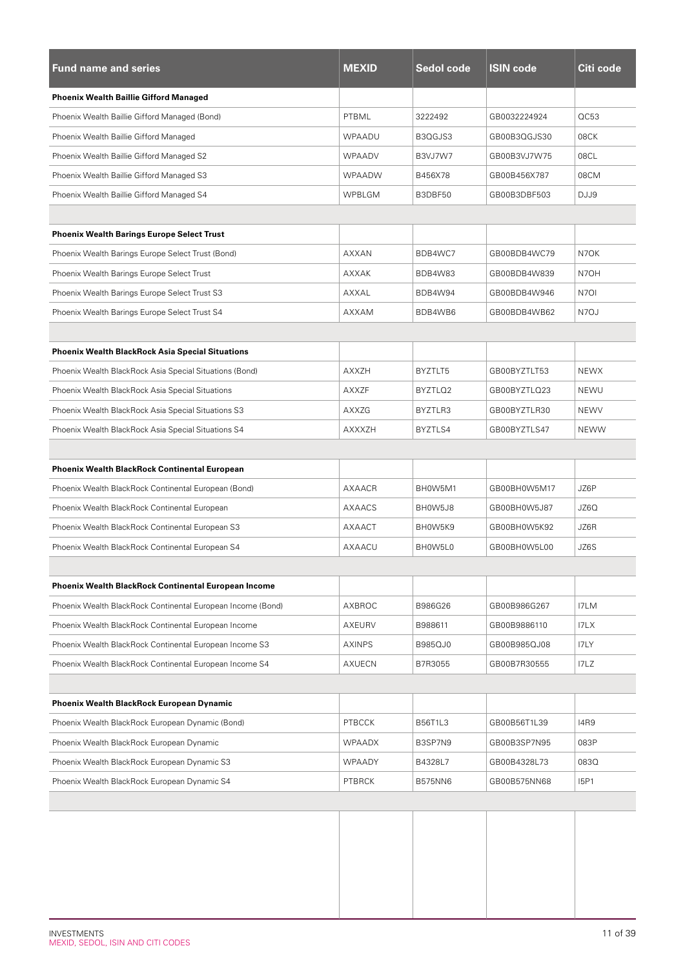| <b>Fund name and series</b>                                 | <b>MEXID</b>  | Sedol code     | <b>ISIN code</b> | Citi code   |
|-------------------------------------------------------------|---------------|----------------|------------------|-------------|
| <b>Phoenix Wealth Baillie Gifford Managed</b>               |               |                |                  |             |
| Phoenix Wealth Baillie Gifford Managed (Bond)               | PTBML         | 3222492        | GB0032224924     | QC53        |
| Phoenix Wealth Baillie Gifford Managed                      | WPAADU        | B3QGJS3        | GB00B3QGJS30     | 08CK        |
| Phoenix Wealth Baillie Gifford Managed S2                   | <b>WPAADV</b> | B3VJ7W7        | GB00B3VJ7W75     | 08CL        |
| Phoenix Wealth Baillie Gifford Managed S3                   | <b>WPAADW</b> | B456X78        | GB00B456X787     | 08CM        |
| Phoenix Wealth Baillie Gifford Managed S4                   | <b>WPBLGM</b> | B3DBF50        | GB00B3DBF503     | DJJ9        |
|                                                             |               |                |                  |             |
| <b>Phoenix Wealth Barings Europe Select Trust</b>           |               |                |                  |             |
| Phoenix Wealth Barings Europe Select Trust (Bond)           | <b>AXXAN</b>  | BDB4WC7        | GB00BDB4WC79     | N7OK        |
| Phoenix Wealth Barings Europe Select Trust                  | AXXAK         | BDB4W83        | GB00BDB4W839     | N7OH        |
| Phoenix Wealth Barings Europe Select Trust S3               | <b>AXXAL</b>  | BDB4W94        | GB00BDB4W946     | N7OI        |
| Phoenix Wealth Barings Europe Select Trust S4               | <b>AXXAM</b>  | BDB4WB6        | GB00BDB4WB62     | N7OJ        |
|                                                             |               |                |                  |             |
| <b>Phoenix Wealth BlackRock Asia Special Situations</b>     |               |                |                  |             |
| Phoenix Wealth BlackRock Asia Special Situations (Bond)     | <b>AXXZH</b>  | BYZTLT5        | GB00BYZTLT53     | <b>NEWX</b> |
| Phoenix Wealth BlackRock Asia Special Situations            | <b>AXXZF</b>  | BYZTLQ2        | GB00BYZTLQ23     | <b>NEWU</b> |
| Phoenix Wealth BlackRock Asia Special Situations S3         | AXXZG         | BYZTLR3        | GB00BYZTLR30     | <b>NEWV</b> |
| Phoenix Wealth BlackRock Asia Special Situations S4         | <b>AXXXZH</b> | BYZTLS4        | GB00BYZTLS47     | <b>NEWW</b> |
|                                                             |               |                |                  |             |
| <b>Phoenix Wealth BlackRock Continental European</b>        |               |                |                  |             |
| Phoenix Wealth BlackRock Continental European (Bond)        | <b>AXAACR</b> | BH0W5M1        | GB00BH0W5M17     | JZ6P        |
| Phoenix Wealth BlackRock Continental European               | AXAACS        | BH0W5J8        | GB00BH0W5J87     | JZ6Q        |
| Phoenix Wealth BlackRock Continental European S3            | AXAACT        | BH0W5K9        | GB00BH0W5K92     | JZ6R        |
| Phoenix Wealth BlackRock Continental European S4            | AXAACU        | BH0W5L0        | GB00BH0W5L00     | JZ6S        |
|                                                             |               |                |                  |             |
| <b>Phoenix Wealth BlackRock Continental European Income</b> |               |                |                  |             |
| Phoenix Wealth BlackRock Continental European Income (Bond) | AXBROC        | B986G26        | GB00B986G267     | I7LM        |
| Phoenix Wealth BlackRock Continental European Income        | AXEURV        | B988611        | GB00B9886110     | I7LX        |
| Phoenix Wealth BlackRock Continental European Income S3     | <b>AXINPS</b> | B985QJ0        | GB00B985QJ08     | I7LY        |
| Phoenix Wealth BlackRock Continental European Income S4     | AXUECN        | B7R3055        | GB00B7R30555     | IZ          |
|                                                             |               |                |                  |             |
| Phoenix Wealth BlackRock European Dynamic                   |               |                |                  |             |
| Phoenix Wealth BlackRock European Dynamic (Bond)            | <b>PTBCCK</b> | B56T1L3        | GB00B56T1L39     | 14R9        |
| Phoenix Wealth BlackRock European Dynamic                   | <b>WPAADX</b> | B3SP7N9        | GB00B3SP7N95     | 083P        |
| Phoenix Wealth BlackRock European Dynamic S3                | WPAADY        | B4328L7        | GB00B4328L73     | 083Q        |
| Phoenix Wealth BlackRock European Dynamic S4                | <b>PTBRCK</b> | <b>B575NN6</b> | GB00B575NN68     | <b>I5P1</b> |
|                                                             |               |                |                  |             |
|                                                             |               |                |                  |             |
|                                                             |               |                |                  |             |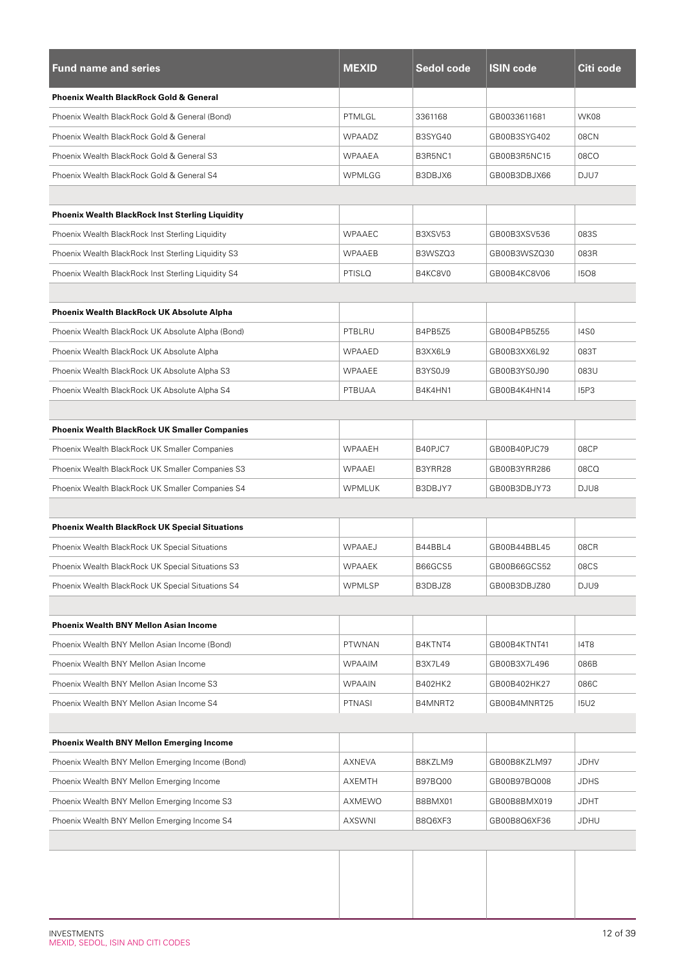| <b>Fund name and series</b>                             | <b>MEXID</b>  | <b>Sedol code</b> | <b>ISIN code</b> | Citi code   |
|---------------------------------------------------------|---------------|-------------------|------------------|-------------|
| <b>Phoenix Wealth BlackRock Gold &amp; General</b>      |               |                   |                  |             |
| Phoenix Wealth BlackRock Gold & General (Bond)          | PTMLGL        | 3361168           | GB0033611681     | WK08        |
| Phoenix Wealth BlackRock Gold & General                 | WPAADZ        | B3SYG40           | GB00B3SYG402     | 08CN        |
| Phoenix Wealth BlackRock Gold & General S3              | WPAAEA        | B3R5NC1           | GB00B3R5NC15     | 08CO        |
| Phoenix Wealth BlackRock Gold & General S4              | <b>WPMLGG</b> | B3DBJX6           | GB00B3DBJX66     | DJU7        |
|                                                         |               |                   |                  |             |
| <b>Phoenix Wealth BlackRock Inst Sterling Liquidity</b> |               |                   |                  |             |
| Phoenix Wealth BlackRock Inst Sterling Liquidity        | <b>WPAAEC</b> | B3XSV53           | GB00B3XSV536     | 083S        |
| Phoenix Wealth BlackRock Inst Sterling Liquidity S3     | <b>WPAAEB</b> | B3WSZQ3           | GB00B3WSZQ30     | 083R        |
| Phoenix Wealth BlackRock Inst Sterling Liquidity S4     | PTISLQ        | B4KC8V0           | GB00B4KC8V06     | 1508        |
|                                                         |               |                   |                  |             |
| Phoenix Wealth BlackRock UK Absolute Alpha              |               |                   |                  |             |
| Phoenix Wealth BlackRock UK Absolute Alpha (Bond)       | PTBLRU        | B4PB5Z5           | GB00B4PB5Z55     | <b>14S0</b> |
| Phoenix Wealth BlackRock UK Absolute Alpha              | WPAAED        | B3XX6L9           | GB00B3XX6L92     | 083T        |
| Phoenix Wealth BlackRock UK Absolute Alpha S3           | <b>WPAAEE</b> | B3YS0J9           | GB00B3YS0J90     | 083U        |
| Phoenix Wealth BlackRock UK Absolute Alpha S4           | PTBUAA        | B4K4HN1           | GB00B4K4HN14     | <b>I5P3</b> |
|                                                         |               |                   |                  |             |
| <b>Phoenix Wealth BlackRock UK Smaller Companies</b>    |               |                   |                  |             |
| Phoenix Wealth BlackRock UK Smaller Companies           | WPAAEH        | B40PJC7           | GB00B40PJC79     | 08CP        |
| Phoenix Wealth BlackRock UK Smaller Companies S3        | <b>WPAAEI</b> | B3YRR28           | GB00B3YRR286     | 08CQ        |
| Phoenix Wealth BlackRock UK Smaller Companies S4        | <b>WPMLUK</b> | B3DBJY7           | GB00B3DBJY73     | DJU8        |
|                                                         |               |                   |                  |             |
| <b>Phoenix Wealth BlackRock UK Special Situations</b>   |               |                   |                  |             |
| Phoenix Wealth BlackRock UK Special Situations          | WPAAEJ        | B44BBL4           | GB00B44BBL45     | 08CR        |
| Phoenix Wealth BlackRock UK Special Situations S3       | WPAAEK        | B66GCS5           | GB00B66GCS52     | 08CS        |
| Phoenix Wealth BlackRock UK Special Situations S4       | <b>WPMLSP</b> | B3DBJZ8           | GB00B3DBJZ80     | DJU9        |
|                                                         |               |                   |                  |             |
| <b>Phoenix Wealth BNY Mellon Asian Income</b>           |               |                   |                  |             |
| Phoenix Wealth BNY Mellon Asian Income (Bond)           | <b>PTWNAN</b> | B4KTNT4           | GB00B4KTNT41     | <b>I4T8</b> |
| Phoenix Wealth BNY Mellon Asian Income                  | <b>WPAAIM</b> | <b>B3X7L49</b>    | GB00B3X7L496     | 086B        |
| Phoenix Wealth BNY Mellon Asian Income S3               | <b>WPAAIN</b> | B402HK2           | GB00B402HK27     | 086C        |
| Phoenix Wealth BNY Mellon Asian Income S4               | PTNASI        | B4MNRT2           | GB00B4MNRT25     | <b>I5U2</b> |
|                                                         |               |                   |                  |             |
| <b>Phoenix Wealth BNY Mellon Emerging Income</b>        |               |                   |                  |             |
| Phoenix Wealth BNY Mellon Emerging Income (Bond)        | AXNEVA        | B8KZLM9           | GB00B8KZLM97     | <b>JDHV</b> |
| Phoenix Wealth BNY Mellon Emerging Income               | AXEMTH        | B97BQ00           | GB00B97BQ008     | <b>JDHS</b> |
| Phoenix Wealth BNY Mellon Emerging Income S3            | AXMEWO        | B8BMX01           | GB00B8BMX019     | JDHT        |
| Phoenix Wealth BNY Mellon Emerging Income S4            | AXSWNI        | B8Q6XF3           | GB00B8Q6XF36     | JDHU        |
|                                                         |               |                   |                  |             |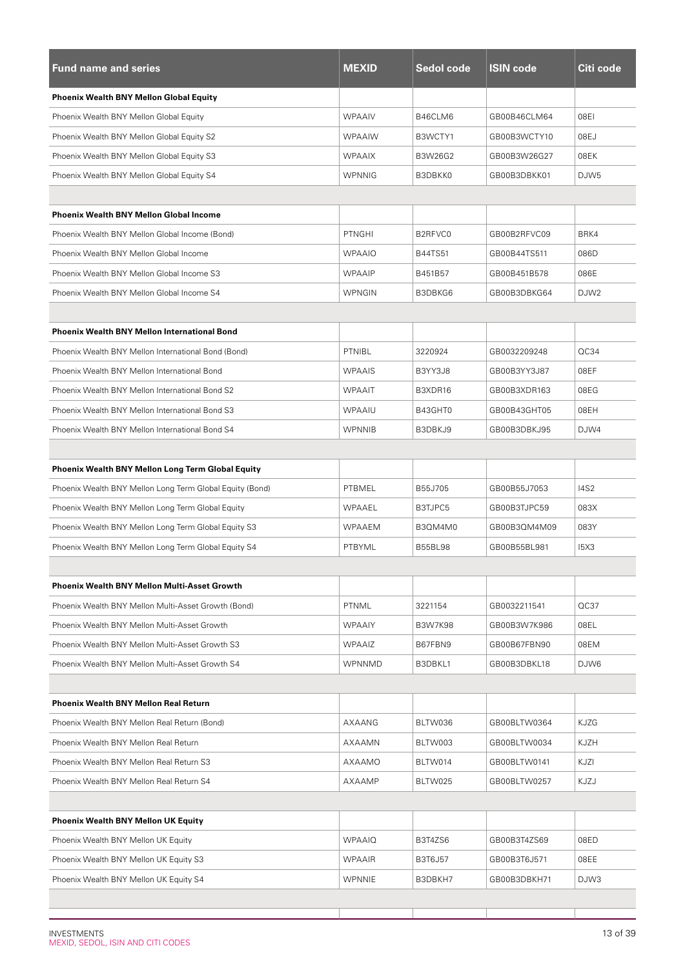| <b>Fund name and series</b>                              | <b>MEXID</b>  | <b>Sedol code</b> | <b>ISIN code</b> | Citi code        |
|----------------------------------------------------------|---------------|-------------------|------------------|------------------|
| <b>Phoenix Wealth BNY Mellon Global Equity</b>           |               |                   |                  |                  |
| Phoenix Wealth BNY Mellon Global Equity                  | <b>WPAAIV</b> | B46CLM6           | GB00B46CLM64     | 08EI             |
| Phoenix Wealth BNY Mellon Global Equity S2               | <b>WPAAIW</b> | B3WCTY1           | GB00B3WCTY10     | 08EJ             |
| Phoenix Wealth BNY Mellon Global Equity S3               | <b>WPAAIX</b> | B3W26G2           | GB00B3W26G27     | 08EK             |
| Phoenix Wealth BNY Mellon Global Equity S4               | <b>WPNNIG</b> | B3DBKK0           | GB00B3DBKK01     | DJW <sub>5</sub> |
|                                                          |               |                   |                  |                  |
| <b>Phoenix Wealth BNY Mellon Global Income</b>           |               |                   |                  |                  |
| Phoenix Wealth BNY Mellon Global Income (Bond)           | <b>PTNGHI</b> | B2RFVC0           | GB00B2RFVC09     | BRK4             |
| Phoenix Wealth BNY Mellon Global Income                  | <b>WPAAIO</b> | <b>B44TS51</b>    | GB00B44TS511     | 086D             |
| Phoenix Wealth BNY Mellon Global Income S3               | <b>WPAAIP</b> | B451B57           | GB00B451B578     | 086E             |
| Phoenix Wealth BNY Mellon Global Income S4               | <b>WPNGIN</b> | B3DBKG6           | GB00B3DBKG64     | DJW <sub>2</sub> |
|                                                          |               |                   |                  |                  |
| <b>Phoenix Wealth BNY Mellon International Bond</b>      |               |                   |                  |                  |
| Phoenix Wealth BNY Mellon International Bond (Bond)      | PTNIBL        | 3220924           | GB0032209248     | QC34             |
| Phoenix Wealth BNY Mellon International Bond             | <b>WPAAIS</b> | B3YY3J8           | GB00B3YY3J87     | 08EF             |
| Phoenix Wealth BNY Mellon International Bond S2          | <b>WPAAIT</b> | B3XDR16           | GB00B3XDR163     | 08EG             |
| Phoenix Wealth BNY Mellon International Bond S3          | WPAAIU        | B43GHT0           | GB00B43GHT05     | 08EH             |
| Phoenix Wealth BNY Mellon International Bond S4          | <b>WPNNIB</b> | B3DBKJ9           | GB00B3DBKJ95     | DJW4             |
|                                                          |               |                   |                  |                  |
| Phoenix Wealth BNY Mellon Long Term Global Equity        |               |                   |                  |                  |
| Phoenix Wealth BNY Mellon Long Term Global Equity (Bond) | PTBMEL        | B55J705           | GB00B55J7053     | <b>I4S2</b>      |
| Phoenix Wealth BNY Mellon Long Term Global Equity        | WPAAEL        | B3TJPC5           | GB00B3TJPC59     | 083X             |
| Phoenix Wealth BNY Mellon Long Term Global Equity S3     | <b>WPAAEM</b> | B30M4M0           | GB00B3QM4M09     | 083Y             |
| Phoenix Wealth BNY Mellon Long Term Global Equity S4     | PTBYML        | <b>B55BL98</b>    | GB00B55BL981     | <b>15X3</b>      |
|                                                          |               |                   |                  |                  |
| <b>Phoenix Wealth BNY Mellon Multi-Asset Growth</b>      |               |                   |                  |                  |
| Phoenix Wealth BNY Mellon Multi-Asset Growth (Bond)      | PTNML         | 3221154           | GB0032211541     | QC37             |
| Phoenix Wealth BNY Mellon Multi-Asset Growth             | <b>WPAAIY</b> | <b>B3W7K98</b>    | GB00B3W7K986     | 08EL             |
| Phoenix Wealth BNY Mellon Multi-Asset Growth S3          | <b>WPAAIZ</b> | B67FBN9           | GB00B67FBN90     | 08EM             |
| Phoenix Wealth BNY Mellon Multi-Asset Growth S4          | <b>WPNNMD</b> | B3DBKL1           | GB00B3DBKL18     | DJW6             |
|                                                          |               |                   |                  |                  |
| <b>Phoenix Wealth BNY Mellon Real Return</b>             |               |                   |                  |                  |
| Phoenix Wealth BNY Mellon Real Return (Bond)             | AXAANG        | BLTW036           | GB00BLTW0364     | <b>KJZG</b>      |
| Phoenix Wealth BNY Mellon Real Return                    | AXAAMN        | BLTW003           | GB00BLTW0034     | KJZH             |
| Phoenix Wealth BNY Mellon Real Return S3                 | AXAAMO        | BLTW014           | GB00BLTW0141     | KJZI             |
| Phoenix Wealth BNY Mellon Real Return S4                 | AXAAMP        | BLTW025           | GB00BLTW0257     | KJZJ             |
|                                                          |               |                   |                  |                  |
| <b>Phoenix Wealth BNY Mellon UK Equity</b>               |               |                   |                  |                  |
| Phoenix Wealth BNY Mellon UK Equity                      | <b>WPAAIQ</b> | B3T4ZS6           | GB00B3T4ZS69     | 08ED             |
| Phoenix Wealth BNY Mellon UK Equity S3                   | <b>WPAAIR</b> | B3T6J57           | GB00B3T6J571     | 08EE             |
| Phoenix Wealth BNY Mellon UK Equity S4                   | <b>WPNNIE</b> | B3DBKH7           | GB00B3DBKH71     | DJW3             |
|                                                          |               |                   |                  |                  |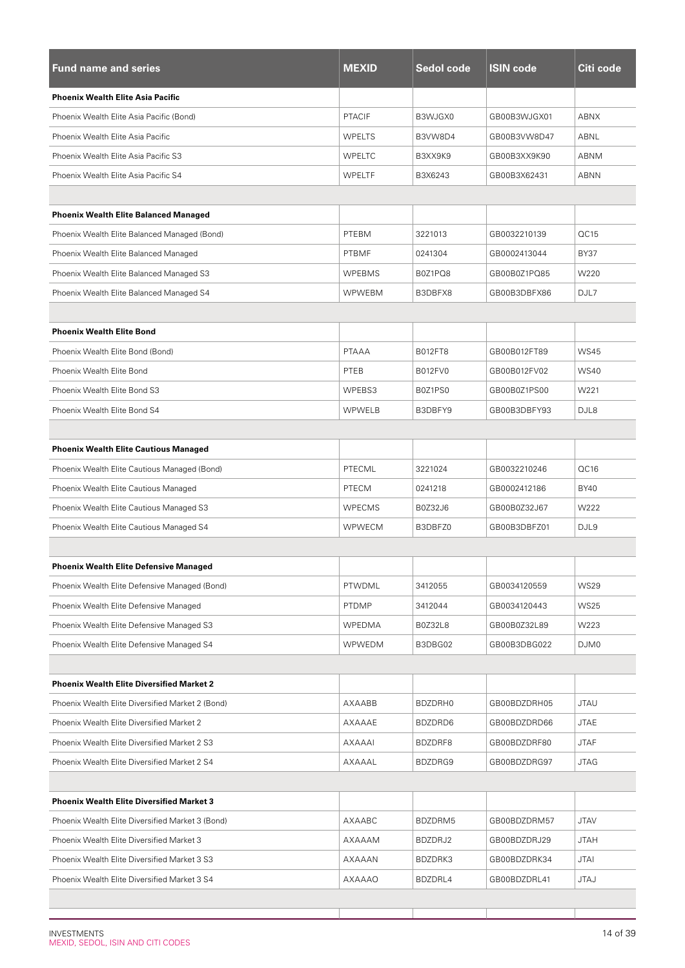| <b>Fund name and series</b>                      | <b>MEXID</b>  | <b>Sedol code</b> | <b>ISIN code</b> | Citi code   |
|--------------------------------------------------|---------------|-------------------|------------------|-------------|
| <b>Phoenix Wealth Elite Asia Pacific</b>         |               |                   |                  |             |
| Phoenix Wealth Elite Asia Pacific (Bond)         | <b>PTACIF</b> | B3WJGX0           | GB00B3WJGX01     | <b>ABNX</b> |
| Phoenix Wealth Elite Asia Pacific                | <b>WPELTS</b> | B3VW8D4           | GB00B3VW8D47     | ABNL        |
| Phoenix Wealth Elite Asia Pacific S3             | <b>WPELTC</b> | B3XX9K9           | GB00B3XX9K90     | ABNM        |
| Phoenix Wealth Elite Asia Pacific S4             | WPELTF        | B3X6243           | GB00B3X62431     | <b>ABNN</b> |
|                                                  |               |                   |                  |             |
| <b>Phoenix Wealth Elite Balanced Managed</b>     |               |                   |                  |             |
| Phoenix Wealth Elite Balanced Managed (Bond)     | PTEBM         | 3221013           | GB0032210139     | OC15        |
| Phoenix Wealth Elite Balanced Managed            | <b>PTBMF</b>  | 0241304           | GB0002413044     | <b>BY37</b> |
| Phoenix Wealth Elite Balanced Managed S3         | <b>WPEBMS</b> | B0Z1PQ8           | GB00B0Z1PQ85     | W220        |
| Phoenix Wealth Elite Balanced Managed S4         | <b>WPWEBM</b> | B3DBFX8           | GB00B3DBFX86     | DJL7        |
|                                                  |               |                   |                  |             |
| <b>Phoenix Wealth Elite Bond</b>                 |               |                   |                  |             |
| Phoenix Wealth Elite Bond (Bond)                 | <b>PTAAA</b>  | B012FT8           | GB00B012FT89     | <b>WS45</b> |
| Phoenix Wealth Elite Bond                        | PTEB          | <b>B012FV0</b>    | GB00B012FV02     | <b>WS40</b> |
| Phoenix Wealth Elite Bond S3                     | WPEBS3        | B0Z1PS0           | GB00B0Z1PS00     | W221        |
| Phoenix Wealth Elite Bond S4                     | <b>WPWELB</b> | B3DBFY9           | GB00B3DBFY93     | DJL8        |
|                                                  |               |                   |                  |             |
| <b>Phoenix Wealth Elite Cautious Managed</b>     |               |                   |                  |             |
| Phoenix Wealth Elite Cautious Managed (Bond)     | PTECML        | 3221024           | GB0032210246     | QC16        |
| Phoenix Wealth Elite Cautious Managed            | <b>PTECM</b>  | 0241218           | GB0002412186     | <b>BY40</b> |
| Phoenix Wealth Elite Cautious Managed S3         | <b>WPECMS</b> | B0Z32J6           | GB00B0Z32J67     | W222        |
| Phoenix Wealth Elite Cautious Managed S4         | <b>WPWECM</b> | B3DBFZ0           | GB00B3DBFZ01     | DJL9        |
|                                                  |               |                   |                  |             |
| <b>Phoenix Wealth Elite Defensive Managed</b>    |               |                   |                  |             |
| Phoenix Wealth Elite Defensive Managed (Bond)    | PTWDML        | 3412055           | GB0034120559     | <b>WS29</b> |
| Phoenix Wealth Elite Defensive Managed           | <b>PTDMP</b>  | 3412044           | GB0034120443     | <b>WS25</b> |
| Phoenix Wealth Elite Defensive Managed S3        | <b>WPEDMA</b> | B0Z32L8           | GB00B0Z32L89     | W223        |
| Phoenix Wealth Elite Defensive Managed S4        | WPWEDM        | B3DBG02           | GB00B3DBG022     | DJM0        |
|                                                  |               |                   |                  |             |
| <b>Phoenix Wealth Elite Diversified Market 2</b> |               |                   |                  |             |
| Phoenix Wealth Elite Diversified Market 2 (Bond) | AXAABB        | BDZDRH0           | GB00BDZDRH05     | <b>JTAU</b> |
| Phoenix Wealth Elite Diversified Market 2        | AXAAAE        | BDZDRD6           | GB00BDZDRD66     | <b>JTAE</b> |
| Phoenix Wealth Elite Diversified Market 2 S3     | AXAAAI        | BDZDRF8           | GB00BDZDRF80     | <b>JTAF</b> |
| Phoenix Wealth Elite Diversified Market 2 S4     | AXAAAL        | BDZDRG9           | GB00BDZDRG97     | <b>JTAG</b> |
|                                                  |               |                   |                  |             |
| <b>Phoenix Wealth Elite Diversified Market 3</b> |               |                   |                  |             |
| Phoenix Wealth Elite Diversified Market 3 (Bond) | AXAABC        | BDZDRM5           | GB00BDZDRM57     | <b>JTAV</b> |
| Phoenix Wealth Elite Diversified Market 3        | AXAAAM        | BDZDRJ2           | GB00BDZDRJ29     | <b>JTAH</b> |
| Phoenix Wealth Elite Diversified Market 3 S3     | AXAAAN        | BDZDRK3           | GB00BDZDRK34     | <b>JTAI</b> |
| Phoenix Wealth Elite Diversified Market 3 S4     | AXAAAO        | BDZDRL4           | GB00BDZDRL41     | <b>JTAJ</b> |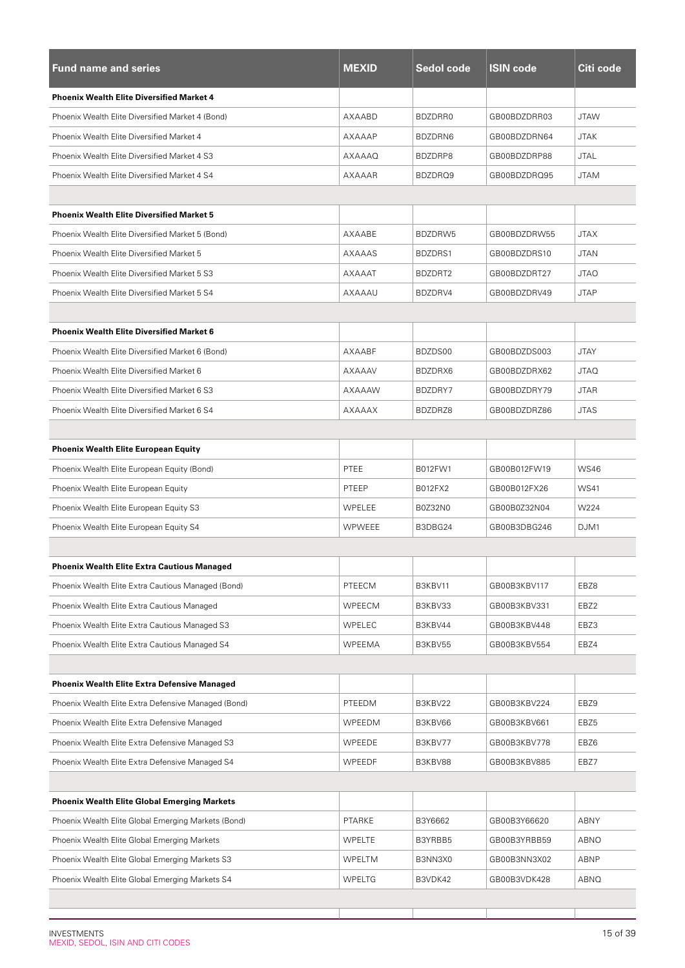| <b>Fund name and series</b>                         | <b>MEXID</b>  | Sedol code | <b>ISIN code</b> | Citi code   |
|-----------------------------------------------------|---------------|------------|------------------|-------------|
| <b>Phoenix Wealth Elite Diversified Market 4</b>    |               |            |                  |             |
| Phoenix Wealth Elite Diversified Market 4 (Bond)    | AXAABD        | BDZDRR0    | GB00BDZDRR03     | <b>JTAW</b> |
| Phoenix Wealth Elite Diversified Market 4           | <b>AXAAAP</b> | BDZDRN6    | GB00BDZDRN64     | <b>JTAK</b> |
| Phoenix Wealth Elite Diversified Market 4 S3        | AXAAAQ        | BDZDRP8    | GB00BDZDRP88     | <b>JTAL</b> |
| Phoenix Wealth Elite Diversified Market 4 S4        | <b>AXAAAR</b> | BDZDRQ9    | GB00BDZDRQ95     | <b>JTAM</b> |
|                                                     |               |            |                  |             |
| <b>Phoenix Wealth Elite Diversified Market 5</b>    |               |            |                  |             |
| Phoenix Wealth Elite Diversified Market 5 (Bond)    | AXAABE        | BDZDRW5    | GB00BDZDRW55     | <b>JTAX</b> |
| Phoenix Wealth Elite Diversified Market 5           | AXAAAS        | BDZDRS1    | GB00BDZDRS10     | <b>JTAN</b> |
| Phoenix Wealth Elite Diversified Market 5 S3        | AXAAAT        | BDZDRT2    | GB00BDZDRT27     | <b>JTAO</b> |
| Phoenix Wealth Elite Diversified Market 5 S4        | AXAAAU        | BDZDRV4    | GB00BDZDRV49     | <b>JTAP</b> |
|                                                     |               |            |                  |             |
| <b>Phoenix Wealth Elite Diversified Market 6</b>    |               |            |                  |             |
| Phoenix Wealth Elite Diversified Market 6 (Bond)    | AXAABF        | BDZDS00    | GB00BDZDS003     | <b>JTAY</b> |
| Phoenix Wealth Elite Diversified Market 6           | AXAAAV        | BDZDRX6    | GB00BDZDRX62     | <b>JTAQ</b> |
| Phoenix Wealth Elite Diversified Market 6 S3        | AXAAAW        | BDZDRY7    | GB00BDZDRY79     | <b>JTAR</b> |
| Phoenix Wealth Elite Diversified Market 6 S4        | AXAAAX        | BDZDRZ8    | GB00BDZDRZ86     | <b>JTAS</b> |
|                                                     |               |            |                  |             |
| <b>Phoenix Wealth Elite European Equity</b>         |               |            |                  |             |
| Phoenix Wealth Elite European Equity (Bond)         | <b>PTEE</b>   | B012FW1    | GB00B012FW19     | <b>WS46</b> |
| Phoenix Wealth Elite European Equity                | PTEEP         | B012FX2    | GB00B012FX26     | <b>WS41</b> |
| Phoenix Wealth Elite European Equity S3             | WPELEE        | B0Z32N0    | GB00B0Z32N04     | W224        |
| Phoenix Wealth Elite European Equity S4             | <b>WPWEEE</b> | B3DBG24    | GB00B3DBG246     | DJM1        |
|                                                     |               |            |                  |             |
| Phoenix Wealth Elite Extra Cautious Managed         |               |            |                  |             |
| Phoenix Wealth Elite Extra Cautious Managed (Bond)  | PTEECM        | B3KBV11    | GB00B3KBV117     | EBZ8        |
| Phoenix Wealth Elite Extra Cautious Managed         | WPEECM        | B3KBV33    | GB00B3KBV331     | EBZ2        |
| Phoenix Wealth Elite Extra Cautious Managed S3      | WPELEC        | B3KBV44    | GB00B3KBV448     | EBZ3        |
| Phoenix Wealth Elite Extra Cautious Managed S4      | <b>WPEEMA</b> | B3KBV55    | GB00B3KBV554     | EBZ4        |
|                                                     |               |            |                  |             |
| <b>Phoenix Wealth Elite Extra Defensive Managed</b> |               |            |                  |             |
| Phoenix Wealth Elite Extra Defensive Managed (Bond) | PTEEDM        | B3KBV22    | GB00B3KBV224     | EBZ9        |
| Phoenix Wealth Elite Extra Defensive Managed        | WPEEDM        | B3KBV66    | GB00B3KBV661     | EBZ5        |
| Phoenix Wealth Elite Extra Defensive Managed S3     | WPEEDE        | B3KBV77    | GB00B3KBV778     | EBZ6        |
| Phoenix Wealth Elite Extra Defensive Managed S4     | <b>WPEEDF</b> | B3KBV88    | GB00B3KBV885     | EBZ7        |
|                                                     |               |            |                  |             |
| <b>Phoenix Wealth Elite Global Emerging Markets</b> |               |            |                  |             |
| Phoenix Wealth Elite Global Emerging Markets (Bond) | PTARKE        | B3Y6662    | GB00B3Y66620     | ABNY        |
| Phoenix Wealth Elite Global Emerging Markets        | WPELTE        | B3YRBB5    | GB00B3YRBB59     | ABNO        |
| Phoenix Wealth Elite Global Emerging Markets S3     | WPELTM        | B3NN3X0    | GB00B3NN3X02     | ABNP        |
| Phoenix Wealth Elite Global Emerging Markets S4     | <b>WPELTG</b> | B3VDK42    | GB00B3VDK428     | ABNQ        |

L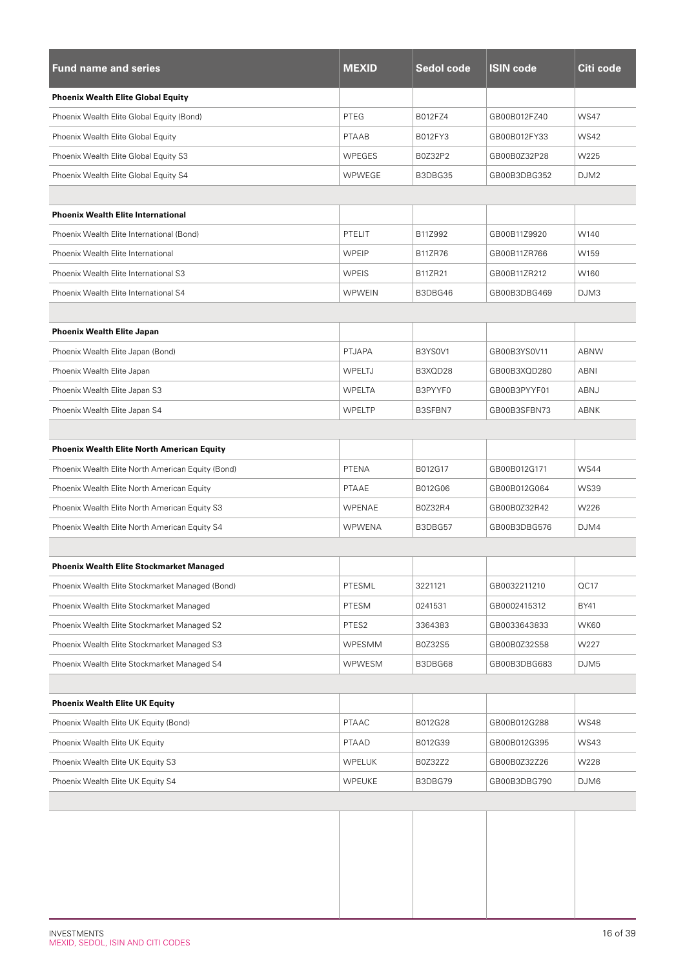| <b>Fund name and series</b>                       | <b>MEXID</b>  | Sedol code     | <b>ISIN code</b> | Citi code        |
|---------------------------------------------------|---------------|----------------|------------------|------------------|
| <b>Phoenix Wealth Elite Global Equity</b>         |               |                |                  |                  |
| Phoenix Wealth Elite Global Equity (Bond)         | PTEG          | B012FZ4        | GB00B012FZ40     | <b>WS47</b>      |
| Phoenix Wealth Elite Global Equity                | <b>PTAAB</b>  | B012FY3        | GB00B012FY33     | <b>WS42</b>      |
| Phoenix Wealth Elite Global Equity S3             | WPEGES        | B0Z32P2        | GB00B0Z32P28     | W225             |
| Phoenix Wealth Elite Global Equity S4             | <b>WPWEGE</b> | B3DBG35        | GB00B3DBG352     | DJM <sub>2</sub> |
|                                                   |               |                |                  |                  |
| <b>Phoenix Wealth Elite International</b>         |               |                |                  |                  |
| Phoenix Wealth Elite International (Bond)         | PTELIT        | B11Z992        | GB00B11Z9920     | W140             |
| Phoenix Wealth Elite International                | WPEIP         | <b>B11ZR76</b> | GB00B11ZR766     | W159             |
| Phoenix Wealth Elite International S3             | WPEIS         | B11ZR21        | GB00B11ZR212     | W160             |
| Phoenix Wealth Elite International S4             | <b>WPWEIN</b> | B3DBG46        | GB00B3DBG469     | DJM3             |
|                                                   |               |                |                  |                  |
| <b>Phoenix Wealth Elite Japan</b>                 |               |                |                  |                  |
| Phoenix Wealth Elite Japan (Bond)                 | <b>PTJAPA</b> | B3YS0V1        | GB00B3YS0V11     | <b>ABNW</b>      |
| Phoenix Wealth Elite Japan                        | WPELTJ        | B3XQD28        | GB00B3XQD280     | ABNI             |
| Phoenix Wealth Elite Japan S3                     | <b>WPELTA</b> | B3PYYF0        | GB00B3PYYF01     | ABNJ             |
| Phoenix Wealth Elite Japan S4                     | WPELTP        | B3SFBN7        | GB00B3SFBN73     | ABNK             |
|                                                   |               |                |                  |                  |
| <b>Phoenix Wealth Elite North American Equity</b> |               |                |                  |                  |
| Phoenix Wealth Elite North American Equity (Bond) | PTENA         | B012G17        | GB00B012G171     | <b>WS44</b>      |
| Phoenix Wealth Elite North American Equity        | <b>PTAAE</b>  | B012G06        | GB00B012G064     | <b>WS39</b>      |
| Phoenix Wealth Elite North American Equity S3     | WPENAE        | B0Z32R4        | GB00B0Z32R42     | W226             |
| Phoenix Wealth Elite North American Equity S4     | <b>WPWENA</b> | B3DBG57        | GB00B3DBG576     | DJM4             |
|                                                   |               |                |                  |                  |
| <b>Phoenix Wealth Elite Stockmarket Managed</b>   |               |                |                  |                  |
| Phoenix Wealth Elite Stockmarket Managed (Bond)   | PTESML        | 3221121        | GB0032211210     | QC17             |
| Phoenix Wealth Elite Stockmarket Managed          | PTESM         | 0241531        | GB0002415312     | BY41             |
| Phoenix Wealth Elite Stockmarket Managed S2       | PTES2         | 3364383        | GB0033643833     | <b>WK60</b>      |
| Phoenix Wealth Elite Stockmarket Managed S3       | WPESMM        | B0Z32S5        | GB00B0Z32S58     | W227             |
| Phoenix Wealth Elite Stockmarket Managed S4       | WPWESM        | B3DBG68        | GB00B3DBG683     | DJM5             |
|                                                   |               |                |                  |                  |
| <b>Phoenix Wealth Elite UK Equity</b>             |               |                |                  |                  |
| Phoenix Wealth Elite UK Equity (Bond)             | <b>PTAAC</b>  | B012G28        | GB00B012G288     | <b>WS48</b>      |
| Phoenix Wealth Elite UK Equity                    | PTAAD         | B012G39        | GB00B012G395     | <b>WS43</b>      |
| Phoenix Wealth Elite UK Equity S3                 | <b>WPELUK</b> | B0Z32Z2        | GB00B0Z32Z26     | W228             |
| Phoenix Wealth Elite UK Equity S4                 | WPEUKE        | B3DBG79        | GB00B3DBG790     | DJM6             |
|                                                   |               |                |                  |                  |
|                                                   |               |                |                  |                  |
|                                                   |               |                |                  |                  |
|                                                   |               |                |                  |                  |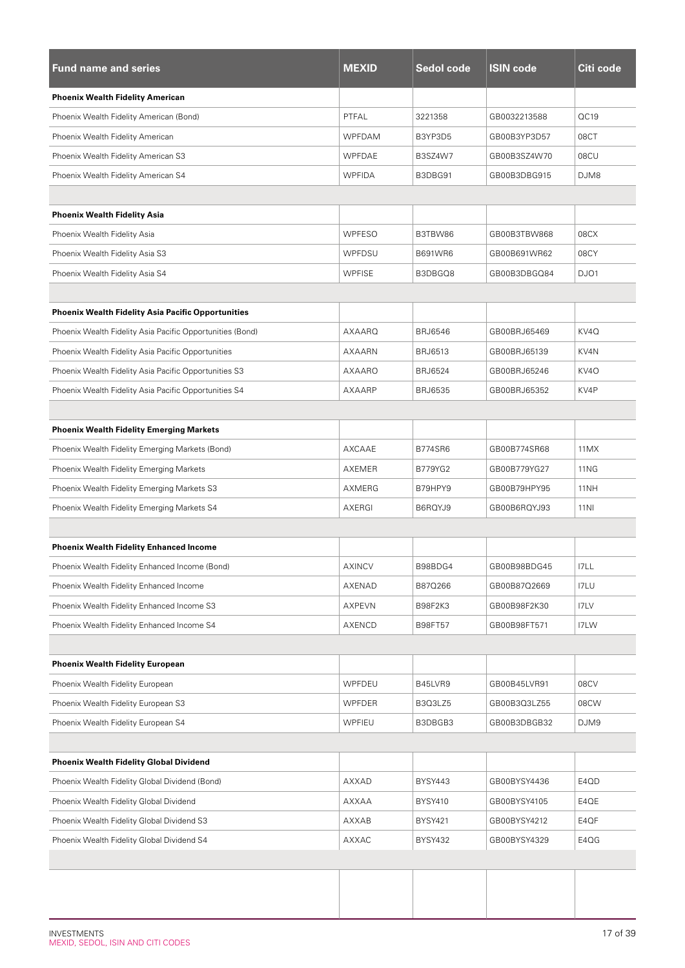| <b>Fund name and series</b>                               | <b>MEXID</b>  | <b>Sedol code</b> | <b>ISIN code</b> | Citi code   |
|-----------------------------------------------------------|---------------|-------------------|------------------|-------------|
| <b>Phoenix Wealth Fidelity American</b>                   |               |                   |                  |             |
| Phoenix Wealth Fidelity American (Bond)                   | PTFAL         | 3221358           | GB0032213588     | QC19        |
| Phoenix Wealth Fidelity American                          | WPFDAM        | B3YP3D5           | GB00B3YP3D57     | 08CT        |
| Phoenix Wealth Fidelity American S3                       | WPFDAE        | B3SZ4W7           | GB00B3SZ4W70     | 08CU        |
| Phoenix Wealth Fidelity American S4                       | <b>WPFIDA</b> | B3DBG91           | GB00B3DBG915     | DJM8        |
|                                                           |               |                   |                  |             |
| <b>Phoenix Wealth Fidelity Asia</b>                       |               |                   |                  |             |
| Phoenix Wealth Fidelity Asia                              | <b>WPFESO</b> | B3TBW86           | GB00B3TBW868     | 08CX        |
| Phoenix Wealth Fidelity Asia S3                           | WPFDSU        | <b>B691WR6</b>    | GB00B691WR62     | 08CY        |
| Phoenix Wealth Fidelity Asia S4                           | <b>WPFISE</b> | B3DBGQ8           | GB00B3DBGQ84     | DJO1        |
|                                                           |               |                   |                  |             |
| <b>Phoenix Wealth Fidelity Asia Pacific Opportunities</b> |               |                   |                  |             |
| Phoenix Wealth Fidelity Asia Pacific Opportunities (Bond) | AXAARQ        | <b>BRJ6546</b>    | GB00BRJ65469     | KV4Q        |
| Phoenix Wealth Fidelity Asia Pacific Opportunities        | <b>AXAARN</b> | <b>BRJ6513</b>    | GB00BRJ65139     | KV4N        |
| Phoenix Wealth Fidelity Asia Pacific Opportunities S3     | AXAARO        | <b>BRJ6524</b>    | GB00BRJ65246     | KV4O        |
| Phoenix Wealth Fidelity Asia Pacific Opportunities S4     | AXAARP        | <b>BRJ6535</b>    | GB00BRJ65352     | KV4P        |
|                                                           |               |                   |                  |             |
| <b>Phoenix Wealth Fidelity Emerging Markets</b>           |               |                   |                  |             |
| Phoenix Wealth Fidelity Emerging Markets (Bond)           | AXCAAE        | <b>B774SR6</b>    | GB00B774SR68     | 11MX        |
| Phoenix Wealth Fidelity Emerging Markets                  | AXEMER        | <b>B779YG2</b>    | GB00B779YG27     | <b>11NG</b> |
| Phoenix Wealth Fidelity Emerging Markets S3               | AXMERG        | B79HPY9           | GB00B79HPY95     | 11NH        |
| Phoenix Wealth Fidelity Emerging Markets S4               | AXERGI        | B6RQYJ9           | GB00B6RQYJ93     | <b>11NI</b> |
|                                                           |               |                   |                  |             |
| <b>Phoenix Wealth Fidelity Enhanced Income</b>            |               |                   |                  |             |
| Phoenix Wealth Fidelity Enhanced Income (Bond)            | AXINCV        | B98BDG4           | GB00B98BDG45     | I7LL        |
| Phoenix Wealth Fidelity Enhanced Income                   | AXENAD        | B87Q266           | GB00B87Q2669     | I7LU        |
| Phoenix Wealth Fidelity Enhanced Income S3                | AXPEVN        | B98F2K3           | GB00B98F2K30     | I7LV        |
| Phoenix Wealth Fidelity Enhanced Income S4                | AXENCD        | B98FT57           | GB00B98FT571     | I7LW        |
|                                                           |               |                   |                  |             |
| <b>Phoenix Wealth Fidelity European</b>                   |               |                   |                  |             |
| Phoenix Wealth Fidelity European                          | WPFDEU        | B45LVR9           | GB00B45LVR91     | 08CV        |
| Phoenix Wealth Fidelity European S3                       | WPFDER        | B3Q3LZ5           | GB00B3Q3LZ55     | 08CW        |
| Phoenix Wealth Fidelity European S4                       | <b>WPFIEU</b> | B3DBGB3           | GB00B3DBGB32     | DJM9        |
|                                                           |               |                   |                  |             |
| <b>Phoenix Wealth Fidelity Global Dividend</b>            |               |                   |                  |             |
| Phoenix Wealth Fidelity Global Dividend (Bond)            | AXXAD         | <b>BYSY443</b>    | GB00BYSY4436     | E4QD        |
| Phoenix Wealth Fidelity Global Dividend                   | AXXAA         | <b>BYSY410</b>    | GB00BYSY4105     | E4QE        |
| Phoenix Wealth Fidelity Global Dividend S3                | AXXAB         | BYSY421           | GB00BYSY4212     | E4QF        |
| Phoenix Wealth Fidelity Global Dividend S4                | AXXAC         | <b>BYSY432</b>    | GB00BYSY4329     | E4QG        |
|                                                           |               |                   |                  |             |
|                                                           |               |                   |                  |             |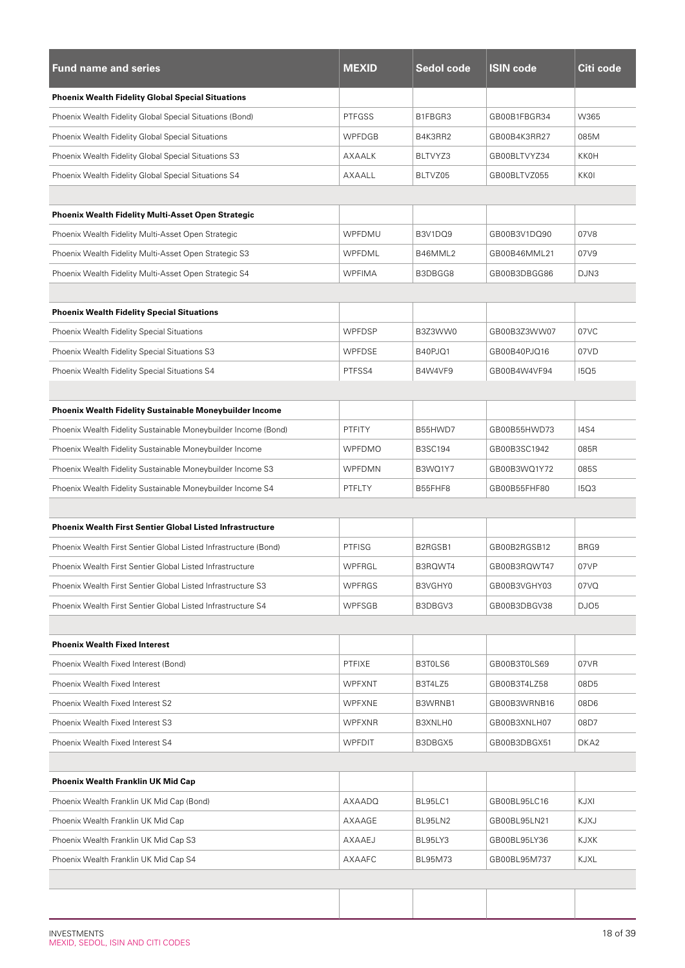| <b>Fund name and series</b>                                      | <b>MEXID</b>  | Sedol code     | <b>ISIN code</b> | Citi code   |
|------------------------------------------------------------------|---------------|----------------|------------------|-------------|
| <b>Phoenix Wealth Fidelity Global Special Situations</b>         |               |                |                  |             |
| Phoenix Wealth Fidelity Global Special Situations (Bond)         | <b>PTFGSS</b> | B1FBGR3        | GB00B1FBGR34     | W365        |
| Phoenix Wealth Fidelity Global Special Situations                | <b>WPFDGB</b> | B4K3RR2        | GB00B4K3RR27     | 085M        |
| Phoenix Wealth Fidelity Global Special Situations S3             | AXAALK        | BLTVYZ3        | GB00BLTVYZ34     | KKOH        |
| Phoenix Wealth Fidelity Global Special Situations S4             | AXAALL        | BLTVZ05        | GB00BLTVZ055     | KKOI        |
|                                                                  |               |                |                  |             |
| <b>Phoenix Wealth Fidelity Multi-Asset Open Strategic</b>        |               |                |                  |             |
| Phoenix Wealth Fidelity Multi-Asset Open Strategic               | WPFDMU        | B3V1DQ9        | GB00B3V1DQ90     | 07V8        |
| Phoenix Wealth Fidelity Multi-Asset Open Strategic S3            | WPFDML        | B46MML2        | GB00B46MML21     | 07V9        |
| Phoenix Wealth Fidelity Multi-Asset Open Strategic S4            | <b>WPFIMA</b> | B3DBGG8        | GB00B3DBGG86     | DJN3        |
|                                                                  |               |                |                  |             |
| <b>Phoenix Wealth Fidelity Special Situations</b>                |               |                |                  |             |
| Phoenix Wealth Fidelity Special Situations                       | <b>WPFDSP</b> | B3Z3WW0        | GB00B3Z3WW07     | 07VC        |
| Phoenix Wealth Fidelity Special Situations S3                    | <b>WPFDSE</b> | B40PJQ1        | GB00B40PJQ16     | 07VD        |
| Phoenix Wealth Fidelity Special Situations S4                    | PTFSS4        | B4W4VF9        | GB00B4W4VF94     | <b>15Q5</b> |
|                                                                  |               |                |                  |             |
| Phoenix Wealth Fidelity Sustainable Moneybuilder Income          |               |                |                  |             |
| Phoenix Wealth Fidelity Sustainable Moneybuilder Income (Bond)   | <b>PTFITY</b> | B55HWD7        | GB00B55HWD73     | <b>I4S4</b> |
| Phoenix Wealth Fidelity Sustainable Moneybuilder Income          | <b>WPFDMO</b> | <b>B3SC194</b> | GB00B3SC1942     | 085R        |
| Phoenix Wealth Fidelity Sustainable Moneybuilder Income S3       | <b>WPFDMN</b> | B3WQ1Y7        | GB00B3WQ1Y72     | 085S        |
| Phoenix Wealth Fidelity Sustainable Moneybuilder Income S4       | PTFLTY        | B55FHF8        | GB00B55FHF80     | <b>15Q3</b> |
|                                                                  |               |                |                  |             |
| <b>Phoenix Wealth First Sentier Global Listed Infrastructure</b> |               |                |                  |             |
| Phoenix Wealth First Sentier Global Listed Infrastructure (Bond) | PTFISG        | B2RGSB1        | GB00B2RGSB12     | BRG9        |
| Phoenix Wealth First Sentier Global Listed Infrastructure        | WPFRGL        | B3RQWT4        | GB00B3RQWT47     | 07VP        |
| Phoenix Wealth First Sentier Global Listed Infrastructure S3     | <b>WPFRGS</b> | B3VGHY0        | GB00B3VGHY03     | 07VQ        |
| Phoenix Wealth First Sentier Global Listed Infrastructure S4     | <b>WPFSGB</b> | B3DBGV3        | GB00B3DBGV38     | DJO5        |
|                                                                  |               |                |                  |             |
| <b>Phoenix Wealth Fixed Interest</b>                             |               |                |                  |             |
| Phoenix Wealth Fixed Interest (Bond)                             | <b>PTFIXE</b> | B3T0LS6        | GB00B3T0LS69     | 07VR        |
| Phoenix Wealth Fixed Interest                                    | <b>WPFXNT</b> | B3T4LZ5        | GB00B3T4LZ58     | 08D5        |
| Phoenix Wealth Fixed Interest S2                                 | <b>WPFXNE</b> | B3WRNB1        | GB00B3WRNB16     | 08D6        |
| Phoenix Wealth Fixed Interest S3                                 | <b>WPFXNR</b> | B3XNLH0        | GB00B3XNLH07     | 08D7        |
| Phoenix Wealth Fixed Interest S4                                 | <b>WPFDIT</b> | B3DBGX5        | GB00B3DBGX51     | DKA2        |
|                                                                  |               |                |                  |             |
| Phoenix Wealth Franklin UK Mid Cap                               |               |                |                  |             |
| Phoenix Wealth Franklin UK Mid Cap (Bond)                        | AXAADQ        | BL95LC1        | GB00BL95LC16     | KJXI        |
| Phoenix Wealth Franklin UK Mid Cap                               | AXAAGE        | BL95LN2        | GB00BL95LN21     | KJXJ        |
| Phoenix Wealth Franklin UK Mid Cap S3                            | AXAAEJ        | BL95LY3        | GB00BL95LY36     | KJXK        |
| Phoenix Wealth Franklin UK Mid Cap S4                            | AXAAFC        | <b>BL95M73</b> | GB00BL95M737     | KJXL        |
|                                                                  |               |                |                  |             |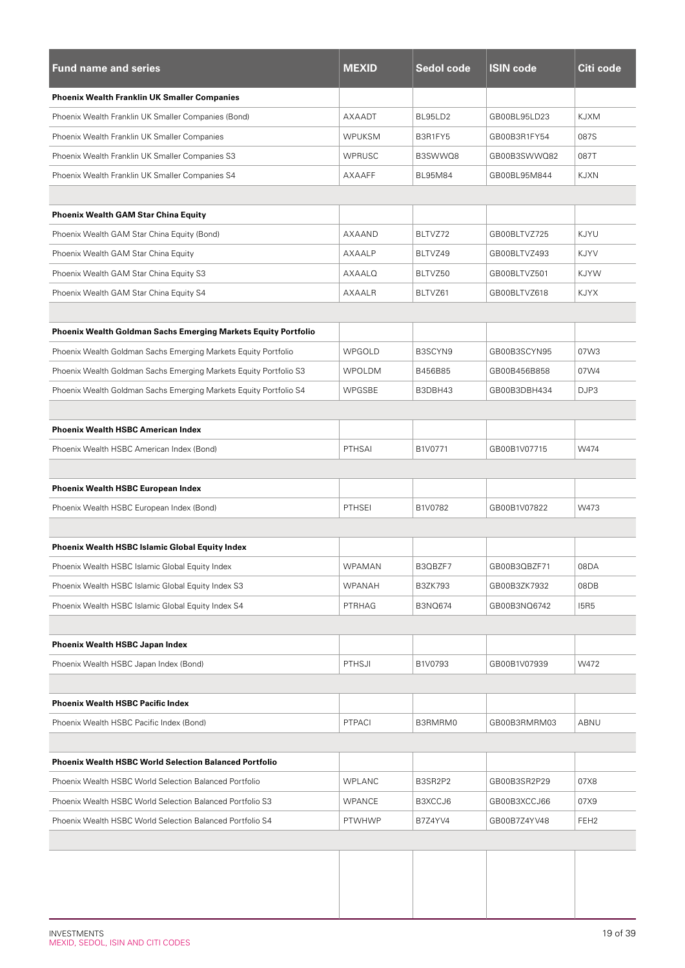| <b>Fund name and series</b>                                       | <b>MEXID</b>  | Sedol code     | <b>ISIN code</b> | Citi code        |
|-------------------------------------------------------------------|---------------|----------------|------------------|------------------|
| <b>Phoenix Wealth Franklin UK Smaller Companies</b>               |               |                |                  |                  |
| Phoenix Wealth Franklin UK Smaller Companies (Bond)               | AXAADT        | BL95LD2        | GB00BL95LD23     | <b>KJXM</b>      |
| Phoenix Wealth Franklin UK Smaller Companies                      | <b>WPUKSM</b> | B3R1FY5        | GB00B3R1FY54     | 087S             |
| Phoenix Wealth Franklin UK Smaller Companies S3                   | <b>WPRUSC</b> | B3SWWQ8        | GB00B3SWWQ82     | 087T             |
| Phoenix Wealth Franklin UK Smaller Companies S4                   | <b>AXAAFF</b> | <b>BL95M84</b> | GB00BL95M844     | <b>KJXN</b>      |
|                                                                   |               |                |                  |                  |
| <b>Phoenix Wealth GAM Star China Equity</b>                       |               |                |                  |                  |
| Phoenix Wealth GAM Star China Equity (Bond)                       | AXAAND        | BLTVZ72        | GB00BLTVZ725     | KJYU             |
| Phoenix Wealth GAM Star China Equity                              | AXAALP        | BLTVZ49        | GB00BLTVZ493     | KJYV             |
| Phoenix Wealth GAM Star China Equity S3                           | AXAALQ        | BLTVZ50        | GB00BLTVZ501     | <b>KJYW</b>      |
| Phoenix Wealth GAM Star China Equity S4                           | <b>AXAALR</b> | BLTVZ61        | GB00BLTVZ618     | <b>KJYX</b>      |
|                                                                   |               |                |                  |                  |
| Phoenix Wealth Goldman Sachs Emerging Markets Equity Portfolio    |               |                |                  |                  |
| Phoenix Wealth Goldman Sachs Emerging Markets Equity Portfolio    | WPGOLD        | B3SCYN9        | GB00B3SCYN95     | 07W3             |
| Phoenix Wealth Goldman Sachs Emerging Markets Equity Portfolio S3 | <b>WPOLDM</b> | B456B85        | GB00B456B858     | 07W4             |
| Phoenix Wealth Goldman Sachs Emerging Markets Equity Portfolio S4 | <b>WPGSBE</b> | B3DBH43        | GB00B3DBH434     | DJP3             |
|                                                                   |               |                |                  |                  |
| <b>Phoenix Wealth HSBC American Index</b>                         |               |                |                  |                  |
| Phoenix Wealth HSBC American Index (Bond)                         | <b>PTHSAI</b> | B1V0771        | GB00B1V07715     | W474             |
|                                                                   |               |                |                  |                  |
| <b>Phoenix Wealth HSBC European Index</b>                         |               |                |                  |                  |
| Phoenix Wealth HSBC European Index (Bond)                         | <b>PTHSEI</b> | B1V0782        | GB00B1V07822     | W473             |
|                                                                   |               |                |                  |                  |
| <b>Phoenix Wealth HSBC Islamic Global Equity Index</b>            |               |                |                  |                  |
| Phoenix Wealth HSBC Islamic Global Equity Index                   | <b>WPAMAN</b> | B3QBZF7        | GB00B3QBZF71     | 08DA             |
| Phoenix Wealth HSBC Islamic Global Equity Index S3                | <b>WPANAH</b> | <b>B3ZK793</b> | GB00B3ZK7932     | 08DB             |
| Phoenix Wealth HSBC Islamic Global Equity Index S4                | PTRHAG        | B3NQ674        | GB00B3NQ6742     | <b>I5R5</b>      |
|                                                                   |               |                |                  |                  |
| Phoenix Wealth HSBC Japan Index                                   |               |                |                  |                  |
| Phoenix Wealth HSBC Japan Index (Bond)                            | PTHSJI        | B1V0793        | GB00B1V07939     | W472             |
|                                                                   |               |                |                  |                  |
| <b>Phoenix Wealth HSBC Pacific Index</b>                          |               |                |                  |                  |
| Phoenix Wealth HSBC Pacific Index (Bond)                          | <b>PTPACI</b> | B3RMRM0        | GB00B3RMRM03     | ABNU             |
|                                                                   |               |                |                  |                  |
| <b>Phoenix Wealth HSBC World Selection Balanced Portfolio</b>     |               |                |                  |                  |
| Phoenix Wealth HSBC World Selection Balanced Portfolio            | <b>WPLANC</b> | B3SR2P2        | GB00B3SR2P29     | 07X8             |
| Phoenix Wealth HSBC World Selection Balanced Portfolio S3         | <b>WPANCE</b> | B3XCCJ6        | GB00B3XCCJ66     | 07X9             |
| Phoenix Wealth HSBC World Selection Balanced Portfolio S4         | PTWHWP        | B7Z4YV4        | GB00B7Z4YV48     | FEH <sub>2</sub> |
|                                                                   |               |                |                  |                  |
|                                                                   |               |                |                  |                  |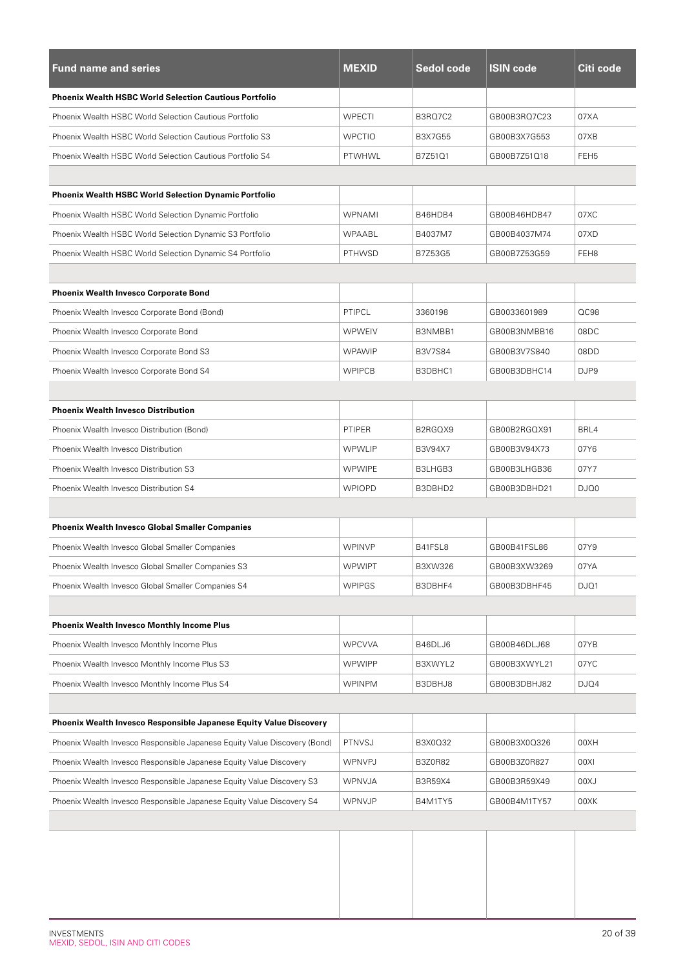| <b>Fund name and series</b>                                               | <b>MEXID</b>  | Sedol code     | <b>ISIN code</b> | Citi code        |
|---------------------------------------------------------------------------|---------------|----------------|------------------|------------------|
| <b>Phoenix Wealth HSBC World Selection Cautious Portfolio</b>             |               |                |                  |                  |
| Phoenix Wealth HSBC World Selection Cautious Portfolio                    | <b>WPECTI</b> | <b>B3RQ7C2</b> | GB00B3RQ7C23     | 07XA             |
| Phoenix Wealth HSBC World Selection Cautious Portfolio S3                 | <b>WPCTIO</b> | <b>B3X7G55</b> | GB00B3X7G553     | 07XB             |
| Phoenix Wealth HSBC World Selection Cautious Portfolio S4                 | PTWHWL        | B7Z51Q1        | GB00B7Z51Q18     | FEH <sub>5</sub> |
|                                                                           |               |                |                  |                  |
| <b>Phoenix Wealth HSBC World Selection Dynamic Portfolio</b>              |               |                |                  |                  |
| Phoenix Wealth HSBC World Selection Dynamic Portfolio                     | WPNAMI        | B46HDB4        | GB00B46HDB47     | 07XC             |
| Phoenix Wealth HSBC World Selection Dynamic S3 Portfolio                  | <b>WPAABL</b> | B4037M7        | GB00B4037M74     | 07XD             |
| Phoenix Wealth HSBC World Selection Dynamic S4 Portfolio                  | <b>PTHWSD</b> | B7Z53G5        | GB00B7Z53G59     | FEH <sub>8</sub> |
|                                                                           |               |                |                  |                  |
| <b>Phoenix Wealth Invesco Corporate Bond</b>                              |               |                |                  |                  |
| Phoenix Wealth Invesco Corporate Bond (Bond)                              | PTIPCL        | 3360198        | GB0033601989     | QC98             |
| Phoenix Wealth Invesco Corporate Bond                                     | <b>WPWEIV</b> | B3NMBB1        | GB00B3NMBB16     | 08DC             |
| Phoenix Wealth Invesco Corporate Bond S3                                  | <b>WPAWIP</b> | <b>B3V7S84</b> | GB00B3V7S840     | 08DD             |
| Phoenix Wealth Invesco Corporate Bond S4                                  | <b>WPIPCB</b> | B3DBHC1        | GB00B3DBHC14     | DJP9             |
|                                                                           |               |                |                  |                  |
| <b>Phoenix Wealth Invesco Distribution</b>                                |               |                |                  |                  |
| Phoenix Wealth Invesco Distribution (Bond)                                | PTIPER        | B2RGQX9        | GB00B2RGQX91     | BRL4             |
| Phoenix Wealth Invesco Distribution                                       | <b>WPWLIP</b> | B3V94X7        | GB00B3V94X73     | 07Y6             |
| Phoenix Wealth Invesco Distribution S3                                    | <b>WPWIPE</b> | B3LHGB3        | GB00B3LHGB36     | 07Y7             |
| Phoenix Wealth Invesco Distribution S4                                    | <b>WPIOPD</b> | B3DBHD2        | GB00B3DBHD21     | DJQ0             |
|                                                                           |               |                |                  |                  |
| <b>Phoenix Wealth Invesco Global Smaller Companies</b>                    |               |                |                  |                  |
| Phoenix Wealth Invesco Global Smaller Companies                           | <b>WPINVP</b> | B41FSL8        | GB00B41FSL86     | 07Y9             |
| Phoenix Wealth Invesco Global Smaller Companies S3                        | <b>WPWIPT</b> | B3XW326        | GB00B3XW3269     | 07YA             |
| Phoenix Wealth Invesco Global Smaller Companies S4                        | <b>WPIPGS</b> | B3DBHF4        | GB00B3DBHF45     | DJQ1             |
|                                                                           |               |                |                  |                  |
| <b>Phoenix Wealth Invesco Monthly Income Plus</b>                         |               |                |                  |                  |
| Phoenix Wealth Invesco Monthly Income Plus                                | <b>WPCVVA</b> | B46DLJ6        | GB00B46DLJ68     | 07YB             |
| Phoenix Wealth Invesco Monthly Income Plus S3                             | <b>WPWIPP</b> | B3XWYL2        | GB00B3XWYL21     | 07YC             |
| Phoenix Wealth Invesco Monthly Income Plus S4                             | <b>WPINPM</b> | B3DBHJ8        | GB00B3DBHJ82     | DJQ4             |
|                                                                           |               |                |                  |                  |
| Phoenix Wealth Invesco Responsible Japanese Equity Value Discovery        |               |                |                  |                  |
| Phoenix Wealth Invesco Responsible Japanese Equity Value Discovery (Bond) | PTNVSJ        | B3X0Q32        | GB00B3X0Q326     | 00XH             |
| Phoenix Wealth Invesco Responsible Japanese Equity Value Discovery        | WPNVPJ        | B3Z0R82        | GB00B3Z0R827     | 00XI             |
| Phoenix Wealth Invesco Responsible Japanese Equity Value Discovery S3     | WPNVJA        | B3R59X4        | GB00B3R59X49     | UX00             |
| Phoenix Wealth Invesco Responsible Japanese Equity Value Discovery S4     | <b>WPNVJP</b> | B4M1TY5        | GB00B4M1TY57     | 00XK             |
|                                                                           |               |                |                  |                  |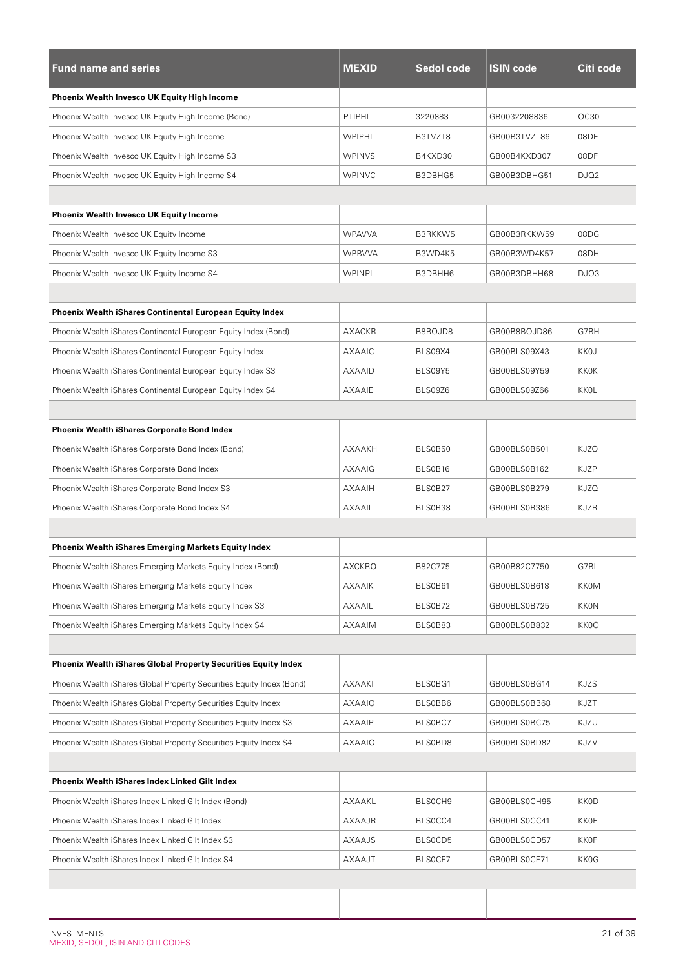| <b>Fund name and series</b>                                           | <b>MEXID</b>  | Sedol code | <b>ISIN code</b> | Citi code   |
|-----------------------------------------------------------------------|---------------|------------|------------------|-------------|
| <b>Phoenix Wealth Invesco UK Equity High Income</b>                   |               |            |                  |             |
| Phoenix Wealth Invesco UK Equity High Income (Bond)                   | <b>PTIPHI</b> | 3220883    | GB0032208836     | OC30        |
| Phoenix Wealth Invesco UK Equity High Income                          | <b>WPIPHI</b> | B3TVZT8    | GB00B3TVZT86     | 08DE        |
| Phoenix Wealth Invesco UK Equity High Income S3                       | <b>WPINVS</b> | B4KXD30    | GB00B4KXD307     | 08DF        |
| Phoenix Wealth Invesco UK Equity High Income S4                       | <b>WPINVC</b> | B3DBHG5    | GB00B3DBHG51     | DJQ2        |
|                                                                       |               |            |                  |             |
| <b>Phoenix Wealth Invesco UK Equity Income</b>                        |               |            |                  |             |
| Phoenix Wealth Invesco UK Equity Income                               | <b>WPAVVA</b> | B3RKKW5    | GB00B3RKKW59     | 08DG        |
| Phoenix Wealth Invesco UK Equity Income S3                            | <b>WPBVVA</b> | B3WD4K5    | GB00B3WD4K57     | 08DH        |
| Phoenix Wealth Invesco UK Equity Income S4                            | <b>WPINPI</b> | B3DBHH6    | GB00B3DBHH68     | DJQ3        |
|                                                                       |               |            |                  |             |
| <b>Phoenix Wealth iShares Continental European Equity Index</b>       |               |            |                  |             |
| Phoenix Wealth iShares Continental European Equity Index (Bond)       | AXACKR        | B8BQJD8    | GB00B8BQJD86     | G7BH        |
| Phoenix Wealth iShares Continental European Equity Index              | AXAAIC        | BLS09X4    | GB00BLS09X43     | KKOJ        |
| Phoenix Wealth iShares Continental European Equity Index S3           | AXAAID        | BLS09Y5    | GB00BLS09Y59     | KKOK        |
| Phoenix Wealth iShares Continental European Equity Index S4           | AXAAIE        | BLS09Z6    | GB00BLS09Z66     | <b>KKOL</b> |
|                                                                       |               |            |                  |             |
| <b>Phoenix Wealth iShares Corporate Bond Index</b>                    |               |            |                  |             |
| Phoenix Wealth iShares Corporate Bond Index (Bond)                    | AXAAKH        | BLS0B50    | GB00BLS0B501     | <b>KJZO</b> |
| Phoenix Wealth iShares Corporate Bond Index                           | AXAAIG        | BLS0B16    | GB00BLS0B162     | KJZP        |
| Phoenix Wealth iShares Corporate Bond Index S3                        | <b>AXAAIH</b> | BLS0B27    | GB00BLS0B279     | <b>KJZQ</b> |
| Phoenix Wealth iShares Corporate Bond Index S4                        | <b>AXAAII</b> | BLS0B38    | GB00BLS0B386     | <b>KJZR</b> |
|                                                                       |               |            |                  |             |
| <b>Phoenix Wealth iShares Emerging Markets Equity Index</b>           |               |            |                  |             |
| Phoenix Wealth iShares Emerging Markets Equity Index (Bond)           | AXCKRO        | B82C775    | GB00B82C7750     | G7BI        |
| Phoenix Wealth iShares Emerging Markets Equity Index                  | AXAAIK        | BLS0B61    | GB00BLS0B618     | KKOM        |
| Phoenix Wealth iShares Emerging Markets Equity Index S3               | AXAAIL        | BLS0B72    | GB00BLS0B725     | <b>KKON</b> |
| Phoenix Wealth iShares Emerging Markets Equity Index S4               | AXAAIM        | BLS0B83    | GB00BLS0B832     | KK0O        |
|                                                                       |               |            |                  |             |
| Phoenix Wealth iShares Global Property Securities Equity Index        |               |            |                  |             |
| Phoenix Wealth iShares Global Property Securities Equity Index (Bond) | AXAAKI        | BLS0BG1    | GB00BLS0BG14     | <b>KJZS</b> |
| Phoenix Wealth iShares Global Property Securities Equity Index        | <b>AXAAIO</b> | BLS0BB6    | GB00BLS0BB68     | KJZT        |
| Phoenix Wealth iShares Global Property Securities Equity Index S3     | <b>AXAAIP</b> | BLS0BC7    | GB00BLS0BC75     | KJZU        |
| Phoenix Wealth iShares Global Property Securities Equity Index S4     | AXAAIQ        | BLS0BD8    | GB00BLS0BD82     | KJZV        |
|                                                                       |               |            |                  |             |
| Phoenix Wealth iShares Index Linked Gilt Index                        |               |            |                  |             |
| Phoenix Wealth iShares Index Linked Gilt Index (Bond)                 | AXAAKL        | BLSOCH9    | GB00BLS0CH95     | <b>KKOD</b> |
| Phoenix Wealth iShares Index Linked Gilt Index                        | AXAAJR        | BLS0CC4    | GB00BLS0CC41     | KKOE        |
| Phoenix Wealth iShares Index Linked Gilt Index S3                     | AXAAJS        | BLS0CD5    | GB00BLS0CD57     | <b>KKOF</b> |
| Phoenix Wealth iShares Index Linked Gilt Index S4                     | AXAAJT        | BLSOCF7    | GB00BLS0CF71     | <b>KKOG</b> |
|                                                                       |               |            |                  |             |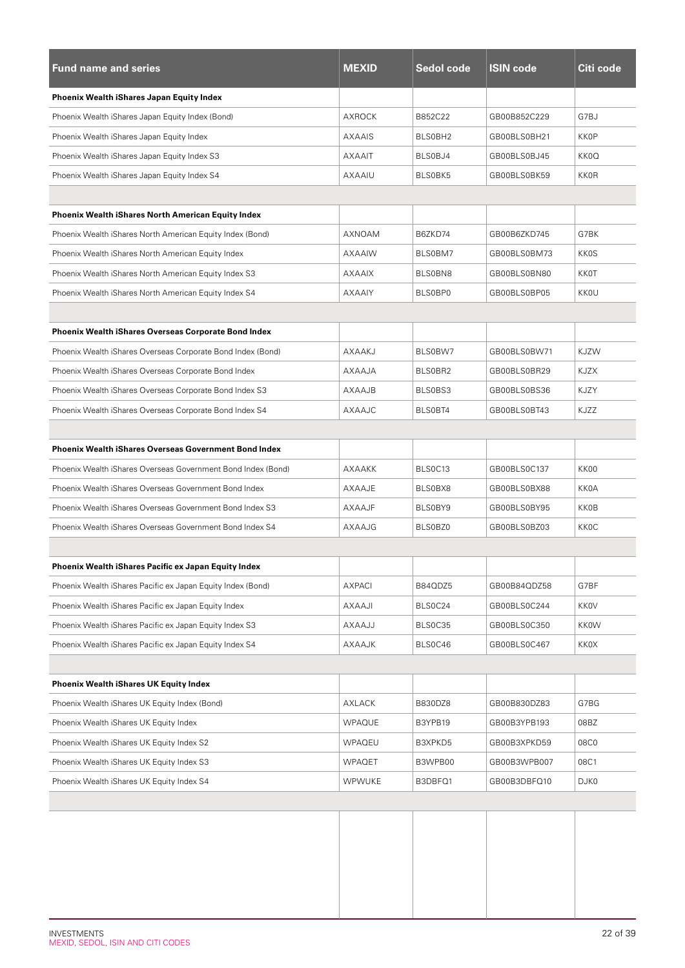| <b>Fund name and series</b>                                  | <b>MEXID</b>  | Sedol code | <b>ISIN code</b> | Citi code   |
|--------------------------------------------------------------|---------------|------------|------------------|-------------|
| Phoenix Wealth iShares Japan Equity Index                    |               |            |                  |             |
| Phoenix Wealth iShares Japan Equity Index (Bond)             | AXROCK        | B852C22    | GB00B852C229     | G7BJ        |
| Phoenix Wealth iShares Japan Equity Index                    | AXAAIS        | BLS0BH2    | GB00BLS0BH21     | <b>KKOP</b> |
| Phoenix Wealth iShares Japan Equity Index S3                 | <b>AXAAIT</b> | BLS0BJ4    | GB00BLS0BJ45     | KK0Q        |
| Phoenix Wealth iShares Japan Equity Index S4                 | AXAAIU        | BLS0BK5    | GB00BLS0BK59     | <b>KKOR</b> |
|                                                              |               |            |                  |             |
| <b>Phoenix Wealth iShares North American Equity Index</b>    |               |            |                  |             |
| Phoenix Wealth iShares North American Equity Index (Bond)    | AXNOAM        | B6ZKD74    | GB00B6ZKD745     | G7BK        |
| Phoenix Wealth iShares North American Equity Index           | AXAAIW        | BLS0BM7    | GB00BLS0BM73     | <b>KKOS</b> |
| Phoenix Wealth iShares North American Equity Index S3        | <b>AXAAIX</b> | BLS0BN8    | GB00BLS0BN80     | <b>KK0T</b> |
| Phoenix Wealth iShares North American Equity Index S4        | <b>AXAAIY</b> | BLS0BP0    | GB00BLS0BP05     | <b>KKOU</b> |
|                                                              |               |            |                  |             |
| <b>Phoenix Wealth iShares Overseas Corporate Bond Index</b>  |               |            |                  |             |
| Phoenix Wealth iShares Overseas Corporate Bond Index (Bond)  | AXAAKJ        | BLS0BW7    | GB00BLS0BW71     | <b>KJZW</b> |
| Phoenix Wealth iShares Overseas Corporate Bond Index         | AXAAJA        | BLS0BR2    | GB00BLS0BR29     | KJZX        |
| Phoenix Wealth iShares Overseas Corporate Bond Index S3      | <b>AXAAJB</b> | BLS0BS3    | GB00BLS0BS36     | <b>KJZY</b> |
| Phoenix Wealth iShares Overseas Corporate Bond Index S4      | AXAAJC        | BLS0BT4    | GB00BLS0BT43     | KJZZ        |
|                                                              |               |            |                  |             |
| <b>Phoenix Wealth iShares Overseas Government Bond Index</b> |               |            |                  |             |
| Phoenix Wealth iShares Overseas Government Bond Index (Bond) | AXAAKK        | BLS0C13    | GB00BLS0C137     | KK00        |
| Phoenix Wealth iShares Overseas Government Bond Index        | AXAAJE        | BLS0BX8    | GB00BLS0BX88     | <b>KK0A</b> |
| Phoenix Wealth iShares Overseas Government Bond Index S3     | AXAAJF        | BLS0BY9    | GB00BLS0BY95     | <b>KK0B</b> |
| Phoenix Wealth iShares Overseas Government Bond Index S4     | AXAAJG        | BLS0BZ0    | GB00BLS0BZ03     | <b>KKOC</b> |
|                                                              |               |            |                  |             |
| Phoenix Wealth iShares Pacific ex Japan Equity Index         |               |            |                  |             |
| Phoenix Wealth iShares Pacific ex Japan Equity Index (Bond)  | <b>AXPACI</b> | B84QDZ5    | GB00B84QDZ58     | G7BF        |
| Phoenix Wealth iShares Pacific ex Japan Equity Index         | <b>AXAAJI</b> | BLS0C24    | GB00BLS0C244     | KKOV        |
| Phoenix Wealth iShares Pacific ex Japan Equity Index S3      | <b>AXAAJJ</b> | BLS0C35    | GB00BLS0C350     | <b>KKOW</b> |
| Phoenix Wealth iShares Pacific ex Japan Equity Index S4      | AXAAJK        | BLS0C46    | GB00BLS0C467     | KKOX        |
|                                                              |               |            |                  |             |
| <b>Phoenix Wealth iShares UK Equity Index</b>                |               |            |                  |             |
| Phoenix Wealth iShares UK Equity Index (Bond)                | AXLACK        | B830DZ8    | GB00B830DZ83     | G7BG        |
| Phoenix Wealth iShares UK Equity Index                       | WPAQUE        | B3YPB19    | GB00B3YPB193     | 08BZ        |
| Phoenix Wealth iShares UK Equity Index S2                    | WPAQEU        | B3XPKD5    | GB00B3XPKD59     | 08C0        |
| Phoenix Wealth iShares UK Equity Index S3                    | <b>WPAQET</b> | B3WPB00    | GB00B3WPB007     | 08C1        |
| Phoenix Wealth iShares UK Equity Index S4                    | <b>WPWUKE</b> | B3DBFQ1    | GB00B3DBFQ10     | DJK0        |
|                                                              |               |            |                  |             |
|                                                              |               |            |                  |             |
|                                                              |               |            |                  |             |
|                                                              |               |            |                  |             |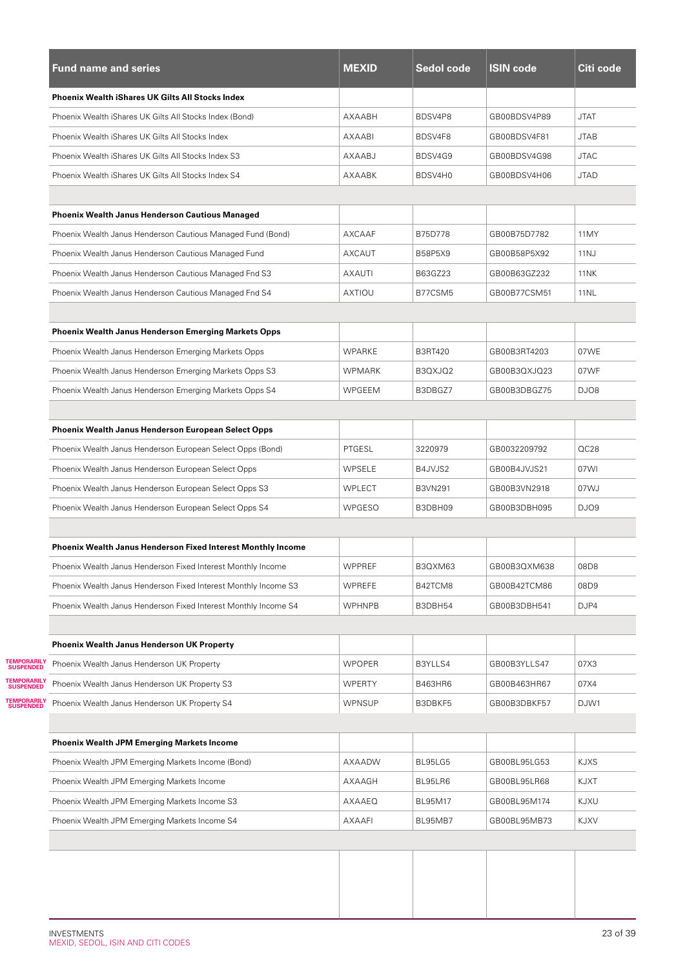|                                  | <b>Fund name and series</b>                                         | <b>MEXID</b>  | Sedol code     | <b>ISIN code</b> | Citi code   |
|----------------------------------|---------------------------------------------------------------------|---------------|----------------|------------------|-------------|
|                                  | <b>Phoenix Wealth iShares UK Gilts All Stocks Index</b>             |               |                |                  |             |
|                                  | Phoenix Wealth iShares UK Gilts All Stocks Index (Bond)             | AXAABH        | BDSV4P8        | GB00BDSV4P89     | <b>JTAT</b> |
|                                  | Phoenix Wealth iShares UK Gilts All Stocks Index                    | AXAABI        | BDSV4F8        | GB00BDSV4F81     | <b>JTAB</b> |
|                                  | Phoenix Wealth iShares UK Gilts All Stocks Index S3                 | AXAABJ        | BDSV4G9        | GB00BDSV4G98     | <b>JTAC</b> |
|                                  | Phoenix Wealth iShares UK Gilts All Stocks Index S4                 | AXAABK        | BDSV4H0        | GB00BDSV4H06     | <b>JTAD</b> |
|                                  | Phoenix Wealth Janus Henderson Cautious Managed                     |               |                |                  |             |
|                                  | Phoenix Wealth Janus Henderson Cautious Managed Fund (Bond)         | AXCAAF        | B75D778        | GB00B75D7782     | 11MY        |
|                                  | Phoenix Wealth Janus Henderson Cautious Managed Fund                | <b>AXCAUT</b> | B58P5X9        | GB00B58P5X92     | 11NJ        |
|                                  | Phoenix Wealth Janus Henderson Cautious Managed Fnd S3              | <b>AXAUTI</b> | B63GZ23        | GB00B63GZ232     | <b>11NK</b> |
|                                  | Phoenix Wealth Janus Henderson Cautious Managed Fnd S4              | <b>AXTIOU</b> | B77CSM5        | GB00B77CSM51     | <b>11NL</b> |
|                                  |                                                                     |               |                |                  |             |
|                                  | <b>Phoenix Wealth Janus Henderson Emerging Markets Opps</b>         |               |                |                  |             |
|                                  | Phoenix Wealth Janus Henderson Emerging Markets Opps                | WPARKE        | <b>B3RT420</b> | GB00B3RT4203     | 07WE        |
|                                  | Phoenix Wealth Janus Henderson Emerging Markets Opps S3             | WPMARK        | B3QXJQ2        | GB00B3QXJQ23     | 07WF        |
|                                  | Phoenix Wealth Janus Henderson Emerging Markets Opps S4             | WPGEEM        | B3DBGZ7        | GB00B3DBGZ75     | DJO8        |
|                                  | Phoenix Wealth Janus Henderson European Select Opps                 |               |                |                  |             |
|                                  | Phoenix Wealth Janus Henderson European Select Opps (Bond)          | PTGESL        | 3220979        | GB0032209792     | QC28        |
|                                  | Phoenix Wealth Janus Henderson European Select Opps                 | WPSELE        | B4JVJS2        | GB00B4JVJS21     | 07WI        |
|                                  | Phoenix Wealth Janus Henderson European Select Opps S3              | WPLECT        | <b>B3VN291</b> | GB00B3VN2918     | 07WJ        |
|                                  | Phoenix Wealth Janus Henderson European Select Opps S4              | WPGESO        | B3DBH09        | GB00B3DBH095     | DJO9        |
|                                  |                                                                     |               |                |                  |             |
|                                  | <b>Phoenix Wealth Janus Henderson Fixed Interest Monthly Income</b> |               |                |                  |             |
|                                  | Phoenix Wealth Janus Henderson Fixed Interest Monthly Income        | WPPREF        | B3QXM63        | GB00B3QXM638     | 08D8        |
|                                  | Phoenix Wealth Janus Henderson Fixed Interest Monthly Income S3     | <b>WPREFE</b> | B42TCM8        | GB00B42TCM86     | 08D9        |
|                                  | Phoenix Wealth Janus Henderson Fixed Interest Monthly Income S4     | <b>WPHNPB</b> | B3DBH54        | GB00B3DBH541     | DJP4        |
|                                  | <b>Phoenix Wealth Janus Henderson UK Property</b>                   |               |                |                  |             |
| <b>TEMPORARILY<br/>SUSPENDED</b> | Phoenix Wealth Janus Henderson UK Property                          | <b>WPOPER</b> | B3YLLS4        | GB00B3YLLS47     | 07X3        |
| <b>TEMPORARILY<br/>SUSPENDED</b> | Phoenix Wealth Janus Henderson UK Property S3                       | <b>WPERTY</b> | B463HR6        | GB00B463HR67     | 07X4        |
| <b>TEMPORARILY<br/>SUSPENDED</b> | Phoenix Wealth Janus Henderson UK Property S4                       | <b>WPNSUP</b> | B3DBKF5        | GB00B3DBKF57     | DJW1        |
|                                  | <b>Phoenix Wealth JPM Emerging Markets Income</b>                   |               |                |                  |             |
|                                  | Phoenix Wealth JPM Emerging Markets Income (Bond)                   | AXAADW        | BL95LG5        | GB00BL95LG53     | <b>KJXS</b> |
|                                  | Phoenix Wealth JPM Emerging Markets Income                          | AXAAGH        | BL95LR6        | GB00BL95LR68     | KJXT        |
|                                  | Phoenix Wealth JPM Emerging Markets Income S3                       | AXAAEQ        | BL95M17        | GB00BL95M174     | KJXU        |
|                                  |                                                                     |               |                |                  |             |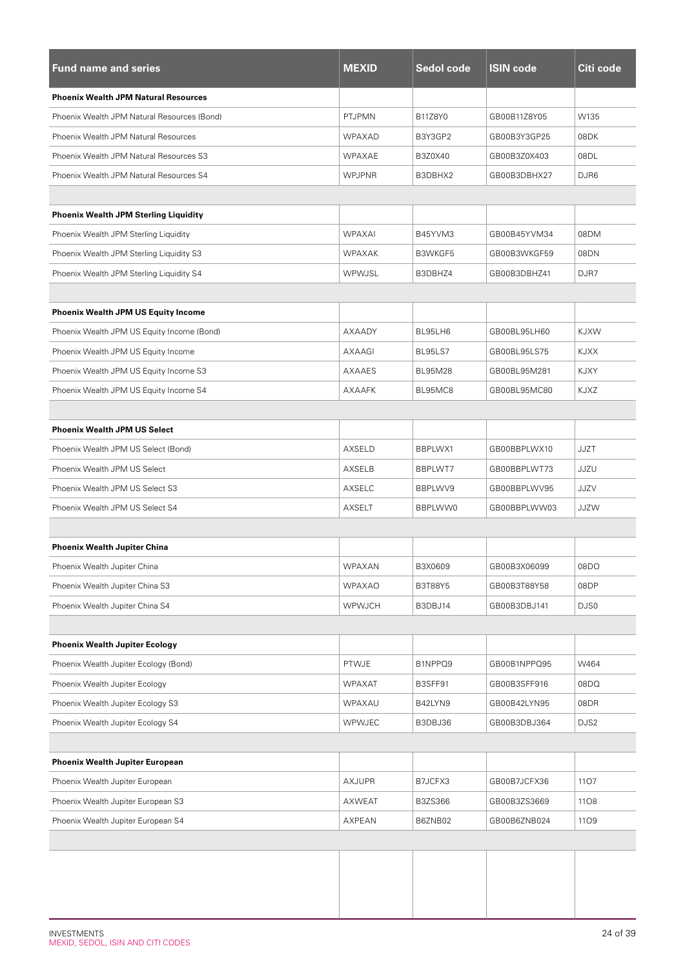| <b>Fund name and series</b>                  | <b>MEXID</b>  | Sedol code     | <b>ISIN code</b> | Citi code   |
|----------------------------------------------|---------------|----------------|------------------|-------------|
| <b>Phoenix Wealth JPM Natural Resources</b>  |               |                |                  |             |
| Phoenix Wealth JPM Natural Resources (Bond)  | PTJPMN        | B11Z8Y0        | GB00B11Z8Y05     | W135        |
| Phoenix Wealth JPM Natural Resources         | WPAXAD        | B3Y3GP2        | GB00B3Y3GP25     | 08DK        |
| Phoenix Wealth JPM Natural Resources S3      | WPAXAE        | B3Z0X40        | GB00B3Z0X403     | 08DL        |
| Phoenix Wealth JPM Natural Resources S4      | <b>WPJPNR</b> | B3DBHX2        | GB00B3DBHX27     | DJR6        |
|                                              |               |                |                  |             |
| <b>Phoenix Wealth JPM Sterling Liquidity</b> |               |                |                  |             |
| Phoenix Wealth JPM Sterling Liquidity        | <b>WPAXAI</b> | B45YVM3        | GB00B45YVM34     | 08DM        |
| Phoenix Wealth JPM Sterling Liquidity S3     | WPAXAK        | B3WKGF5        | GB00B3WKGF59     | 08DN        |
| Phoenix Wealth JPM Sterling Liquidity S4     | WPWJSL        | B3DBHZ4        | GB00B3DBHZ41     | DJR7        |
|                                              |               |                |                  |             |
| <b>Phoenix Wealth JPM US Equity Income</b>   |               |                |                  |             |
| Phoenix Wealth JPM US Equity Income (Bond)   | AXAADY        | BL95LH6        | GB00BL95LH60     | <b>KJXW</b> |
| Phoenix Wealth JPM US Equity Income          | AXAAGI        | BL95LS7        | GB00BL95LS75     | <b>KJXX</b> |
| Phoenix Wealth JPM US Equity Income S3       | AXAAES        | <b>BL95M28</b> | GB00BL95M281     | KJXY        |
| Phoenix Wealth JPM US Equity Income S4       | AXAAFK        | BL95MC8        | GB00BL95MC80     | KJXZ        |
|                                              |               |                |                  |             |
| <b>Phoenix Wealth JPM US Select</b>          |               |                |                  |             |
| Phoenix Wealth JPM US Select (Bond)          | AXSELD        | BBPLWX1        | GB00BBPLWX10     | <b>JJZT</b> |
| Phoenix Wealth JPM US Select                 | AXSELB        | BBPLWT7        | GB00BBPLWT73     | JJZU        |
| Phoenix Wealth JPM US Select S3              | AXSELC        | BBPLWV9        | GB00BBPLWV95     | JJZV        |
| Phoenix Wealth JPM US Select S4              | AXSELT        | BBPLWW0        | GB00BBPLWW03     | JJZW        |
|                                              |               |                |                  |             |
| <b>Phoenix Wealth Jupiter China</b>          |               |                |                  |             |
| Phoenix Wealth Jupiter China                 | WPAXAN        | B3X0609        | GB00B3X06099     | 08DO        |
| Phoenix Wealth Jupiter China S3              | <b>WPAXAO</b> | B3T88Y5        | GB00B3T88Y58     | 08DP        |
| Phoenix Wealth Jupiter China S4              | WPWJCH        | B3DBJ14        | GB00B3DBJ141     | DJS0        |
|                                              |               |                |                  |             |
| <b>Phoenix Wealth Jupiter Ecology</b>        |               |                |                  |             |
| Phoenix Wealth Jupiter Ecology (Bond)        | PTWJE         | B1NPPQ9        | GB00B1NPPQ95     | W464        |
| Phoenix Wealth Jupiter Ecology               | <b>WPAXAT</b> | B3SFF91        | GB00B3SFF916     | 08DQ        |
| Phoenix Wealth Jupiter Ecology S3            | WPAXAU        | B42LYN9        | GB00B42LYN95     | 08DR        |
| Phoenix Wealth Jupiter Ecology S4            | <b>WPWJEC</b> | B3DBJ36        | GB00B3DBJ364     | DJS2        |
|                                              |               |                |                  |             |
| Phoenix Wealth Jupiter European              |               |                |                  |             |
| Phoenix Wealth Jupiter European              | AXJUPR        | B7JCFX3        | GB00B7JCFX36     | 1107        |
| Phoenix Wealth Jupiter European S3           | AXWEAT        | B3ZS366        | GB00B3ZS3669     | 1108        |
| Phoenix Wealth Jupiter European S4           | AXPEAN        | B6ZNB02        | GB00B6ZNB024     | 1109        |
|                                              |               |                |                  |             |
|                                              |               |                |                  |             |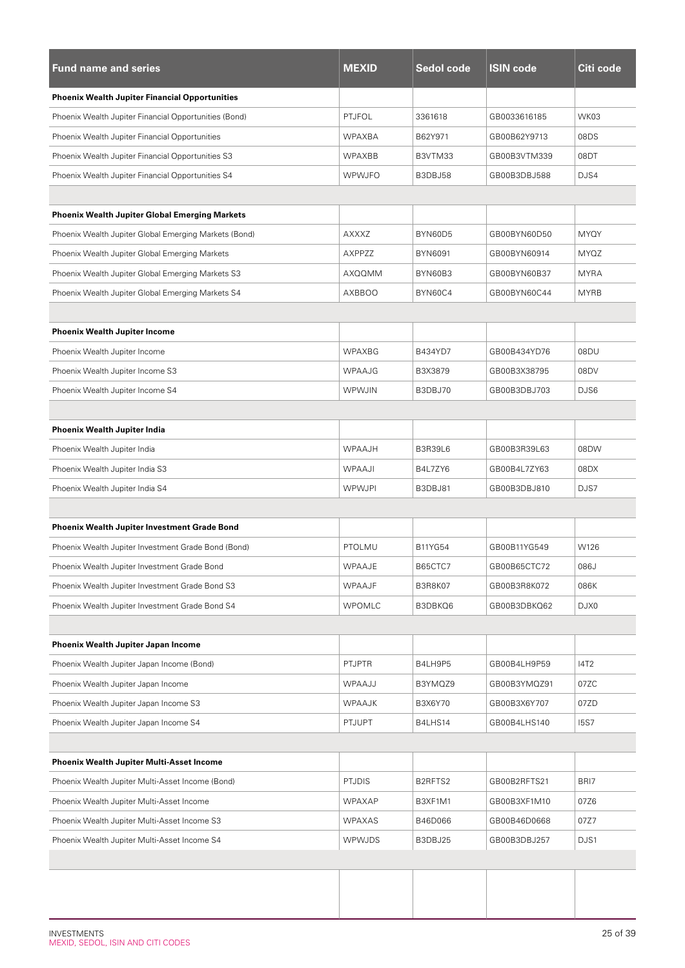| <b>Fund name and series</b>                           | <b>MEXID</b>  | <b>Sedol code</b> | <b>ISIN code</b> | Citi code   |
|-------------------------------------------------------|---------------|-------------------|------------------|-------------|
| <b>Phoenix Wealth Jupiter Financial Opportunities</b> |               |                   |                  |             |
| Phoenix Wealth Jupiter Financial Opportunities (Bond) | <b>PTJFOL</b> | 3361618           | GB0033616185     | WK03        |
| Phoenix Wealth Jupiter Financial Opportunities        | <b>WPAXBA</b> | B62Y971           | GB00B62Y9713     | 08DS        |
| Phoenix Wealth Jupiter Financial Opportunities S3     | WPAXBB        | B3VTM33           | GB00B3VTM339     | 08DT        |
| Phoenix Wealth Jupiter Financial Opportunities S4     | WPWJFO        | B3DBJ58           | GB00B3DBJ588     | DJS4        |
|                                                       |               |                   |                  |             |
| <b>Phoenix Wealth Jupiter Global Emerging Markets</b> |               |                   |                  |             |
| Phoenix Wealth Jupiter Global Emerging Markets (Bond) | AXXXZ         | BYN60D5           | GB00BYN60D50     | MYQY        |
| Phoenix Wealth Jupiter Global Emerging Markets        | AXPPZZ        | <b>BYN6091</b>    | GB00BYN60914     | <b>MYQZ</b> |
| Phoenix Wealth Jupiter Global Emerging Markets S3     | AXQQMM        | BYN60B3           | GB00BYN60B37     | <b>MYRA</b> |
| Phoenix Wealth Jupiter Global Emerging Markets S4     | AXBBOO        | BYN60C4           | GB00BYN60C44     | <b>MYRB</b> |
|                                                       |               |                   |                  |             |
| <b>Phoenix Wealth Jupiter Income</b>                  |               |                   |                  |             |
| Phoenix Wealth Jupiter Income                         | WPAXBG        | B434YD7           | GB00B434YD76     | 08DU        |
| Phoenix Wealth Jupiter Income S3                      | WPAAJG        | B3X3879           | GB00B3X38795     | 08DV        |
| Phoenix Wealth Jupiter Income S4                      | <b>WPWJIN</b> | B3DBJ70           | GB00B3DBJ703     | DJS6        |
|                                                       |               |                   |                  |             |
| Phoenix Wealth Jupiter India                          |               |                   |                  |             |
| Phoenix Wealth Jupiter India                          | <b>WPAAJH</b> | <b>B3R39L6</b>    | GB00B3R39L63     | 08DW        |
| Phoenix Wealth Jupiter India S3                       | WPAAJI        | B4L7ZY6           | GB00B4L7ZY63     | 08DX        |
| Phoenix Wealth Jupiter India S4                       | <b>WPWJPI</b> | B3DBJ81           | GB00B3DBJ810     | DJS7        |
|                                                       |               |                   |                  |             |
| <b>Phoenix Wealth Jupiter Investment Grade Bond</b>   |               |                   |                  |             |
| Phoenix Wealth Jupiter Investment Grade Bond (Bond)   | PTOLMU        | B11YG54           | GB00B11YG549     | W126        |
| Phoenix Wealth Jupiter Investment Grade Bond          | WPAAJE        | B65CTC7           | GB00B65CTC72     | 086J        |
| Phoenix Wealth Jupiter Investment Grade Bond S3       | WPAAJF        | <b>B3R8K07</b>    | GB00B3R8K072     | 086K        |
| Phoenix Wealth Jupiter Investment Grade Bond S4       | WPOMLC        | B3DBKQ6           | GB00B3DBKQ62     | DJX0        |
|                                                       |               |                   |                  |             |
| Phoenix Wealth Jupiter Japan Income                   |               |                   |                  |             |
| Phoenix Wealth Jupiter Japan Income (Bond)            | <b>PTJPTR</b> | B4LH9P5           | GB00B4LH9P59     | <b>I4T2</b> |
| Phoenix Wealth Jupiter Japan Income                   | WPAAJJ        | B3YMQZ9           | GB00B3YMQZ91     | 07ZC        |
| Phoenix Wealth Jupiter Japan Income S3                | <b>WPAAJK</b> | B3X6Y70           | GB00B3X6Y707     | 07ZD        |
| Phoenix Wealth Jupiter Japan Income S4                | <b>PTJUPT</b> | B4LHS14           | GB00B4LHS140     | <b>15S7</b> |
|                                                       |               |                   |                  |             |
| <b>Phoenix Wealth Jupiter Multi-Asset Income</b>      |               |                   |                  |             |
| Phoenix Wealth Jupiter Multi-Asset Income (Bond)      | <b>PTJDIS</b> | B2RFTS2           | GB00B2RFTS21     | BRI7        |
| Phoenix Wealth Jupiter Multi-Asset Income             | WPAXAP        | B3XF1M1           | GB00B3XF1M10     | 07Z6        |
| Phoenix Wealth Jupiter Multi-Asset Income S3          | WPAXAS        | B46D066           | GB00B46D0668     | 07Z7        |
| Phoenix Wealth Jupiter Multi-Asset Income S4          | <b>WPWJDS</b> | B3DBJ25           | GB00B3DBJ257     | DJS1        |
|                                                       |               |                   |                  |             |
|                                                       |               |                   |                  |             |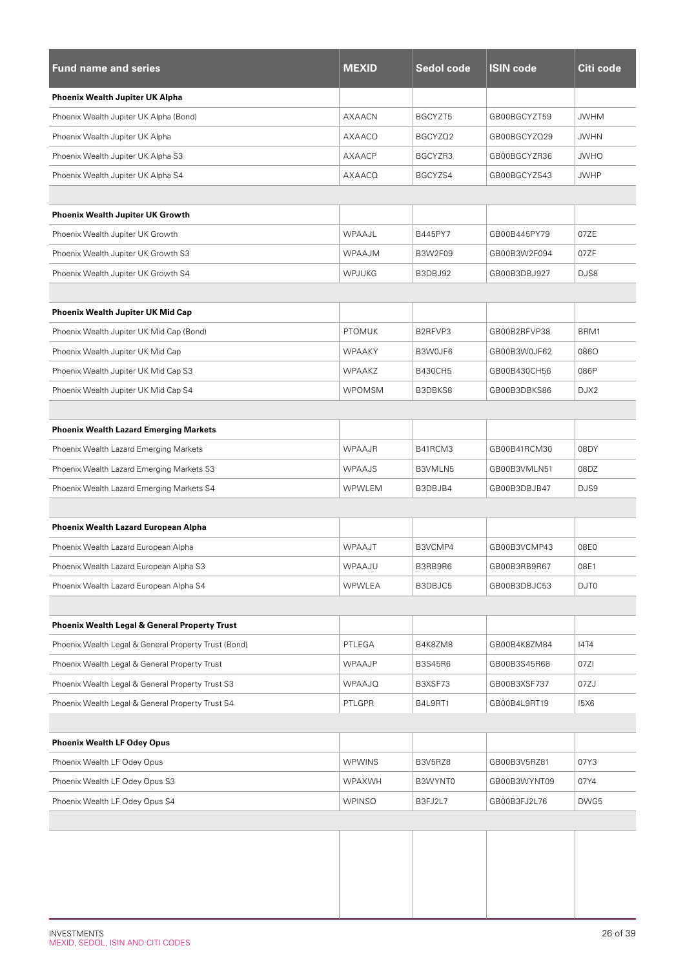| <b>Fund name and series</b>                              | <b>MEXID</b>  | Sedol code     | <b>ISIN code</b> | Citi code   |
|----------------------------------------------------------|---------------|----------------|------------------|-------------|
| Phoenix Wealth Jupiter UK Alpha                          |               |                |                  |             |
| Phoenix Wealth Jupiter UK Alpha (Bond)                   | AXAACN        | BGCYZT5        | GB00BGCYZT59     | <b>JWHM</b> |
| Phoenix Wealth Jupiter UK Alpha                          | AXAACO        | BGCYZQ2        | GB00BGCYZQ29     | <b>JWHN</b> |
| Phoenix Wealth Jupiter UK Alpha S3                       | AXAACP        | BGCYZR3        | GB00BGCYZR36     | <b>JWHO</b> |
| Phoenix Wealth Jupiter UK Alpha S4                       | AXAACQ        | BGCYZS4        | GB00BGCYZS43     | <b>JWHP</b> |
|                                                          |               |                |                  |             |
| <b>Phoenix Wealth Jupiter UK Growth</b>                  |               |                |                  |             |
| Phoenix Wealth Jupiter UK Growth                         | WPAAJL        | B445PY7        | GB00B445PY79     | 07ZE        |
| Phoenix Wealth Jupiter UK Growth S3                      | <b>WPAAJM</b> | <b>B3W2F09</b> | GB00B3W2F094     | 07ZF        |
| Phoenix Wealth Jupiter UK Growth S4                      | <b>WPJUKG</b> | B3DBJ92        | GB00B3DBJ927     | DJS8        |
|                                                          |               |                |                  |             |
| Phoenix Wealth Jupiter UK Mid Cap                        |               |                |                  |             |
| Phoenix Wealth Jupiter UK Mid Cap (Bond)                 | <b>PTOMUK</b> | B2RFVP3        | GB00B2RFVP38     | BRM1        |
| Phoenix Wealth Jupiter UK Mid Cap                        | <b>WPAAKY</b> | B3W0JF6        | GB00B3W0JF62     | 0860        |
| Phoenix Wealth Jupiter UK Mid Cap S3                     | <b>WPAAKZ</b> | <b>B430CH5</b> | GB00B430CH56     | 086P        |
| Phoenix Wealth Jupiter UK Mid Cap S4                     | <b>WPOMSM</b> | B3DBKS8        | GB00B3DBKS86     | DJX2        |
|                                                          |               |                |                  |             |
| <b>Phoenix Wealth Lazard Emerging Markets</b>            |               |                |                  |             |
| Phoenix Wealth Lazard Emerging Markets                   | WPAAJR        | B41RCM3        | GB00B41RCM30     | 08DY        |
| Phoenix Wealth Lazard Emerging Markets S3                | <b>WPAAJS</b> | B3VMLN5        | GB00B3VMLN51     | 08DZ        |
| Phoenix Wealth Lazard Emerging Markets S4                | WPWLEM        | B3DBJB4        | GB00B3DBJB47     | DJS9        |
|                                                          |               |                |                  |             |
| Phoenix Wealth Lazard European Alpha                     |               |                |                  |             |
| Phoenix Wealth Lazard European Alpha                     | <b>WPAAJT</b> | B3VCMP4        | GB00B3VCMP43     | 08E0        |
| Phoenix Wealth Lazard European Alpha S3                  | WPAAJU        | B3RB9R6        | GB00B3RB9R67     | 08E1        |
| Phoenix Wealth Lazard European Alpha S4                  | <b>WPWLEA</b> | B3DBJC5        | GB00B3DBJC53     | DJT0        |
|                                                          |               |                |                  |             |
| <b>Phoenix Wealth Legal &amp; General Property Trust</b> |               |                |                  |             |
| Phoenix Wealth Legal & General Property Trust (Bond)     | PTLEGA        | B4K8ZM8        | GB00B4K8ZM84     | <b>I4T4</b> |
| Phoenix Wealth Legal & General Property Trust            | WPAAJP        | <b>B3S45R6</b> | GB00B3S45R68     | 07ZI        |
| Phoenix Wealth Legal & General Property Trust S3         | <b>WPAAJQ</b> | B3XSF73        | GB00B3XSF737     | 07ZJ        |
| Phoenix Wealth Legal & General Property Trust S4         | PTLGPR        | B4L9RT1        | GB00B4L9RT19     | <b>15X6</b> |
|                                                          |               |                |                  |             |
| <b>Phoenix Wealth LF Odey Opus</b>                       |               |                |                  |             |
| Phoenix Wealth LF Odey Opus                              | <b>WPWINS</b> | B3V5RZ8        | GB00B3V5RZ81     | 07Y3        |
| Phoenix Wealth LF Odey Opus S3                           | WPAXWH        | B3WYNT0        | GB00B3WYNT09     | 07Y4        |
| Phoenix Wealth LF Odey Opus S4                           | <b>WPINSO</b> | B3FJ2L7        | GB00B3FJ2L76     | DWG5        |
|                                                          |               |                |                  |             |
|                                                          |               |                |                  |             |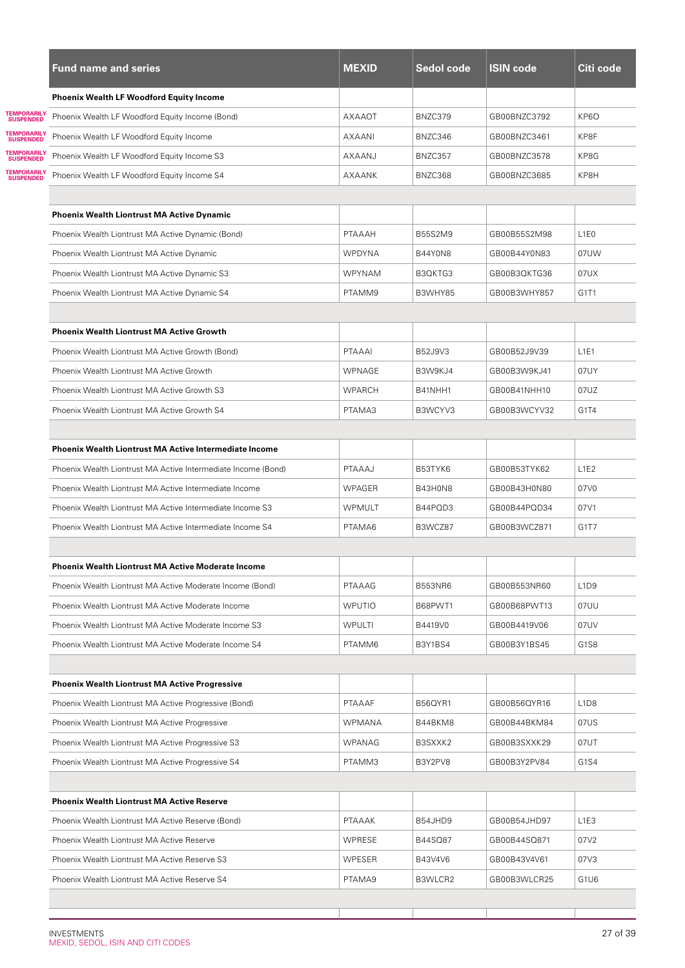|                                               | <b>Fund name and series</b>                                   | <b>MEXID</b>  | Sedol code     | <b>ISIN code</b> | Citi code                     |
|-----------------------------------------------|---------------------------------------------------------------|---------------|----------------|------------------|-------------------------------|
|                                               | <b>Phoenix Wealth LF Woodford Equity Income</b>               |               |                |                  |                               |
| <b><i>FEMPORARILY</i></b><br><b>SUSPENDED</b> | Phoenix Wealth LF Woodford Equity Income (Bond)               | <b>AXAAOT</b> | BNZC379        | GB00BNZC3792     | KP6O                          |
| <b><i>FEMPORARILY</i></b><br><b>SUSPENDED</b> | Phoenix Wealth LF Woodford Equity Income                      | AXAANI        | BNZC346        | GB00BNZC3461     | KP8F                          |
| <b><i>FEMPORARILY</i></b><br><b>SUSPENDED</b> | Phoenix Wealth LF Woodford Equity Income S3                   | AXAANJ        | BNZC357        | GB00BNZC3578     | KP8G                          |
| <b>SUSPENDED</b>                              | Phoenix Wealth LF Woodford Equity Income S4                   | AXAANK        | BNZC368        | GB00BNZC3685     | KP8H                          |
|                                               |                                                               |               |                |                  |                               |
|                                               | <b>Phoenix Wealth Liontrust MA Active Dynamic</b>             |               |                |                  |                               |
|                                               | Phoenix Wealth Liontrust MA Active Dynamic (Bond)             | PTAAAH        | B55S2M9        | GB00B55S2M98     | L <sub>1</sub> E <sub>0</sub> |
|                                               | Phoenix Wealth Liontrust MA Active Dynamic                    | <b>WPDYNA</b> | <b>B44Y0N8</b> | GB00B44Y0N83     | 07UW                          |
|                                               | Phoenix Wealth Liontrust MA Active Dynamic S3                 | <b>WPYNAM</b> | B3QKTG3        | GB00B3QKTG36     | 07UX                          |
|                                               | Phoenix Wealth Liontrust MA Active Dynamic S4                 | PTAMM9        | B3WHY85        | GB00B3WHY857     | G1T1                          |
|                                               |                                                               |               |                |                  |                               |
|                                               | <b>Phoenix Wealth Liontrust MA Active Growth</b>              |               |                |                  |                               |
|                                               | Phoenix Wealth Liontrust MA Active Growth (Bond)              | PTAAAI        | B52J9V3        | GB00B52J9V39     | L1E1                          |
|                                               | Phoenix Wealth Liontrust MA Active Growth                     | WPNAGE        | B3W9KJ4        | GB00B3W9KJ41     | 07UY                          |
|                                               | Phoenix Wealth Liontrust MA Active Growth S3                  | <b>WPARCH</b> | B41NHH1        | GB00B41NHH10     | 07UZ                          |
|                                               | Phoenix Wealth Liontrust MA Active Growth S4                  | PTAMA3        | B3WCYV3        | GB00B3WCYV32     | G <sub>1</sub> T <sub>4</sub> |
|                                               |                                                               |               |                |                  |                               |
|                                               | <b>Phoenix Wealth Liontrust MA Active Intermediate Income</b> |               |                |                  |                               |
|                                               | Phoenix Wealth Liontrust MA Active Intermediate Income (Bond) | PTAAAJ        | B53TYK6        | GB00B53TYK62     | L <sub>1E2</sub>              |
|                                               | Phoenix Wealth Liontrust MA Active Intermediate Income        | <b>WPAGER</b> | B43H0N8        | GB00B43H0N80     | 07V0                          |
|                                               | Phoenix Wealth Liontrust MA Active Intermediate Income S3     | <b>WPMULT</b> | B44PQD3        | GB00B44PQD34     | 07V1                          |
|                                               | Phoenix Wealth Liontrust MA Active Intermediate Income S4     | PTAMA6        | B3WCZ87        | GB00B3WCZ871     | G <sub>1</sub> T <sub>7</sub> |
|                                               |                                                               |               |                |                  |                               |
|                                               | <b>Phoenix Wealth Liontrust MA Active Moderate Income</b>     |               |                |                  |                               |
|                                               | Phoenix Wealth Liontrust MA Active Moderate Income (Bond)     | PTAAAG        | <b>B553NR6</b> | GB00B553NR60     | L <sub>1</sub> D <sub>9</sub> |
|                                               | Phoenix Wealth Liontrust MA Active Moderate Income            | <b>WPUTIO</b> | B68PWT1        | GB00B68PWT13     | 07UU                          |
|                                               | Phoenix Wealth Liontrust MA Active Moderate Income S3         | WPULTI        | B4419V0        | GB00B4419V06     | 07UV                          |
|                                               | Phoenix Wealth Liontrust MA Active Moderate Income S4         | PTAMM6        | B3Y1BS4        | GB00B3Y1BS45     | G <sub>1</sub> S <sub>8</sub> |
|                                               |                                                               |               |                |                  |                               |
|                                               | <b>Phoenix Wealth Liontrust MA Active Progressive</b>         |               |                |                  |                               |
|                                               | Phoenix Wealth Liontrust MA Active Progressive (Bond)         | PTAAAF        | B56QYR1        | GB00B56QYR16     | L <sub>1</sub> D <sub>8</sub> |
|                                               | Phoenix Wealth Liontrust MA Active Progressive                | WPMANA        | B44BKM8        | GB00B44BKM84     | 07US                          |
|                                               | Phoenix Wealth Liontrust MA Active Progressive S3             | WPANAG        | B3SXXK2        | GB00B3SXXK29     | 07UT                          |
|                                               | Phoenix Wealth Liontrust MA Active Progressive S4             | PTAMM3        | B3Y2PV8        | GB00B3Y2PV84     | G1S4                          |
|                                               |                                                               |               |                |                  |                               |
|                                               | <b>Phoenix Wealth Liontrust MA Active Reserve</b>             |               |                |                  |                               |
|                                               | Phoenix Wealth Liontrust MA Active Reserve (Bond)             | PTAAAK        | B54JHD9        | GB00B54JHD97     | L <sub>1</sub> E <sub>3</sub> |
|                                               | Phoenix Wealth Liontrust MA Active Reserve                    | <b>WPRESE</b> | B44SQ87        | GB00B44SQ871     | 07V2                          |
|                                               | Phoenix Wealth Liontrust MA Active Reserve S3                 | WPESER        | B43V4V6        | GB00B43V4V61     | 07V3                          |
|                                               | Phoenix Wealth Liontrust MA Active Reserve S4                 | PTAMA9        | B3WLCR2        | GB00B3WLCR25     | G1U6                          |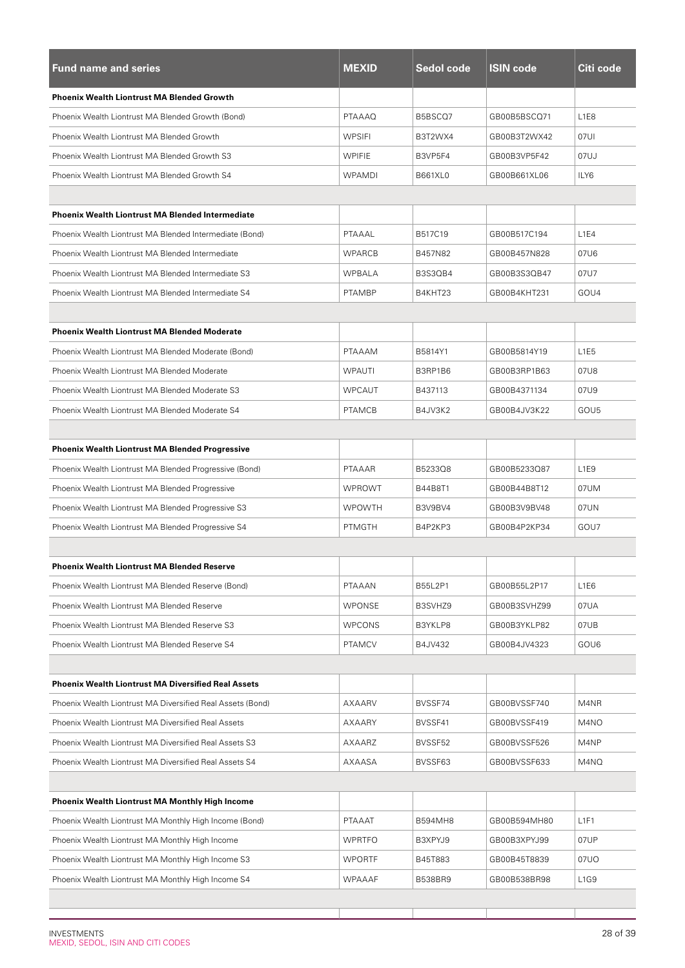| <b>Fund name and series</b>                                | <b>MEXID</b>  | Sedol code     | <b>ISIN code</b> | Citi code                     |
|------------------------------------------------------------|---------------|----------------|------------------|-------------------------------|
| <b>Phoenix Wealth Liontrust MA Blended Growth</b>          |               |                |                  |                               |
| Phoenix Wealth Liontrust MA Blended Growth (Bond)          | <b>PTAAAQ</b> | B5BSCQ7        | GB00B5BSCQ71     | L1E8                          |
| Phoenix Wealth Liontrust MA Blended Growth                 | <b>WPSIFI</b> | B3T2WX4        | GB00B3T2WX42     | 07UI                          |
| Phoenix Wealth Liontrust MA Blended Growth S3              | <b>WPIFIE</b> | B3VP5F4        | GB00B3VP5F42     | 07UJ                          |
| Phoenix Wealth Liontrust MA Blended Growth S4              | <b>WPAMDI</b> | B661XL0        | GB00B661XL06     | ILY6                          |
|                                                            |               |                |                  |                               |
| <b>Phoenix Wealth Liontrust MA Blended Intermediate</b>    |               |                |                  |                               |
| Phoenix Wealth Liontrust MA Blended Intermediate (Bond)    | PTAAAL        | B517C19        | GB00B517C194     | L1E4                          |
| Phoenix Wealth Liontrust MA Blended Intermediate           | <b>WPARCB</b> | B457N82        | GB00B457N828     | 07U6                          |
| Phoenix Wealth Liontrust MA Blended Intermediate S3        | <b>WPBALA</b> | <b>B3S3QB4</b> | GB00B3S3QB47     | 07U7                          |
| Phoenix Wealth Liontrust MA Blended Intermediate S4        | <b>PTAMBP</b> | B4KHT23        | GB00B4KHT231     | GOU4                          |
|                                                            |               |                |                  |                               |
| <b>Phoenix Wealth Liontrust MA Blended Moderate</b>        |               |                |                  |                               |
| Phoenix Wealth Liontrust MA Blended Moderate (Bond)        | PTAAAM        | B5814Y1        | GB00B5814Y19     | L <sub>1</sub> E <sub>5</sub> |
| Phoenix Wealth Liontrust MA Blended Moderate               | <b>WPAUTI</b> | B3RP1B6        | GB00B3RP1B63     | 07U8                          |
| Phoenix Wealth Liontrust MA Blended Moderate S3            | <b>WPCAUT</b> | B437113        | GB00B4371134     | 07U9                          |
| Phoenix Wealth Liontrust MA Blended Moderate S4            | <b>PTAMCB</b> | B4JV3K2        | GB00B4JV3K22     | GOU5                          |
|                                                            |               |                |                  |                               |
| <b>Phoenix Wealth Liontrust MA Blended Progressive</b>     |               |                |                  |                               |
| Phoenix Wealth Liontrust MA Blended Progressive (Bond)     | PTAAAR        | B5233Q8        | GB00B5233Q87     | L <sub>1</sub> E <sub>9</sub> |
| Phoenix Wealth Liontrust MA Blended Progressive            | <b>WPROWT</b> | B44B8T1        | GB00B44B8T12     | 07UM                          |
| Phoenix Wealth Liontrust MA Blended Progressive S3         | <b>WPOWTH</b> | B3V9BV4        | GB00B3V9BV48     | 07UN                          |
| Phoenix Wealth Liontrust MA Blended Progressive S4         | <b>PTMGTH</b> | B4P2KP3        | GB00B4P2KP34     | GOU7                          |
|                                                            |               |                |                  |                               |
| <b>Phoenix Wealth Liontrust MA Blended Reserve</b>         |               |                |                  |                               |
| Phoenix Wealth Liontrust MA Blended Reserve (Bond)         | PTAAAN        | B55L2P1        | GB00B55L2P17     | L <sub>1</sub> E <sub>6</sub> |
| Phoenix Wealth Liontrust MA Blended Reserve                | WPONSE        | B3SVHZ9        | GB00B3SVHZ99     | 07UA                          |
| Phoenix Wealth Liontrust MA Blended Reserve S3             | <b>WPCONS</b> | B3YKLP8        | GB00B3YKLP82     | 07UB                          |
| Phoenix Wealth Liontrust MA Blended Reserve S4             | <b>PTAMCV</b> | B4JV432        | GB00B4JV4323     | GOU6                          |
|                                                            |               |                |                  |                               |
| <b>Phoenix Wealth Liontrust MA Diversified Real Assets</b> |               |                |                  |                               |
| Phoenix Wealth Liontrust MA Diversified Real Assets (Bond) | AXAARV        | BVSSF74        | GB00BVSSF740     | M4NR                          |
| Phoenix Wealth Liontrust MA Diversified Real Assets        | AXAARY        | BVSSF41        | GB00BVSSF419     | M4NO                          |
| Phoenix Wealth Liontrust MA Diversified Real Assets S3     | AXAARZ        | BVSSF52        | GB00BVSSF526     | M4NP                          |
| Phoenix Wealth Liontrust MA Diversified Real Assets S4     | AXAASA        | BVSSF63        | GB00BVSSF633     | M4NQ                          |
|                                                            |               |                |                  |                               |
| <b>Phoenix Wealth Liontrust MA Monthly High Income</b>     |               |                |                  |                               |
| Phoenix Wealth Liontrust MA Monthly High Income (Bond)     | PTAAAT        | B594MH8        | GB00B594MH80     | L <sub>1F1</sub>              |
| Phoenix Wealth Liontrust MA Monthly High Income            | <b>WPRTFO</b> | B3XPYJ9        | GB00B3XPYJ99     | 07UP                          |
| Phoenix Wealth Liontrust MA Monthly High Income S3         | <b>WPORTF</b> | B45T883        | GB00B45T8839     | 07UO                          |
| Phoenix Wealth Liontrust MA Monthly High Income S4         | <b>WPAAAF</b> | <b>B538BR9</b> | GB00B538BR98     | L1G9                          |

L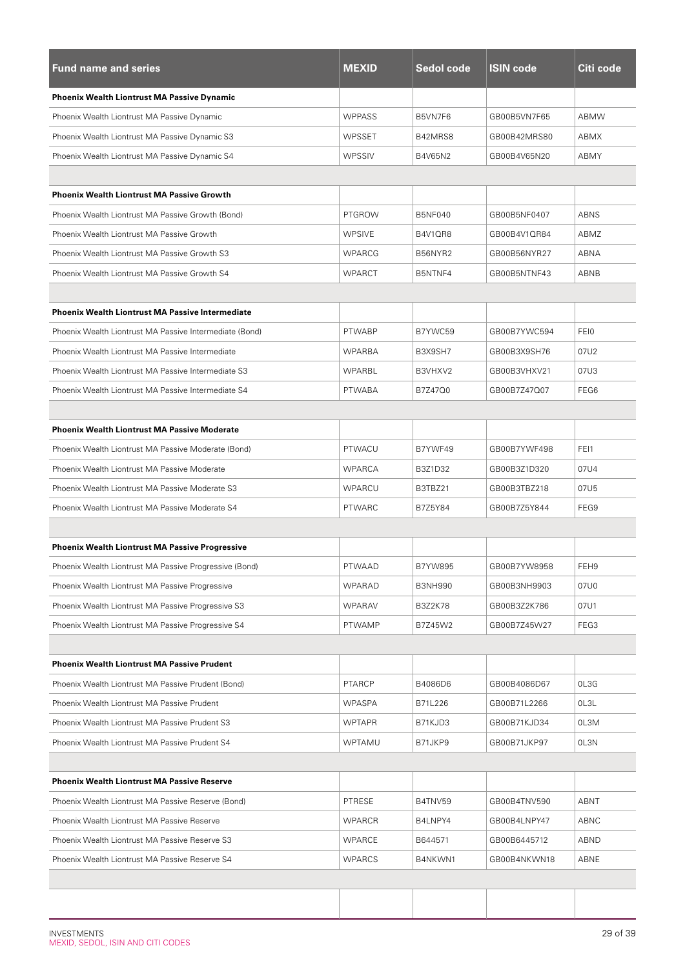| <b>Fund name and series</b>                             | <b>MEXID</b>  | Sedol code     | <b>ISIN code</b> | Citi code   |
|---------------------------------------------------------|---------------|----------------|------------------|-------------|
| <b>Phoenix Wealth Liontrust MA Passive Dynamic</b>      |               |                |                  |             |
| Phoenix Wealth Liontrust MA Passive Dynamic             | <b>WPPASS</b> | B5VN7F6        | GB00B5VN7F65     | <b>ABMW</b> |
| Phoenix Wealth Liontrust MA Passive Dynamic S3          | <b>WPSSET</b> | B42MRS8        | GB00B42MRS80     | ABMX        |
| Phoenix Wealth Liontrust MA Passive Dynamic S4          | WPSSIV        | B4V65N2        | GB00B4V65N20     | ABMY        |
|                                                         |               |                |                  |             |
| <b>Phoenix Wealth Liontrust MA Passive Growth</b>       |               |                |                  |             |
| Phoenix Wealth Liontrust MA Passive Growth (Bond)       | <b>PTGROW</b> | <b>B5NF040</b> | GB00B5NF0407     | ABNS        |
| Phoenix Wealth Liontrust MA Passive Growth              | <b>WPSIVE</b> | B4V1QR8        | GB00B4V1QR84     | ABMZ        |
| Phoenix Wealth Liontrust MA Passive Growth S3           | <b>WPARCG</b> | B56NYR2        | GB00B56NYR27     | <b>ABNA</b> |
| Phoenix Wealth Liontrust MA Passive Growth S4           | <b>WPARCT</b> | B5NTNF4        | GB00B5NTNF43     | ABNB        |
|                                                         |               |                |                  |             |
| <b>Phoenix Wealth Liontrust MA Passive Intermediate</b> |               |                |                  |             |
| Phoenix Wealth Liontrust MA Passive Intermediate (Bond) | <b>PTWABP</b> | B7YWC59        | GB00B7YWC594     | <b>FEIO</b> |
| Phoenix Wealth Liontrust MA Passive Intermediate        | <b>WPARBA</b> | B3X9SH7        | GB00B3X9SH76     | 07U2        |
| Phoenix Wealth Liontrust MA Passive Intermediate S3     | WPARBL        | B3VHXV2        | GB00B3VHXV21     | 07U3        |
| Phoenix Wealth Liontrust MA Passive Intermediate S4     | <b>PTWABA</b> | B7Z47Q0        | GB00B7Z47Q07     | FEG6        |
|                                                         |               |                |                  |             |
| <b>Phoenix Wealth Liontrust MA Passive Moderate</b>     |               |                |                  |             |
| Phoenix Wealth Liontrust MA Passive Moderate (Bond)     | PTWACU        | B7YWF49        | GB00B7YWF498     | FEI1        |
| Phoenix Wealth Liontrust MA Passive Moderate            | WPARCA        | B3Z1D32        | GB00B3Z1D320     | 07U4        |
| Phoenix Wealth Liontrust MA Passive Moderate S3         | WPARCU        | B3TBZ21        | GB00B3TBZ218     | 07U5        |
| Phoenix Wealth Liontrust MA Passive Moderate S4         | <b>PTWARC</b> | B7Z5Y84        | GB00B7Z5Y844     | FEG9        |
|                                                         |               |                |                  |             |
| <b>Phoenix Wealth Liontrust MA Passive Progressive</b>  |               |                |                  |             |
| Phoenix Wealth Liontrust MA Passive Progressive (Bond)  | PTWAAD        | B7YW895        | GB00B7YW8958     | FEH9        |
| Phoenix Wealth Liontrust MA Passive Progressive         | WPARAD        | <b>B3NH990</b> | GB00B3NH9903     | 07U0        |
| Phoenix Wealth Liontrust MA Passive Progressive S3      | WPARAV        | <b>B3Z2K78</b> | GB00B3Z2K786     | 07U1        |
| Phoenix Wealth Liontrust MA Passive Progressive S4      | <b>PTWAMP</b> | B7Z45W2        | GB00B7Z45W27     | FEG3        |
|                                                         |               |                |                  |             |
| <b>Phoenix Wealth Liontrust MA Passive Prudent</b>      |               |                |                  |             |
| Phoenix Wealth Liontrust MA Passive Prudent (Bond)      | <b>PTARCP</b> | B4086D6        | GB00B4086D67     | 0L3G        |
| Phoenix Wealth Liontrust MA Passive Prudent             | <b>WPASPA</b> | B71L226        | GB00B71L2266     | OL3L        |
| Phoenix Wealth Liontrust MA Passive Prudent S3          | <b>WPTAPR</b> | B71KJD3        | GB00B71KJD34     | 0L3M        |
| Phoenix Wealth Liontrust MA Passive Prudent S4          | WPTAMU        | B71JKP9        | GB00B71JKP97     | 0L3N        |
|                                                         |               |                |                  |             |
| <b>Phoenix Wealth Liontrust MA Passive Reserve</b>      |               |                |                  |             |
| Phoenix Wealth Liontrust MA Passive Reserve (Bond)      | PTRESE        | B4TNV59        | GB00B4TNV590     | ABNT        |
| Phoenix Wealth Liontrust MA Passive Reserve             | <b>WPARCR</b> | B4LNPY4        | GB00B4LNPY47     | ABNC        |
| Phoenix Wealth Liontrust MA Passive Reserve S3          | <b>WPARCE</b> | B644571        | GB00B6445712     | ABND        |
| Phoenix Wealth Liontrust MA Passive Reserve S4          | <b>WPARCS</b> | B4NKWN1        | GB00B4NKWN18     | ABNE        |
|                                                         |               |                |                  |             |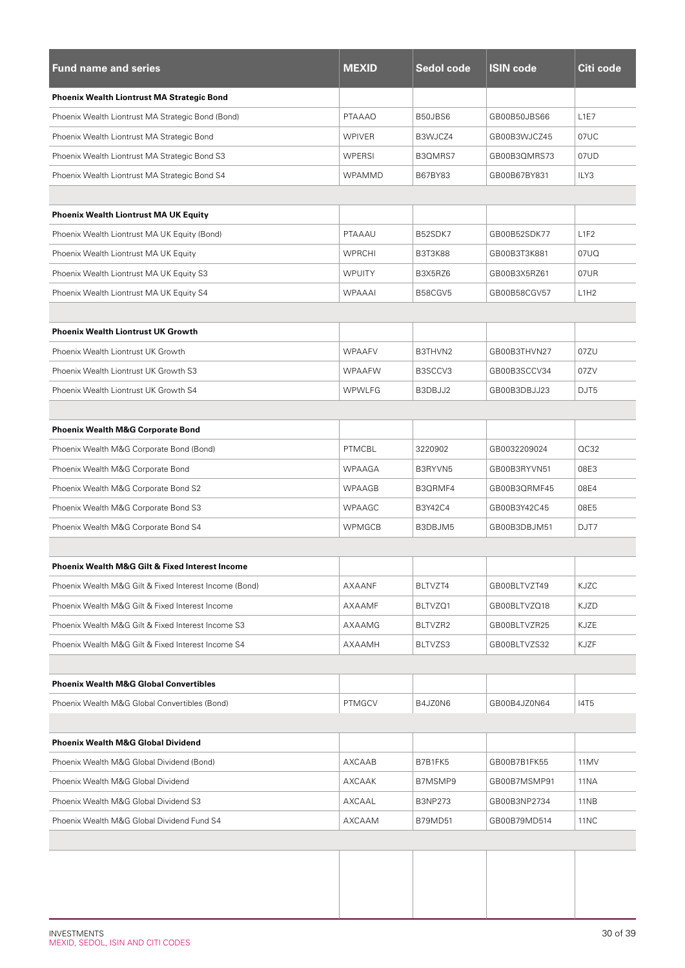| <b>Fund name and series</b>                            | <b>MEXID</b>  | Sedol code     | <b>ISIN code</b> | Citi code   |
|--------------------------------------------------------|---------------|----------------|------------------|-------------|
| <b>Phoenix Wealth Liontrust MA Strategic Bond</b>      |               |                |                  |             |
| Phoenix Wealth Liontrust MA Strategic Bond (Bond)      | <b>PTAAAO</b> | B50JBS6        | GB00B50JBS66     | L1E7        |
| Phoenix Wealth Liontrust MA Strategic Bond             | <b>WPIVER</b> | B3WJCZ4        | GB00B3WJCZ45     | 07UC        |
| Phoenix Wealth Liontrust MA Strategic Bond S3          | WPERSI        | B3QMRS7        | GB00B3QMRS73     | 07UD        |
| Phoenix Wealth Liontrust MA Strategic Bond S4          | WPAMMD        | B67BY83        | GB00B67BY831     | ILY3        |
|                                                        |               |                |                  |             |
| Phoenix Wealth Liontrust MA UK Equity                  |               |                |                  |             |
| Phoenix Wealth Liontrust MA UK Equity (Bond)           | PTAAAU        | B52SDK7        | GB00B52SDK77     | L1F2        |
| Phoenix Wealth Liontrust MA UK Equity                  | <b>WPRCHI</b> | <b>B3T3K88</b> | GB00B3T3K881     | 07UQ        |
| Phoenix Wealth Liontrust MA UK Equity S3               | <b>WPUITY</b> | B3X5RZ6        | GB00B3X5RZ61     | 07UR        |
| Phoenix Wealth Liontrust MA UK Equity S4               | <b>WPAAAI</b> | B58CGV5        | GB00B58CGV57     | L1H2        |
|                                                        |               |                |                  |             |
| <b>Phoenix Wealth Liontrust UK Growth</b>              |               |                |                  |             |
| Phoenix Wealth Liontrust UK Growth                     | <b>WPAAFV</b> | B3THVN2        | GB00B3THVN27     | 07ZU        |
| Phoenix Wealth Liontrust UK Growth S3                  | <b>WPAAFW</b> | B3SCCV3        | GB00B3SCCV34     | 07ZV        |
| Phoenix Wealth Liontrust UK Growth S4                  | <b>WPWLFG</b> | B3DBJJ2        | GB00B3DBJJ23     | DJT5        |
|                                                        |               |                |                  |             |
| <b>Phoenix Wealth M&amp;G Corporate Bond</b>           |               |                |                  |             |
| Phoenix Wealth M&G Corporate Bond (Bond)               | PTMCBL        | 3220902        | GB0032209024     | OC32        |
| Phoenix Wealth M&G Corporate Bond                      | <b>WPAAGA</b> | B3RYVN5        | GB00B3RYVN51     | 08E3        |
| Phoenix Wealth M&G Corporate Bond S2                   | WPAAGB        | B3QRMF4        | GB00B3QRMF45     | 08E4        |
| Phoenix Wealth M&G Corporate Bond S3                   | <b>WPAAGC</b> | B3Y42C4        | GB00B3Y42C45     | 08E5        |
| Phoenix Wealth M&G Corporate Bond S4                   | <b>WPMGCB</b> | B3DBJM5        | GB00B3DBJM51     | DJT7        |
|                                                        |               |                |                  |             |
| Phoenix Wealth M&G Gilt & Fixed Interest Income        |               |                |                  |             |
| Phoenix Wealth M&G Gilt & Fixed Interest Income (Bond) | AXAANF        | BLTVZT4        | GB00BLTVZT49     | KJZC        |
| Phoenix Wealth M&G Gilt & Fixed Interest Income        | AXAAMF        | BLTVZQ1        | GB00BLTVZQ18     | KJZD        |
| Phoenix Wealth M&G Gilt & Fixed Interest Income S3     | AXAAMG        | BLTVZR2        | GB00BLTVZR25     | KJZE        |
| Phoenix Wealth M&G Gilt & Fixed Interest Income S4     | AXAAMH        | BLTVZS3        | GB00BLTVZS32     | KJZF        |
|                                                        |               |                |                  |             |
| <b>Phoenix Wealth M&amp;G Global Convertibles</b>      |               |                |                  |             |
| Phoenix Wealth M&G Global Convertibles (Bond)          | <b>PTMGCV</b> | B4JZ0N6        | GB00B4JZ0N64     | 14T5        |
|                                                        |               |                |                  |             |
| <b>Phoenix Wealth M&amp;G Global Dividend</b>          |               |                |                  |             |
| Phoenix Wealth M&G Global Dividend (Bond)              | AXCAAB        | B7B1FK5        | GB00B7B1FK55     | 11MV        |
| Phoenix Wealth M&G Global Dividend                     | AXCAAK        | B7MSMP9        | GB00B7MSMP91     | 11NA        |
| Phoenix Wealth M&G Global Dividend S3                  | AXCAAL        | <b>B3NP273</b> | GB00B3NP2734     | 11NB        |
| Phoenix Wealth M&G Global Dividend Fund S4             | AXCAAM        | <b>B79MD51</b> | GB00B79MD514     | <b>11NC</b> |
|                                                        |               |                |                  |             |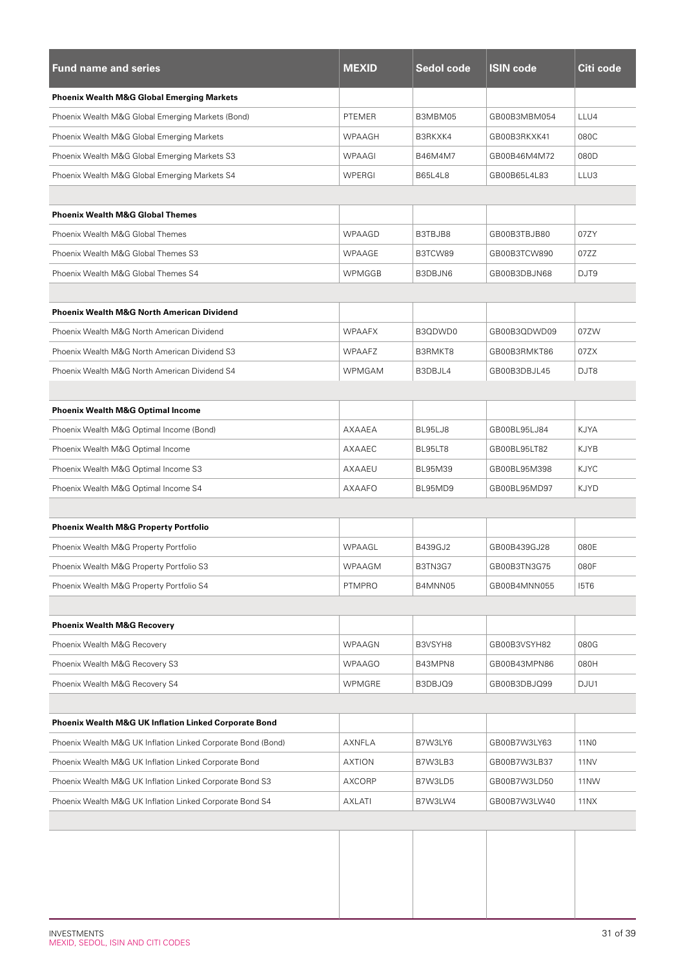| <b>Fund name and series</b>                                  | <b>MEXID</b>  | Sedol code     | <b>ISIN code</b> | Citi code        |
|--------------------------------------------------------------|---------------|----------------|------------------|------------------|
| <b>Phoenix Wealth M&amp;G Global Emerging Markets</b>        |               |                |                  |                  |
| Phoenix Wealth M&G Global Emerging Markets (Bond)            | <b>PTEMER</b> | B3MBM05        | GB00B3MBM054     | LLU4             |
| Phoenix Wealth M&G Global Emerging Markets                   | <b>WPAAGH</b> | B3RKXK4        | GB00B3RKXK41     | 080C             |
| Phoenix Wealth M&G Global Emerging Markets S3                | WPAAGI        | B46M4M7        | GB00B46M4M72     | 080D             |
| Phoenix Wealth M&G Global Emerging Markets S4                | WPERGI        | <b>B65L4L8</b> | GB00B65L4L83     | LLU3             |
|                                                              |               |                |                  |                  |
| <b>Phoenix Wealth M&amp;G Global Themes</b>                  |               |                |                  |                  |
| Phoenix Wealth M&G Global Themes                             | WPAAGD        | B3TBJB8        | GB00B3TBJB80     | 07ZY             |
| Phoenix Wealth M&G Global Themes S3                          | WPAAGE        | B3TCW89        | GB00B3TCW890     | 07ZZ             |
| Phoenix Wealth M&G Global Themes S4                          | WPMGGB        | B3DBJN6        | GB00B3DBJN68     | DJT9             |
|                                                              |               |                |                  |                  |
| <b>Phoenix Wealth M&amp;G North American Dividend</b>        |               |                |                  |                  |
| Phoenix Wealth M&G North American Dividend                   | <b>WPAAFX</b> | B3QDWD0        | GB00B3QDWD09     | 07ZW             |
| Phoenix Wealth M&G North American Dividend S3                | <b>WPAAFZ</b> | B3RMKT8        | GB00B3RMKT86     | 07ZX             |
| Phoenix Wealth M&G North American Dividend S4                | <b>WPMGAM</b> | B3DBJL4        | GB00B3DBJL45     | DJT8             |
|                                                              |               |                |                  |                  |
| <b>Phoenix Wealth M&amp;G Optimal Income</b>                 |               |                |                  |                  |
| Phoenix Wealth M&G Optimal Income (Bond)                     | AXAAEA        | BL95LJ8        | GB00BL95LJ84     | KJYA             |
| Phoenix Wealth M&G Optimal Income                            | AXAAEC        | BL95LT8        | GB00BL95LT82     | KJYB             |
| Phoenix Wealth M&G Optimal Income S3                         | AXAAEU        | <b>BL95M39</b> | GB00BL95M398     | <b>KJYC</b>      |
| Phoenix Wealth M&G Optimal Income S4                         | AXAAFO        | BL95MD9        | GB00BL95MD97     | <b>KJYD</b>      |
|                                                              |               |                |                  |                  |
| <b>Phoenix Wealth M&amp;G Property Portfolio</b>             |               |                |                  |                  |
| Phoenix Wealth M&G Property Portfolio                        | WPAAGL        | B439GJ2        | GB00B439GJ28     | 080E             |
| Phoenix Wealth M&G Property Portfolio S3                     | WPAAGM        | B3TN3G7        | GB00B3TN3G75     | 080F             |
| Phoenix Wealth M&G Property Portfolio S4                     | <b>PTMPRO</b> | B4MNN05        | GB00B4MNN055     | <b>I5T6</b>      |
|                                                              |               |                |                  |                  |
| <b>Phoenix Wealth M&amp;G Recovery</b>                       |               |                |                  |                  |
| Phoenix Wealth M&G Recovery                                  | WPAAGN        | B3VSYH8        | GB00B3VSYH82     | 080G             |
| Phoenix Wealth M&G Recovery S3                               | WPAAGO        | B43MPN8        | GB00B43MPN86     | 080H             |
| Phoenix Wealth M&G Recovery S4                               | WPMGRE        | B3DBJQ9        | GB00B3DBJQ99     | DJU1             |
|                                                              |               |                |                  |                  |
| Phoenix Wealth M&G UK Inflation Linked Corporate Bond        |               |                |                  |                  |
| Phoenix Wealth M&G UK Inflation Linked Corporate Bond (Bond) | AXNFLA        | B7W3LY6        | GB00B7W3LY63     | 11 <sub>N0</sub> |
| Phoenix Wealth M&G UK Inflation Linked Corporate Bond        | AXTION        | B7W3LB3        | GB00B7W3LB37     | 11NV             |
| Phoenix Wealth M&G UK Inflation Linked Corporate Bond S3     | AXCORP        | B7W3LD5        | GB00B7W3LD50     | 11NW             |
| Phoenix Wealth M&G UK Inflation Linked Corporate Bond S4     | AXLATI        | B7W3LW4        | GB00B7W3LW40     | 11NX             |
|                                                              |               |                |                  |                  |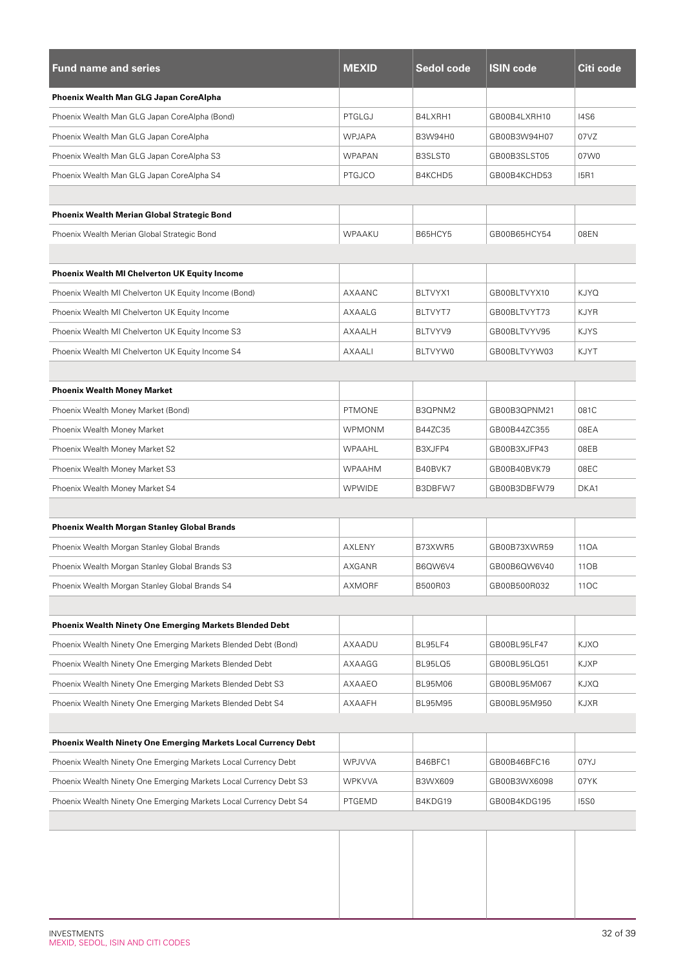| <b>Fund name and series</b>                                       | <b>MEXID</b>  | <b>Sedol code</b> | <b>ISIN code</b> | Citi code   |
|-------------------------------------------------------------------|---------------|-------------------|------------------|-------------|
| Phoenix Wealth Man GLG Japan CoreAlpha                            |               |                   |                  |             |
| Phoenix Wealth Man GLG Japan CoreAlpha (Bond)                     | PTGLGJ        | B4LXRH1           | GB00B4LXRH10     | <b>14S6</b> |
| Phoenix Wealth Man GLG Japan CoreAlpha                            | <b>WPJAPA</b> | B3W94H0           | GB00B3W94H07     | 07VZ        |
| Phoenix Wealth Man GLG Japan CoreAlpha S3                         | <b>WPAPAN</b> | B3SLST0           | GB00B3SLST05     | 07W0        |
| Phoenix Wealth Man GLG Japan CoreAlpha S4                         | <b>PTGJCO</b> | B4KCHD5           | GB00B4KCHD53     | <b>I5R1</b> |
|                                                                   |               |                   |                  |             |
| <b>Phoenix Wealth Merian Global Strategic Bond</b>                |               |                   |                  |             |
| Phoenix Wealth Merian Global Strategic Bond                       | WPAAKU        | B65HCY5           | GB00B65HCY54     | 08EN        |
| <b>Phoenix Wealth MI Chelverton UK Equity Income</b>              |               |                   |                  |             |
| Phoenix Wealth MI Chelverton UK Equity Income (Bond)              | AXAANC        | BLTVYX1           | GB00BLTVYX10     | <b>KJYQ</b> |
| Phoenix Wealth MI Chelverton UK Equity Income                     | AXAALG        | BLTVYT7           | GB00BLTVYT73     | KJYR        |
| Phoenix Wealth MI Chelverton UK Equity Income S3                  | AXAALH        | BLTVYV9           | GB00BLTVYV95     | <b>KJYS</b> |
| Phoenix Wealth MI Chelverton UK Equity Income S4                  | AXAALI        | BLTVYW0           | GB00BLTVYW03     | <b>KJYT</b> |
|                                                                   |               |                   |                  |             |
| <b>Phoenix Wealth Money Market</b>                                |               |                   |                  |             |
| Phoenix Wealth Money Market (Bond)                                | <b>PTMONE</b> | B3QPNM2           | GB00B3QPNM21     | 081C        |
| Phoenix Wealth Money Market                                       | <b>WPMONM</b> | B44ZC35           | GB00B44ZC355     | 08EA        |
| Phoenix Wealth Money Market S2                                    | WPAAHL        | B3XJFP4           | GB00B3XJFP43     | 08EB        |
| Phoenix Wealth Money Market S3                                    | <b>WPAAHM</b> | B40BVK7           | GB00B40BVK79     | 08EC        |
| Phoenix Wealth Money Market S4                                    | <b>WPWIDE</b> | B3DBFW7           | GB00B3DBFW79     | DKA1        |
|                                                                   |               |                   |                  |             |
| Phoenix Wealth Morgan Stanley Global Brands                       |               |                   |                  |             |
| Phoenix Wealth Morgan Stanley Global Brands                       | AXLENY        | B73XWR5           | GB00B73XWR59     | 110A        |
| Phoenix Wealth Morgan Stanley Global Brands S3                    | AXGANR        | B6QW6V4           | GB00B6QW6V40     | 11OB        |
| Phoenix Wealth Morgan Stanley Global Brands S4                    | AXMORF        | B500R03           | GB00B500R032     | 11OC        |
|                                                                   |               |                   |                  |             |
| <b>Phoenix Wealth Ninety One Emerging Markets Blended Debt</b>    |               |                   |                  |             |
| Phoenix Wealth Ninety One Emerging Markets Blended Debt (Bond)    | AXAADU        | BL95LF4           | GB00BL95LF47     | <b>KJXO</b> |
| Phoenix Wealth Ninety One Emerging Markets Blended Debt           | AXAAGG        | BL95LQ5           | GB00BL95LQ51     | KJXP        |
| Phoenix Wealth Ninety One Emerging Markets Blended Debt S3        | AXAAEO        | BL95M06           | GB00BL95M067     | KJXQ        |
| Phoenix Wealth Ninety One Emerging Markets Blended Debt S4        | AXAAFH        | BL95M95           | GB00BL95M950     | KJXR        |
|                                                                   |               |                   |                  |             |
| Phoenix Wealth Ninety One Emerging Markets Local Currency Debt    |               |                   |                  |             |
| Phoenix Wealth Ninety One Emerging Markets Local Currency Debt    | WPJVVA        | B46BFC1           | GB00B46BFC16     | 07YJ        |
| Phoenix Wealth Ninety One Emerging Markets Local Currency Debt S3 | WPKVVA        | B3WX609           | GB00B3WX6098     | 07YK        |
| Phoenix Wealth Ninety One Emerging Markets Local Currency Debt S4 | PTGEMD        | B4KDG19           | GB00B4KDG195     | <b>15S0</b> |
|                                                                   |               |                   |                  |             |
|                                                                   |               |                   |                  |             |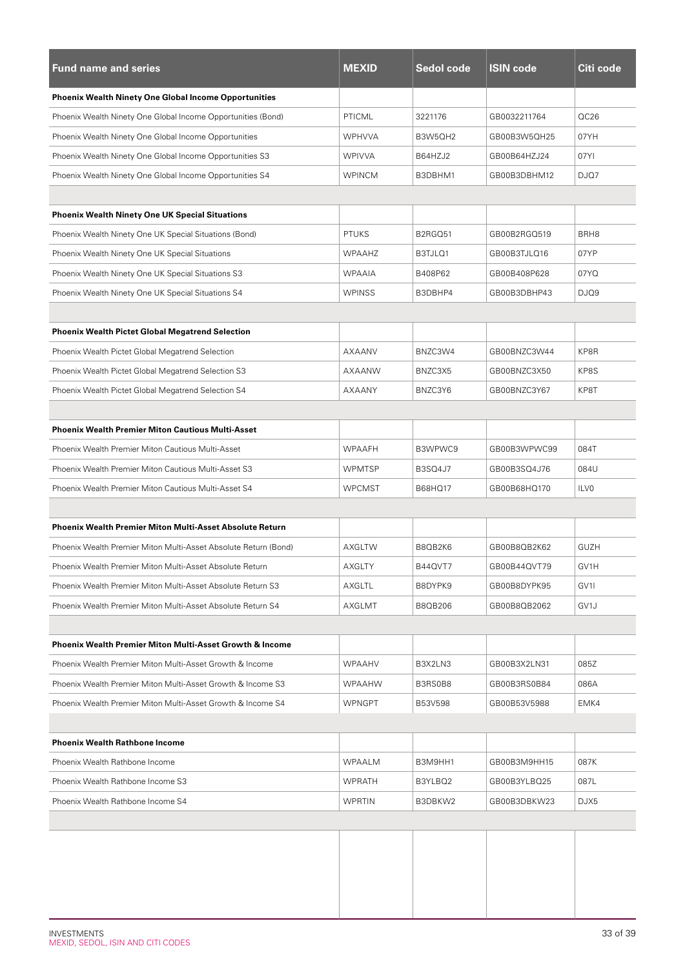| <b>Fund name and series</b>                                         | <b>MEXID</b>  | Sedol code     | <b>ISIN code</b> | Citi code        |
|---------------------------------------------------------------------|---------------|----------------|------------------|------------------|
| <b>Phoenix Wealth Ninety One Global Income Opportunities</b>        |               |                |                  |                  |
| Phoenix Wealth Ninety One Global Income Opportunities (Bond)        | PTICML        | 3221176        | GB0032211764     | OC26             |
| Phoenix Wealth Ninety One Global Income Opportunities               | <b>WPHVVA</b> | B3W5QH2        | GB00B3W5QH25     | 07YH             |
| Phoenix Wealth Ninety One Global Income Opportunities S3            | <b>WPIVVA</b> | B64HZJ2        | GB00B64HZJ24     | 07YI             |
| Phoenix Wealth Ninety One Global Income Opportunities S4            | <b>WPINCM</b> | B3DBHM1        | GB00B3DBHM12     | DJQ7             |
|                                                                     |               |                |                  |                  |
| <b>Phoenix Wealth Ninety One UK Special Situations</b>              |               |                |                  |                  |
| Phoenix Wealth Ninety One UK Special Situations (Bond)              | <b>PTUKS</b>  | B2RGQ51        | GB00B2RGQ519     | BRH <sub>8</sub> |
| Phoenix Wealth Ninety One UK Special Situations                     | <b>WPAAHZ</b> | B3TJLQ1        | GB00B3TJLQ16     | 07YP             |
| Phoenix Wealth Ninety One UK Special Situations S3                  | <b>WPAAIA</b> | B408P62        | GB00B408P628     | 07YQ             |
| Phoenix Wealth Ninety One UK Special Situations S4                  | <b>WPINSS</b> | B3DBHP4        | GB00B3DBHP43     | DJQ9             |
|                                                                     |               |                |                  |                  |
| <b>Phoenix Wealth Pictet Global Megatrend Selection</b>             |               |                |                  |                  |
| Phoenix Wealth Pictet Global Megatrend Selection                    | AXAANV        | BNZC3W4        | GB00BNZC3W44     | KP8R             |
| Phoenix Wealth Pictet Global Megatrend Selection S3                 | AXAANW        | BNZC3X5        | GB00BNZC3X50     | KP8S             |
| Phoenix Wealth Pictet Global Megatrend Selection S4                 | <b>AXAANY</b> | BNZC3Y6        | GB00BNZC3Y67     | KP8T             |
|                                                                     |               |                |                  |                  |
| <b>Phoenix Wealth Premier Miton Cautious Multi-Asset</b>            |               |                |                  |                  |
| Phoenix Wealth Premier Miton Cautious Multi-Asset                   | <b>WPAAFH</b> | B3WPWC9        | GB00B3WPWC99     | 084T             |
| Phoenix Wealth Premier Miton Cautious Multi-Asset S3                | <b>WPMTSP</b> | <b>B3SQ4J7</b> | GB00B3SQ4J76     | 084U             |
| Phoenix Wealth Premier Miton Cautious Multi-Asset S4                | <b>WPCMST</b> | B68HQ17        | GB00B68HQ170     | ILV <sub>0</sub> |
|                                                                     |               |                |                  |                  |
| <b>Phoenix Wealth Premier Miton Multi-Asset Absolute Return</b>     |               |                |                  |                  |
| Phoenix Wealth Premier Miton Multi-Asset Absolute Return (Bond)     | AXGLTW        | B8QB2K6        | GB00B8QB2K62     | <b>GUZH</b>      |
| Phoenix Wealth Premier Miton Multi-Asset Absolute Return            | AXGLTY        | B44QVT7        | GB00B44QVT79     | GV1H             |
| Phoenix Wealth Premier Miton Multi-Asset Absolute Return S3         | AXGLTL        | B8DYPK9        | GB00B8DYPK95     | GV1I             |
| Phoenix Wealth Premier Miton Multi-Asset Absolute Return S4         | AXGLMT        | B8QB206        | GB00B8QB2062     | GV1J             |
|                                                                     |               |                |                  |                  |
| <b>Phoenix Wealth Premier Miton Multi-Asset Growth &amp; Income</b> |               |                |                  |                  |
| Phoenix Wealth Premier Miton Multi-Asset Growth & Income            | <b>WPAAHV</b> | B3X2LN3        | GB00B3X2LN31     | 085Z             |
| Phoenix Wealth Premier Miton Multi-Asset Growth & Income S3         | WPAAHW        | B3RS0B8        | GB00B3RS0B84     | 086A             |
| Phoenix Wealth Premier Miton Multi-Asset Growth & Income S4         | <b>WPNGPT</b> | B53V598        | GB00B53V5988     | EMK4             |
|                                                                     |               |                |                  |                  |
| <b>Phoenix Wealth Rathbone Income</b>                               |               |                |                  |                  |
| Phoenix Wealth Rathbone Income                                      | WPAALM        | B3M9HH1        | GB00B3M9HH15     | 087K             |
| Phoenix Wealth Rathbone Income S3                                   | <b>WPRATH</b> | B3YLBQ2        | GB00B3YLBQ25     | 087L             |
| Phoenix Wealth Rathbone Income S4                                   | <b>WPRTIN</b> | B3DBKW2        | GB00B3DBKW23     | DJX5             |
|                                                                     |               |                |                  |                  |
|                                                                     |               |                |                  |                  |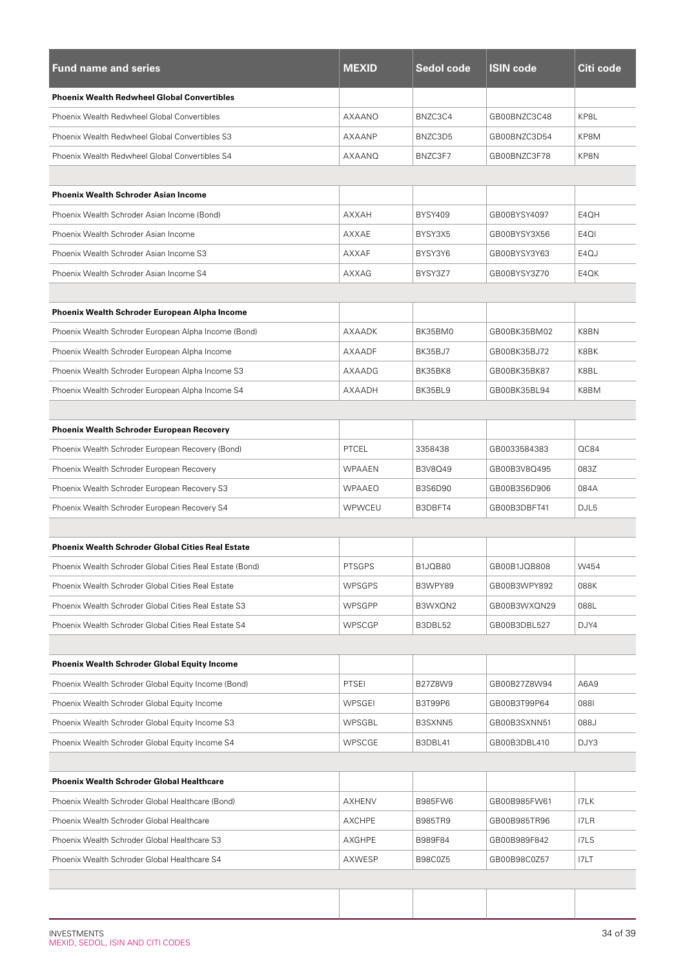| <b>Fund name and series</b>                              | <b>MEXID</b>  | <b>Sedol code</b> | <b>ISIN code</b> | Citi code         |
|----------------------------------------------------------|---------------|-------------------|------------------|-------------------|
| <b>Phoenix Wealth Redwheel Global Convertibles</b>       |               |                   |                  |                   |
| Phoenix Wealth Redwheel Global Convertibles              | AXAANO        | BNZC3C4           | GB00BNZC3C48     | KP8L              |
| Phoenix Wealth Redwheel Global Convertibles S3           | AXAANP        | BNZC3D5           | GB00BNZC3D54     | KP8M              |
| Phoenix Wealth Redwheel Global Convertibles S4           | AXAANQ        | BNZC3F7           | GB00BNZC3F78     | KP8N              |
|                                                          |               |                   |                  |                   |
| <b>Phoenix Wealth Schroder Asian Income</b>              |               |                   |                  |                   |
| Phoenix Wealth Schroder Asian Income (Bond)              | <b>AXXAH</b>  | <b>BYSY409</b>    | GB00BYSY4097     | E4QH              |
| Phoenix Wealth Schroder Asian Income                     | AXXAE         | BYSY3X5           | GB00BYSY3X56     | E <sub>4</sub> QI |
| Phoenix Wealth Schroder Asian Income S3                  | <b>AXXAF</b>  | BYSY3Y6           | GB00BYSY3Y63     | E4QJ              |
| Phoenix Wealth Schroder Asian Income S4                  | AXXAG         | BYSY3Z7           | GB00BYSY3Z70     | E4QK              |
|                                                          |               |                   |                  |                   |
| Phoenix Wealth Schroder European Alpha Income            |               |                   |                  |                   |
| Phoenix Wealth Schroder European Alpha Income (Bond)     | AXAADK        | BK35BM0           | GB00BK35BM02     | K8BN              |
| Phoenix Wealth Schroder European Alpha Income            | AXAADF        | BK35BJ7           | GB00BK35BJ72     | K8BK              |
| Phoenix Wealth Schroder European Alpha Income S3         | AXAADG        | BK35BK8           | GB00BK35BK87     | K8BL              |
| Phoenix Wealth Schroder European Alpha Income S4         | AXAADH        | BK35BL9           | GB00BK35BL94     | K8BM              |
|                                                          |               |                   |                  |                   |
| <b>Phoenix Wealth Schroder European Recovery</b>         |               |                   |                  |                   |
| Phoenix Wealth Schroder European Recovery (Bond)         | <b>PTCEL</b>  | 3358438           | GB0033584383     | QC84              |
| Phoenix Wealth Schroder European Recovery                | <b>WPAAEN</b> | B3V8Q49           | GB00B3V8Q495     | 083Z              |
| Phoenix Wealth Schroder European Recovery S3             | <b>WPAAEO</b> | B3S6D90           | GB00B3S6D906     | 084A              |
| Phoenix Wealth Schroder European Recovery S4             | WPWCEU        | B3DBFT4           | GB00B3DBFT41     | DJL5              |
|                                                          |               |                   |                  |                   |
| <b>Phoenix Wealth Schroder Global Cities Real Estate</b> |               |                   |                  |                   |
| Phoenix Wealth Schroder Global Cities Real Estate (Bond) | PTSGPS        | B1JQB80           | GB00B1JQB808     | W454              |
| Phoenix Wealth Schroder Global Cities Real Estate        | <b>WPSGPS</b> | B3WPY89           | GB00B3WPY892     | 088K              |
| Phoenix Wealth Schroder Global Cities Real Estate S3     | <b>WPSGPP</b> | B3WXQN2           | GB00B3WXQN29     | 088L              |
| Phoenix Wealth Schroder Global Cities Real Estate S4     | WPSCGP        | B3DBL52           | GB00B3DBL527     | DJY4              |
|                                                          |               |                   |                  |                   |
| <b>Phoenix Wealth Schroder Global Equity Income</b>      |               |                   |                  |                   |
| Phoenix Wealth Schroder Global Equity Income (Bond)      | PTSEI         | B27Z8W9           | GB00B27Z8W94     | A6A9              |
| Phoenix Wealth Schroder Global Equity Income             | WPSGEI        | <b>B3T99P6</b>    | GB00B3T99P64     | 0881              |
| Phoenix Wealth Schroder Global Equity Income S3          | WPSGBL        | B3SXNN5           | GB00B3SXNN51     | 088J              |
| Phoenix Wealth Schroder Global Equity Income S4          | WPSCGE        | B3DBL41           | GB00B3DBL410     | DJY3              |
|                                                          |               |                   |                  |                   |
| <b>Phoenix Wealth Schroder Global Healthcare</b>         |               |                   |                  |                   |
| Phoenix Wealth Schroder Global Healthcare (Bond)         | AXHENV        | B985FW6           | GB00B985FW61     | I7LK              |
| Phoenix Wealth Schroder Global Healthcare                | <b>AXCHPE</b> | <b>B985TR9</b>    | GB00B985TR96     | I7LR              |
| Phoenix Wealth Schroder Global Healthcare S3             | AXGHPE        | B989F84           | GB00B989F842     | I7LS              |
| Phoenix Wealth Schroder Global Healthcare S4             | AXWESP        | B98C0Z5           | GB00B98C0Z57     | I7LT              |
|                                                          |               |                   |                  |                   |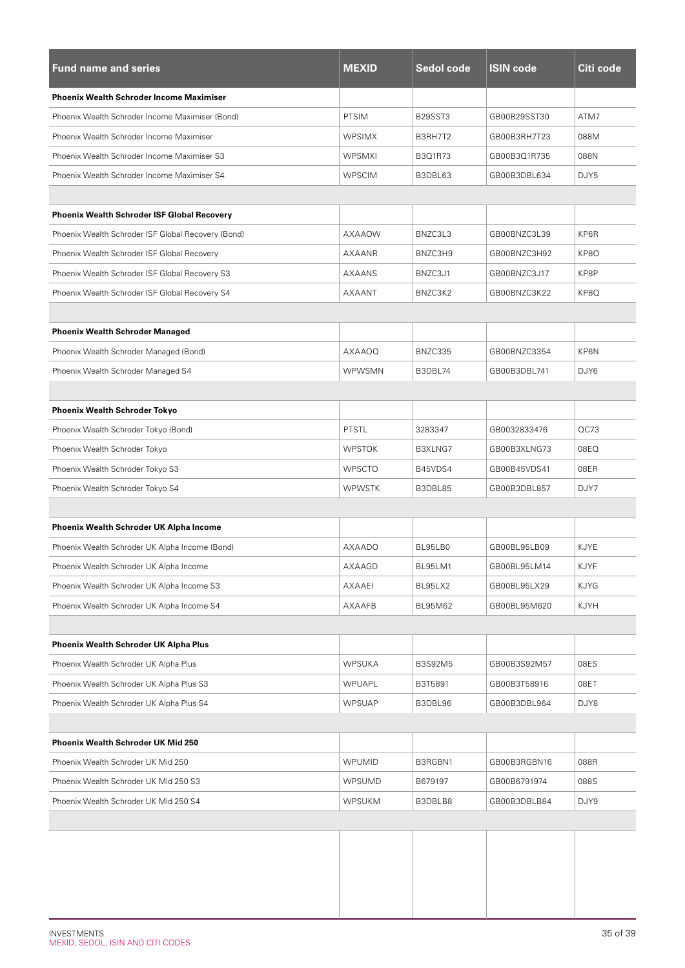| <b>Fund name and series</b>                        | <b>MEXID</b>  | Sedol code | <b>ISIN code</b> | Citi code |
|----------------------------------------------------|---------------|------------|------------------|-----------|
| <b>Phoenix Wealth Schroder Income Maximiser</b>    |               |            |                  |           |
| Phoenix Wealth Schroder Income Maximiser (Bond)    | <b>PTSIM</b>  | B29SST3    | GB00B29SST30     | ATM7      |
| Phoenix Wealth Schroder Income Maximiser           | <b>WPSIMX</b> | B3RH7T2    | GB00B3RH7T23     | 088M      |
| Phoenix Wealth Schroder Income Maximiser S3        | <b>WPSMXI</b> | B3Q1R73    | GB00B3Q1R735     | 088N      |
| Phoenix Wealth Schroder Income Maximiser S4        | <b>WPSCIM</b> | B3DBL63    | GB00B3DBL634     | DJY5      |
|                                                    |               |            |                  |           |
| <b>Phoenix Wealth Schroder ISF Global Recovery</b> |               |            |                  |           |
| Phoenix Wealth Schroder ISF Global Recovery (Bond) | AXAAOW        | BNZC3L3    | GB00BNZC3L39     | KP6R      |
| Phoenix Wealth Schroder ISF Global Recovery        | AXAANR        | BNZC3H9    | GB00BNZC3H92     | KP8O      |
| Phoenix Wealth Schroder ISF Global Recovery S3     | <b>AXAANS</b> | BNZC3J1    | GB00BNZC3J17     | KP8P      |
| Phoenix Wealth Schroder ISF Global Recovery S4     | AXAANT        | BNZC3K2    | GB00BNZC3K22     | KP8Q      |
|                                                    |               |            |                  |           |
| <b>Phoenix Wealth Schroder Managed</b>             |               |            |                  |           |
| Phoenix Wealth Schroder Managed (Bond)             | AXAAOQ        | BNZC335    | GB00BNZC3354     | KP6N      |
| Phoenix Wealth Schroder Managed S4                 | <b>WPWSMN</b> | B3DBL74    | GB00B3DBL741     | DJY6      |
|                                                    |               |            |                  |           |
| <b>Phoenix Wealth Schroder Tokyo</b>               |               |            |                  |           |
| Phoenix Wealth Schroder Tokyo (Bond)               | <b>PTSTL</b>  | 3283347    | GB0032833476     | QC73      |
| Phoenix Wealth Schroder Tokyo                      | <b>WPSTOK</b> | B3XLNG7    | GB00B3XLNG73     | 08EQ      |
| Phoenix Wealth Schroder Tokyo S3                   | <b>WPSCTO</b> | B45VDS4    | GB00B45VDS41     | 08ER      |
| Phoenix Wealth Schroder Tokyo S4                   | <b>WPWSTK</b> | B3DBL85    | GB00B3DBL857     | DJY7      |
|                                                    |               |            |                  |           |
| <b>Phoenix Wealth Schroder UK Alpha Income</b>     |               |            |                  |           |
| Phoenix Wealth Schroder UK Alpha Income (Bond)     | <b>AXAADO</b> | BL95LB0    | GB00BL95LB09     | KJYE      |
| Phoenix Wealth Schroder UK Alpha Income            | AXAAGD        | BL95LM1    | GB00BL95LM14     | KJYF      |
| Phoenix Wealth Schroder UK Alpha Income S3         | AXAAEI        | BL95LX2    | GB00BL95LX29     | KJYG      |
| Phoenix Wealth Schroder UK Alpha Income S4         | AXAAFB        | BL95M62    | GB00BL95M620     | KJYH      |
|                                                    |               |            |                  |           |
| Phoenix Wealth Schroder UK Alpha Plus              |               |            |                  |           |
| Phoenix Wealth Schroder UK Alpha Plus              | <b>WPSUKA</b> | B3S92M5    | GB00B3S92M57     | 08ES      |
| Phoenix Wealth Schroder UK Alpha Plus S3           | WPUAPL        | B3T5891    | GB00B3T58916     | 08ET      |
| Phoenix Wealth Schroder UK Alpha Plus S4           | <b>WPSUAP</b> | B3DBL96    | GB00B3DBL964     | DJY8      |
|                                                    |               |            |                  |           |
| Phoenix Wealth Schroder UK Mid 250                 |               |            |                  |           |
| Phoenix Wealth Schroder UK Mid 250                 | <b>WPUMID</b> | B3RGBN1    | GB00B3RGBN16     | 088R      |
| Phoenix Wealth Schroder UK Mid 250 S3              | <b>WPSUMD</b> | B679197    | GB00B6791974     | 088S      |
| Phoenix Wealth Schroder UK Mid 250 S4              | WPSUKM        | B3DBLB8    | GB00B3DBLB84     | DJY9      |
|                                                    |               |            |                  |           |
|                                                    |               |            |                  |           |
|                                                    |               |            |                  |           |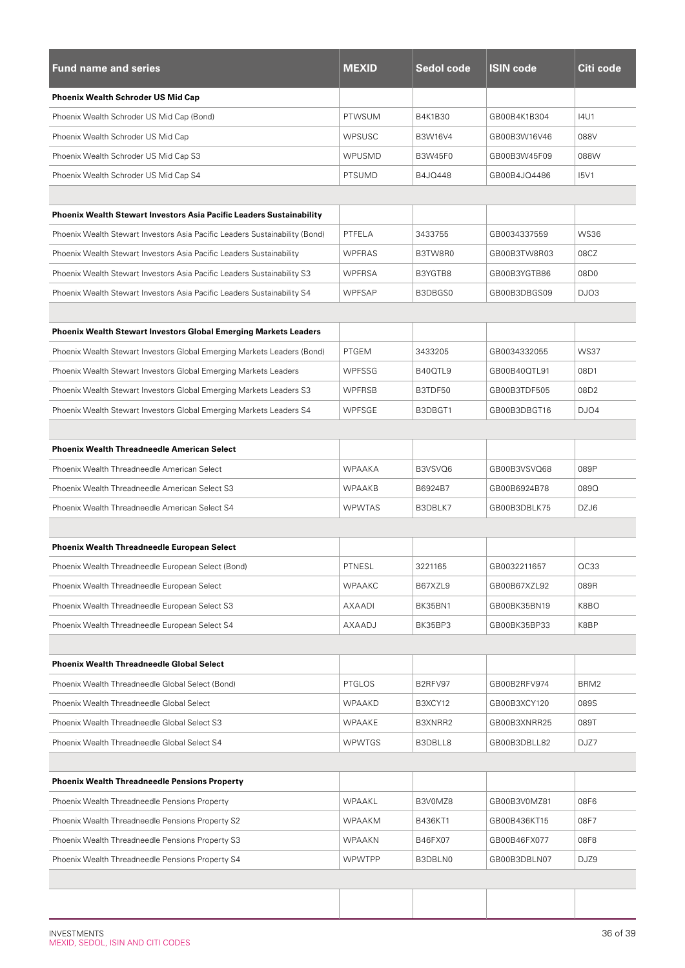| <b>Fund name and series</b>                                                 | <b>MEXID</b>  | Sedol code | <b>ISIN code</b> | Citi code        |
|-----------------------------------------------------------------------------|---------------|------------|------------------|------------------|
| <b>Phoenix Wealth Schroder US Mid Cap</b>                                   |               |            |                  |                  |
| Phoenix Wealth Schroder US Mid Cap (Bond)                                   | <b>PTWSUM</b> | B4K1B30    | GB00B4K1B304     | 14U1             |
| Phoenix Wealth Schroder US Mid Cap                                          | <b>WPSUSC</b> | B3W16V4    | GB00B3W16V46     | 088V             |
| Phoenix Wealth Schroder US Mid Cap S3                                       | WPUSMD        | B3W45F0    | GB00B3W45F09     | 088W             |
| Phoenix Wealth Schroder US Mid Cap S4                                       | <b>PTSUMD</b> | B4JQ448    | GB00B4JQ4486     | <b>I5V1</b>      |
|                                                                             |               |            |                  |                  |
| Phoenix Wealth Stewart Investors Asia Pacific Leaders Sustainability        |               |            |                  |                  |
| Phoenix Wealth Stewart Investors Asia Pacific Leaders Sustainability (Bond) | PTFELA        | 3433755    | GB0034337559     | <b>WS36</b>      |
| Phoenix Wealth Stewart Investors Asia Pacific Leaders Sustainability        | <b>WPFRAS</b> | B3TW8R0    | GB00B3TW8R03     | 08CZ             |
| Phoenix Wealth Stewart Investors Asia Pacific Leaders Sustainability S3     | <b>WPFRSA</b> | B3YGTB8    | GB00B3YGTB86     | 08D0             |
| Phoenix Wealth Stewart Investors Asia Pacific Leaders Sustainability S4     | <b>WPFSAP</b> | B3DBGS0    | GB00B3DBGS09     | DJO <sub>3</sub> |
|                                                                             |               |            |                  |                  |
| Phoenix Wealth Stewart Investors Global Emerging Markets Leaders            |               |            |                  |                  |
| Phoenix Wealth Stewart Investors Global Emerging Markets Leaders (Bond)     | PTGEM         | 3433205    | GB0034332055     | <b>WS37</b>      |
| Phoenix Wealth Stewart Investors Global Emerging Markets Leaders            | <b>WPFSSG</b> | B40QTL9    | GB00B40QTL91     | 08D1             |
| Phoenix Wealth Stewart Investors Global Emerging Markets Leaders S3         | <b>WPFRSB</b> | B3TDF50    | GB00B3TDF505     | 08D2             |
| Phoenix Wealth Stewart Investors Global Emerging Markets Leaders S4         | WPFSGE        | B3DBGT1    | GB00B3DBGT16     | DJO4             |
|                                                                             |               |            |                  |                  |
| <b>Phoenix Wealth Threadneedle American Select</b>                          |               |            |                  |                  |
| Phoenix Wealth Threadneedle American Select                                 | <b>WPAAKA</b> | B3VSVQ6    | GB00B3VSVQ68     | 089P             |
| Phoenix Wealth Threadneedle American Select S3                              | <b>WPAAKB</b> | B6924B7    | GB00B6924B78     | 089Q             |
| Phoenix Wealth Threadneedle American Select S4                              | <b>WPWTAS</b> | B3DBLK7    | GB00B3DBLK75     | DZJ6             |
|                                                                             |               |            |                  |                  |
| <b>Phoenix Wealth Threadneedle European Select</b>                          |               |            |                  |                  |
| Phoenix Wealth Threadneedle European Select (Bond)                          | PTNESL        | 3221165    | GB0032211657     | QC33             |
| Phoenix Wealth Threadneedle European Select                                 | <b>WPAAKC</b> | B67XZL9    | GB00B67XZL92     | 089R             |
| Phoenix Wealth Threadneedle European Select S3                              | AXAADI        | BK35BN1    | GB00BK35BN19     | K8BO             |
| Phoenix Wealth Threadneedle European Select S4                              | AXAADJ        | BK35BP3    | GB00BK35BP33     | K8BP             |
|                                                                             |               |            |                  |                  |
| <b>Phoenix Wealth Threadneedle Global Select</b>                            |               |            |                  |                  |
| Phoenix Wealth Threadneedle Global Select (Bond)                            | <b>PTGLOS</b> | B2RFV97    | GB00B2RFV974     | BRM2             |
| Phoenix Wealth Threadneedle Global Select                                   | <b>WPAAKD</b> | B3XCY12    | GB00B3XCY120     | 089S             |
| Phoenix Wealth Threadneedle Global Select S3                                | WPAAKE        | B3XNRR2    | GB00B3XNRR25     | 089T             |
| Phoenix Wealth Threadneedle Global Select S4                                | <b>WPWTGS</b> | B3DBLL8    | GB00B3DBLL82     | DJZ7             |
|                                                                             |               |            |                  |                  |
| <b>Phoenix Wealth Threadneedle Pensions Property</b>                        |               |            |                  |                  |
| Phoenix Wealth Threadneedle Pensions Property                               | WPAAKL        | B3V0MZ8    | GB00B3V0MZ81     | 08F6             |
| Phoenix Wealth Threadneedle Pensions Property S2                            | <b>WPAAKM</b> | B436KT1    | GB00B436KT15     | 08F7             |
| Phoenix Wealth Threadneedle Pensions Property S3                            | WPAAKN        | B46FX07    | GB00B46FX077     | 08F8             |
| Phoenix Wealth Threadneedle Pensions Property S4                            | <b>WPWTPP</b> | B3DBLN0    | GB00B3DBLN07     | DJZ9             |
|                                                                             |               |            |                  |                  |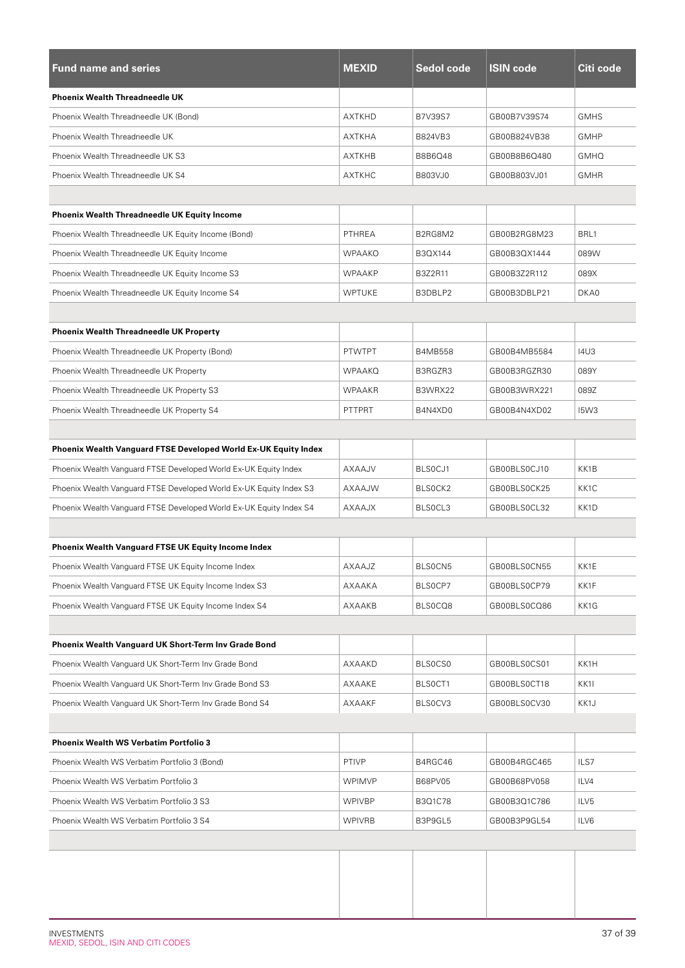| <b>Fund name and series</b>                                            | <b>MEXID</b>  | <b>Sedol code</b> | <b>ISIN code</b> | Citi code         |
|------------------------------------------------------------------------|---------------|-------------------|------------------|-------------------|
| <b>Phoenix Wealth Threadneedle UK</b>                                  |               |                   |                  |                   |
| Phoenix Wealth Threadneedle UK (Bond)                                  | <b>AXTKHD</b> | <b>B7V39S7</b>    | GB00B7V39S74     | <b>GMHS</b>       |
| Phoenix Wealth Threadneedle UK                                         | <b>AXTKHA</b> | B824VB3           | GB00B824VB38     | <b>GMHP</b>       |
| Phoenix Wealth Threadneedle UK S3                                      | AXTKHB        | B8B6Q48           | GB00B8B6Q480     | <b>GMHQ</b>       |
| Phoenix Wealth Threadneedle UK S4                                      | <b>AXTKHC</b> | B803VJ0           | GB00B803VJ01     | <b>GMHR</b>       |
|                                                                        |               |                   |                  |                   |
| <b>Phoenix Wealth Threadneedle UK Equity Income</b>                    |               |                   |                  |                   |
| Phoenix Wealth Threadneedle UK Equity Income (Bond)                    | PTHREA        | B2RG8M2           | GB00B2RG8M23     | BRL1              |
| Phoenix Wealth Threadneedle UK Equity Income                           | <b>WPAAKO</b> | B3QX144           | GB00B3QX1444     | 089W              |
| Phoenix Wealth Threadneedle UK Equity Income S3                        | <b>WPAAKP</b> | B3Z2R11           | GB00B3Z2R112     | 089X              |
| Phoenix Wealth Threadneedle UK Equity Income S4                        | <b>WPTUKE</b> | B3DBLP2           | GB00B3DBLP21     | DKA0              |
|                                                                        |               |                   |                  |                   |
| <b>Phoenix Wealth Threadneedle UK Property</b>                         |               |                   |                  |                   |
| Phoenix Wealth Threadneedle UK Property (Bond)                         | <b>PTWTPT</b> | <b>B4MB558</b>    | GB00B4MB5584     | <b>I4U3</b>       |
| Phoenix Wealth Threadneedle UK Property                                | <b>WPAAKQ</b> | B3RGZR3           | GB00B3RGZR30     | 089Y              |
| Phoenix Wealth Threadneedle UK Property S3                             | <b>WPAAKR</b> | B3WRX22           | GB00B3WRX221     | 089Z              |
| Phoenix Wealth Threadneedle UK Property S4                             | PTTPRT        | B4N4XD0           | GB00B4N4XD02     | <b>I5W3</b>       |
|                                                                        |               |                   |                  |                   |
| <b>Phoenix Wealth Vanguard FTSE Developed World Ex-UK Equity Index</b> |               |                   |                  |                   |
| Phoenix Wealth Vanguard FTSE Developed World Ex-UK Equity Index        | AXAAJV        | BLS0CJ1           | GB00BLS0CJ10     | KK1B              |
| Phoenix Wealth Vanguard FTSE Developed World Ex-UK Equity Index S3     | AXAAJW        | BLSOCK2           | GB00BLS0CK25     | KK <sub>1</sub> C |
| Phoenix Wealth Vanguard FTSE Developed World Ex-UK Equity Index S4     | AXAAJX        | BLSOCL3           | GB00BLS0CL32     | KK1D              |
|                                                                        |               |                   |                  |                   |
| <b>Phoenix Wealth Vanguard FTSE UK Equity Income Index</b>             |               |                   |                  |                   |
| Phoenix Wealth Vanguard FTSE UK Equity Income Index                    | AXAAJZ        | BLS0CN5           | GB00BLS0CN55     | KK1E              |
| Phoenix Wealth Vanguard FTSE UK Equity Income Index S3                 | AXAAKA        | BLS0CP7           | GB00BLS0CP79     | KK1F              |
| Phoenix Wealth Vanguard FTSE UK Equity Income Index S4                 | AXAAKB        | BLS0CQ8           | GB00BLS0CQ86     | KK1G              |
|                                                                        |               |                   |                  |                   |
| Phoenix Wealth Vanguard UK Short-Term Inv Grade Bond                   |               |                   |                  |                   |
| Phoenix Wealth Vanguard UK Short-Term Inv Grade Bond                   | AXAAKD        | BLS0CS0           | GB00BLS0CS01     | KK1H              |
| Phoenix Wealth Vanguard UK Short-Term Inv Grade Bond S3                | AXAAKE        | BLS0CT1           | GB00BLS0CT18     | KK1I              |
| Phoenix Wealth Vanguard UK Short-Term Inv Grade Bond S4                | AXAAKF        | BLS0CV3           | GB00BLS0CV30     | KK1J              |
|                                                                        |               |                   |                  |                   |
| <b>Phoenix Wealth WS Verbatim Portfolio 3</b>                          |               |                   |                  |                   |
| Phoenix Wealth WS Verbatim Portfolio 3 (Bond)                          | PTIVP         | B4RGC46           | GB00B4RGC465     | ILS7              |
| Phoenix Wealth WS Verbatim Portfolio 3                                 | <b>WPIMVP</b> | <b>B68PV05</b>    | GB00B68PV058     | ILV4              |
| Phoenix Wealth WS Verbatim Portfolio 3 S3                              | <b>WPIVBP</b> | B3Q1C78           | GB00B3Q1C786     | ILV5              |
| Phoenix Wealth WS Verbatim Portfolio 3 S4                              | <b>WPIVRB</b> | B3P9GL5           | GB00B3P9GL54     | ILV6              |
|                                                                        |               |                   |                  |                   |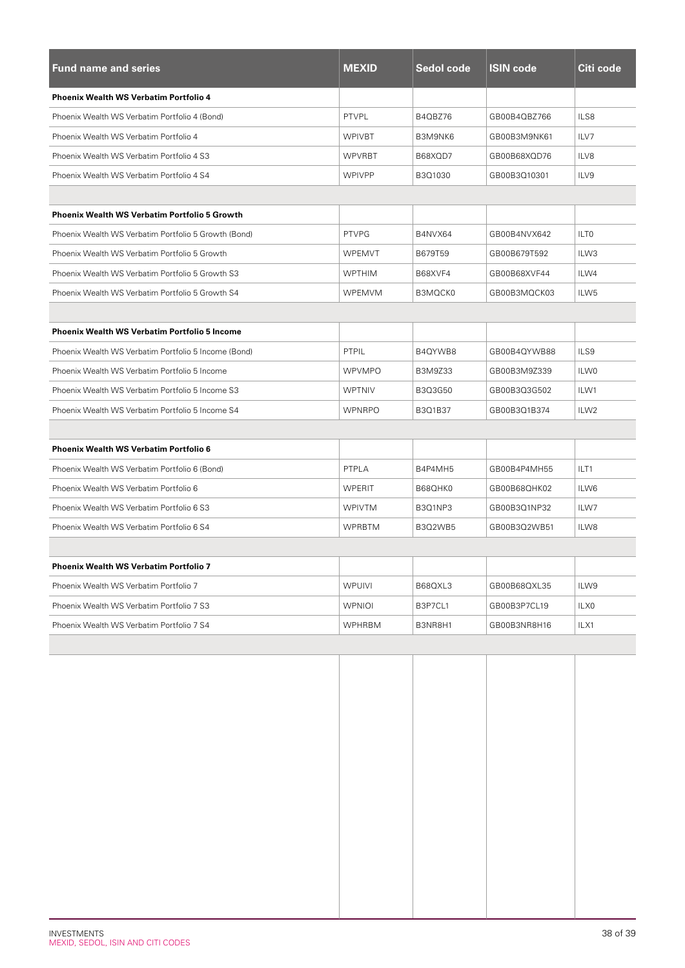| <b>Fund name and series</b>                          | <b>MEXID</b>  | Sedol code | <b>ISIN code</b> | Citi code        |
|------------------------------------------------------|---------------|------------|------------------|------------------|
| <b>Phoenix Wealth WS Verbatim Portfolio 4</b>        |               |            |                  |                  |
| Phoenix Wealth WS Verbatim Portfolio 4 (Bond)        | <b>PTVPL</b>  | B4QBZ76    | GB00B4QBZ766     | ILS8             |
| Phoenix Wealth WS Verbatim Portfolio 4               | <b>WPIVBT</b> | B3M9NK6    | GB00B3M9NK61     | ILV7             |
| Phoenix Wealth WS Verbatim Portfolio 4 S3            | <b>WPVRBT</b> | B68XQD7    | GB00B68XQD76     | ILV8             |
| Phoenix Wealth WS Verbatim Portfolio 4 S4            | <b>WPIVPP</b> | B3Q1030    | GB00B3Q10301     | ILV9             |
|                                                      |               |            |                  |                  |
| <b>Phoenix Wealth WS Verbatim Portfolio 5 Growth</b> |               |            |                  |                  |
| Phoenix Wealth WS Verbatim Portfolio 5 Growth (Bond) | <b>PTVPG</b>  | B4NVX64    | GB00B4NVX642     | ILT <sub>0</sub> |
| Phoenix Wealth WS Verbatim Portfolio 5 Growth        | <b>WPEMVT</b> | B679T59    | GB00B679T592     | ILW3             |
| Phoenix Wealth WS Verbatim Portfolio 5 Growth S3     | <b>WPTHIM</b> | B68XVF4    | GB00B68XVF44     | ILW4             |
| Phoenix Wealth WS Verbatim Portfolio 5 Growth S4     | WPEMVM        | B3MQCK0    | GB00B3MQCK03     | ILW <sub>5</sub> |
|                                                      |               |            |                  |                  |
| <b>Phoenix Wealth WS Verbatim Portfolio 5 Income</b> |               |            |                  |                  |
| Phoenix Wealth WS Verbatim Portfolio 5 Income (Bond) | PTPIL         | B4QYWB8    | GB00B4QYWB88     | ILS9             |
| Phoenix Wealth WS Verbatim Portfolio 5 Income        | <b>WPVMPO</b> | B3M9Z33    | GB00B3M9Z339     | ILW0             |
| Phoenix Wealth WS Verbatim Portfolio 5 Income S3     | <b>WPTNIV</b> | B3Q3G50    | GB00B3Q3G502     | ILW1             |
| Phoenix Wealth WS Verbatim Portfolio 5 Income S4     | <b>WPNRPO</b> | B3Q1B37    | GB00B3Q1B374     | ILW <sub>2</sub> |
|                                                      |               |            |                  |                  |
| <b>Phoenix Wealth WS Verbatim Portfolio 6</b>        |               |            |                  |                  |
| Phoenix Wealth WS Verbatim Portfolio 6 (Bond)        | PTPLA         | B4P4MH5    | GB00B4P4MH55     | ILT1             |
| Phoenix Wealth WS Verbatim Portfolio 6               | <b>WPERIT</b> | B68QHK0    | GB00B68QHK02     | ILW6             |
| Phoenix Wealth WS Verbatim Portfolio 6 S3            | <b>WPIVTM</b> | B3Q1NP3    | GB00B3Q1NP32     | ILW7             |
| Phoenix Wealth WS Verbatim Portfolio 6 S4            | <b>WPRBTM</b> | B3Q2WB5    | GB00B3Q2WB51     | ILW8             |
|                                                      |               |            |                  |                  |
| <b>Phoenix Wealth WS Verbatim Portfolio 7</b>        |               |            |                  |                  |
| Phoenix Wealth WS Verbatim Portfolio 7               | <b>WPUIVI</b> | B68QXL3    | GB00B68QXL35     | ILW9             |
| Phoenix Wealth WS Verbatim Portfolio 7 S3            | <b>WPNIOI</b> | B3P7CL1    | GB00B3P7CL19     | ILX0             |
| Phoenix Wealth WS Verbatim Portfolio 7 S4            | <b>WPHRBM</b> | B3NR8H1    | GB00B3NR8H16     | ILX1             |
|                                                      |               |            |                  |                  |